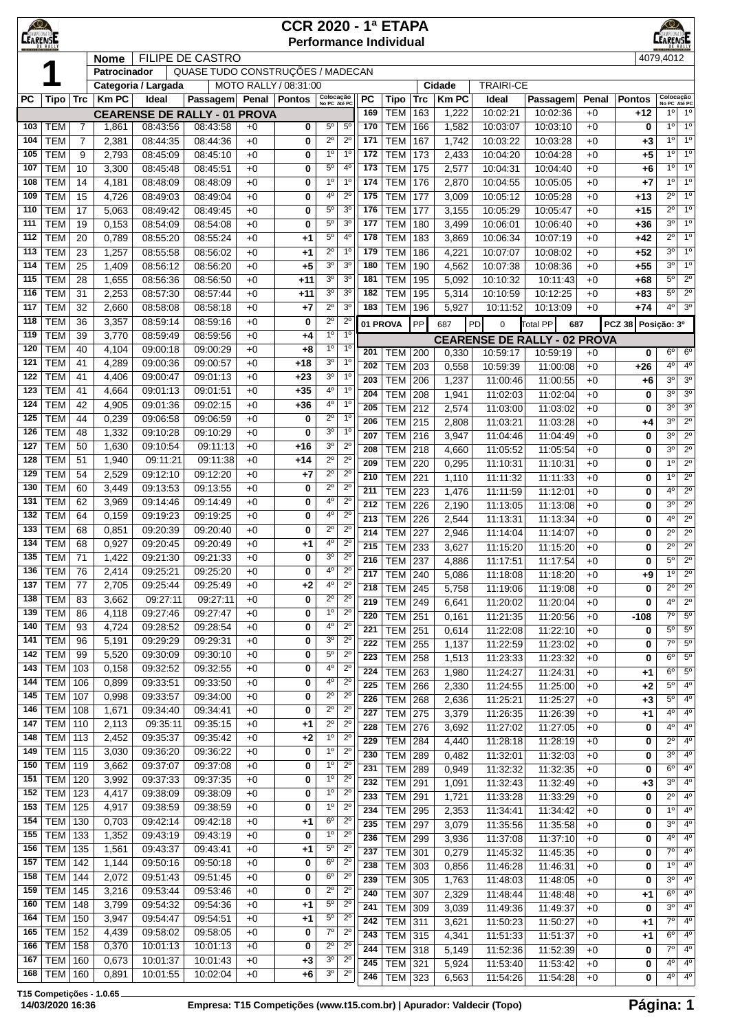| $\bigotimes$<br><b>CEARENSE</b> |                          |                                  |                |                      |                                     |              |                       | <b>CCR 2020 - 1ª ETAPA</b><br><b>Performance Individual</b>       |                  |                          |            |                |                      |                                                 |              |                    | K©∕<br><b>CANPEONATORE</b>    |                               |
|---------------------------------|--------------------------|----------------------------------|----------------|----------------------|-------------------------------------|--------------|-----------------------|-------------------------------------------------------------------|------------------|--------------------------|------------|----------------|----------------------|-------------------------------------------------|--------------|--------------------|-------------------------------|-------------------------------|
|                                 |                          |                                  | <b>Nome</b>    |                      | <b>FILIPE DE CASTRO</b>             |              |                       |                                                                   |                  |                          |            |                |                      |                                                 |              |                    | 4079,4012                     |                               |
|                                 |                          |                                  | Patrocinador   |                      | QUASE TUDO CONSTRUÇÕES / MADECAN    |              |                       |                                                                   |                  |                          |            |                |                      |                                                 |              |                    |                               |                               |
|                                 |                          |                                  |                | Categoria / Largada  |                                     |              | MOTO RALLY / 08:31:00 |                                                                   |                  |                          |            | Cidade         | <b>TRAIRI-CE</b>     |                                                 |              |                    |                               |                               |
| <b>PC</b>                       | Tipo                     | Trc                              | <b>KmPC</b>    | Ideal                | Passagem                            |              | Penal   Pontos        | Colocação<br>No PC Até PC                                         | <b>PC</b>        | Tipo                     | <b>Trc</b> | <b>KmPC</b>    | Ideal                | Passagem                                        | Penal        | <b>Pontos</b>      | Colocação<br>No PC Até PC     |                               |
|                                 |                          |                                  |                |                      | <b>CEARENSE DE RALLY - 01 PROVA</b> |              |                       | $5^{\circ}$                                                       | 169              | <b>TEM</b>               | 163        | 1,222          | 10:02:21             | 10:02:36                                        | $+0$         | +12                | 1 <sup>0</sup><br>10          | $1^{\circ}$<br>1 <sup>°</sup> |
| 103<br>104                      | <b>TEM</b><br><b>TEM</b> | $\overline{7}$<br>$\overline{7}$ | 1,861<br>2,381 | 08:43:56<br>08:44:35 | 08:43:58<br>08:44:36                | $+0$<br>$+0$ | 0<br>0                | $5^{\circ}$<br>$2^{\circ}$<br>$2^{\circ}$                         | 170<br>171       | <b>TEM</b><br><b>TEM</b> | 166<br>167 | 1,582<br>1,742 | 10:03:07<br>10:03:22 | 10:03:10<br>10:03:28                            | $+0$<br>$+0$ | 0<br>+3            | $1^{\circ}$                   | $1^{\circ}$                   |
| 105                             | <b>TEM</b>               | 9                                | 2,793          | 08:45:09             | 08:45:10                            | $+0$         | 0                     | 1 <sup>0</sup><br>$1^{\circ}$                                     | 172              | <b>TEM</b>               | 173        | 2,433          | 10:04:20             | 10:04:28                                        | $+0$         | +5                 | 10                            | $1^{\circ}$                   |
| 107                             | <b>TEM</b>               | 10                               | 3,300          | 08:45:48             | 08:45:51                            | $+0$         | 0                     | $5^{\circ}$<br>4 <sup>0</sup>                                     | 173              | <b>TEM</b>               | 175        | 2,577          | 10:04:31             | 10:04:40                                        | $+0$         | +6                 | $1^{\circ}$                   | 1 <sup>°</sup>                |
| 108                             | <b>TEM</b>               | 14                               | 4,181          | 08:48:09             | 08:48:09                            | $+0$         | 0                     | 1 <sup>0</sup><br>1 <sup>0</sup>                                  | 174              | <b>TEM</b>               | 176        | 2,870          | 10:04:55             | 10:05:05                                        | $+0$         | $+7$               | 10                            | 1 <sup>0</sup>                |
| 109                             | <b>TEM</b>               | 15                               | 4,726          | 08:49:03             | 08:49:04                            | $+0$         | 0                     | $2^{\circ}$<br>4°                                                 | 175              | <b>TEM</b>               | 177        | 3,009          | 10:05:12             | 10:05:28                                        | $+0$         | +13                | $2^{\circ}$                   | $1^{\circ}$                   |
| 110                             | <b>TEM</b>               | 17                               | 5,063          | 08:49:42             | 08:49:45                            | $+0$         | 0                     | $5^{\circ}$<br>3 <sup>o</sup>                                     | 176              | <b>TEM</b>               | 177        | 3,155          | 10:05:29             | 10:05:47                                        | $+0$         | $+15$              | $2^{\circ}$                   | $1^{\circ}$                   |
| 111                             | <b>TEM</b>               | 19                               | 0,153          | 08:54:09             | 08:54:08                            | $+0$         | 0                     | 3 <sup>o</sup><br>$5^{\circ}$                                     | 177              | <b>TEM</b>               | 180        | 3,499          | 10:06:01             | 10:06:40                                        | $+0$         | +36                | 3 <sup>o</sup>                | 1 <sup>°</sup>                |
| 112                             | <b>TEM</b>               | 20                               | 0,789          | 08:55:20             | 08:55:24                            | $+0$         | $+1$                  | 4 <sup>0</sup><br>$5^{\circ}$                                     | 178              | <b>TEM</b>               | 183        | 3,869          | 10:06:34             | 10:07:19                                        | $+0$         | +42                | $2^{\circ}$                   | 1 <sup>0</sup>                |
| 113                             | <b>TEM</b>               | 23                               | 1,257          | 08:55:58             | 08:56:02                            | $+0$         | $+1$                  | 1 <sup>0</sup><br>$2^{\circ}$                                     | 179              | <b>TEM</b>               | 186        | 4,221          | 10:07:07             | 10:08:02                                        | $+0$         | $+52$              | $3^{\circ}$                   | $1^{\circ}$                   |
| 114                             | <b>TEM</b>               | 25                               | 1,409          | 08:56:12             | 08:56:20                            | $+0$         | $+5$                  | 3 <sup>0</sup><br>3 <sup>o</sup>                                  | 180              | <b>TEM</b>               | 190        | 4,562          | 10:07:38             | 10:08:36                                        | $+0$         | $+55$              | $3^{\circ}$                   | $1^{\circ}$                   |
| 115                             | <b>TEM</b>               | 28                               | 1,655          | 08:56:36             | 08:56:50                            | $+0$         | $+11$                 | 3 <sup>o</sup><br>3 <sup>o</sup>                                  | 181              | <b>TEM</b>               | 195        | 5,092          | 10:10:32             | 10:11:43                                        | $+0$         | +68                | $5^{\circ}$                   | $2^{\circ}$                   |
| 116                             | <b>TEM</b>               | 31                               | 2,253          | 08:57:30             | 08:57:44                            | $+0$         | +11                   | 3 <sup>o</sup><br>3 <sup>o</sup><br>$2^{\circ}$<br>3 <sup>o</sup> | 182              | <b>TEM</b>               | 195        | 5,314          | 10:10:59             | 10:12:25                                        | $+0$         | +83                | $5^{\circ}$<br>$4^{\circ}$    | $2^{\circ}$<br>3 <sup>o</sup> |
| 117<br>118                      | <b>TEM</b><br><b>TEM</b> | 32<br>36                         | 2,660<br>3,357 | 08:58:08<br>08:59:14 | 08:58:18<br>08:59:16                | $+0$<br>$+0$ | $+7$<br>0             | $2^{\circ}$<br>$2^{\circ}$                                        | 183              | <b>TEM</b>               | 196        | 5,927          | 10:11:52             | 10:13:09                                        | $+0$         | +74                |                               |                               |
| 119                             | <b>TEM</b>               | 39                               | 3,770          | 08:59:49             | 08:59:56                            | $+0$         | $+4$                  | 1 <sup>0</sup><br>$1^{\circ}$                                     |                  | 01 PROVA                 | <b>PP</b>  | 687            | PD<br>0              | <b>Total PP</b><br>687                          |              | PCZ 38 Posição: 3º |                               |                               |
| 120                             | <b>TEM</b>               | 40                               | 4,104          | 09:00:18             | 09:00:29                            | $+0$         | $+8$                  | $1^{\circ}$<br>1 <sup>0</sup>                                     | 201              | <b>TEM</b>               | 200        | 0,330          | 10:59:17             | <b>CEARENSE DE RALLY - 02 PROVA</b><br>10:59:19 | $+0$         | 0                  | $6^{\circ}$                   | $6^{\circ}$                   |
| 121                             | <b>TEM</b>               | 41                               | 4,289          | 09:00:36             | 09:00:57                            | $+0$         | +18                   | 1 <sup>0</sup><br>3 <sup>o</sup>                                  | 202              | <b>TEM</b>               | 203        | 0,558          | 10:59:39             | 11:00:08                                        | $+0$         | $+26$              | $4^{\circ}$                   | 4 <sup>0</sup>                |
| 122                             | <b>TEM</b>               | 41                               | 4,406          | 09:00:47             | 09:01:13                            | $+0$         | $+23$                 | 3 <sup>0</sup><br>1 <sup>0</sup>                                  | 203              | <b>TEM</b>               | 206        | 1,237          | 11:00:46             | 11:00:55                                        | $+0$         | +6                 | $3^{\circ}$                   | $3^\circ$                     |
| 123                             | <b>TEM</b>               | 41                               | 4,664          | 09:01:13             | 09:01:51                            | $+0$         | $+35$                 | $4^{\circ}$<br>1 <sup>0</sup>                                     | 204              | <b>TEM</b>               | 208        | 1,941          | 11:02:03             | 11:02:04                                        | $+0$         | 0                  | $3^{\circ}$                   | 3 <sup>o</sup>                |
| 124                             | <b>TEM</b>               | 42                               | 4,905          | 09:01:36             | 09:02:15                            | $+0$         | $+36$                 | 1 <sup>0</sup><br>4°                                              | 205              | <b>TEM</b>               | 212        | 2,574          | 11:03:00             | 11:03:02                                        | $+0$         | 0                  | $3^{\circ}$                   | $3^{\circ}$                   |
| 125                             | <b>TEM</b>               | 44                               | 0,239          | 09:06:58             | 09:06:59                            | $+0$         | 0                     | $2^{\circ}$<br>1 <sup>o</sup>                                     | 206              | TEM I                    | 215        | 2,808          | 11:03:21             | 11:03:28                                        | $+0$         | +4                 | 3 <sup>o</sup>                | $2^{\circ}$                   |
| 126                             | <b>TEM</b>               | 48                               | 1,332          | 09:10:28             | 09:10:29                            | $+0$         | 0                     | 1 <sup>0</sup><br>3 <sup>o</sup>                                  | 207              | <b>TEM</b>               | 216        | 3,947          | 11:04:46             | 11:04:49                                        | $+0$         | 0                  | $3^{\circ}$                   | $\overline{2^{\circ}}$        |
| 127                             | <b>TEM</b>               | 50                               | 1,630          | 09:10:54             | 09:11:13                            | $+0$         | $+16$                 | $2^{\circ}$<br>3 <sup>o</sup>                                     | 208              | <b>TEM</b>               | 218        | 4,660          | 11:05:52             | 11:05:54                                        | $+0$         | 0                  | 3 <sup>o</sup>                | $2^{\circ}$                   |
| 128                             | <b>TEM</b>               | 51                               | 1,940          | 09:11:21             | 09:11:38                            | $+0$         | +14                   | $2^{\circ}$<br>$2^{\circ}$                                        | 209              | <b>TEM</b>               | 220        | 0,295          | 11:10:31             | 11:10:31                                        | $+0$         | 0                  | $1^{\circ}$                   | $2^{\circ}$                   |
| 129<br>130                      | <b>TEM</b><br><b>TEM</b> | 54<br>60                         | 2,529<br>3,449 | 09:12:10<br>09:13:53 | 09:12:20<br>09:13:55                | $+0$<br>$+0$ | +7<br>0               | $2^{\circ}$<br>$2^{\circ}$<br>$2^{\circ}$<br>$2^{\circ}$          | 210              | <b>TEM</b>               | 221        | 1,110          | 11:11:32             | 11:11:33                                        | $+0$         | 0                  | $1^{\circ}$                   | $2^{\circ}$                   |
| 131                             | <b>TEM</b>               | 62                               | 3,969          | 09:14:46             | 09:14:49                            | $+0$         | 0                     | $2^{\circ}$<br>4°                                                 | 211              | <b>TEM</b>               | 223        | 1,476          | 11:11:59             | 11:12:01                                        | $+0$         | 0                  | $4^{\circ}$                   | $\overline{2^{\circ}}$        |
| 132                             | <b>TEM</b>               | 64                               | 0,159          | 09:19:23             | 09:19:25                            | $+0$         | 0                     | $2^{\circ}$<br>4°                                                 | 212<br>213       | <b>TEM</b><br><b>TEM</b> | 226<br>226 | 2,190          | 11:13:05             | 11:13:08                                        | $+0$<br>$+0$ | 0<br>0             | $3^{\circ}$<br>$4^{\circ}$    | $2^{\circ}$<br>$2^{\circ}$    |
| 133                             | <b>TEM</b>               | 68                               | 0,851          | 09:20:39             | 09:20:40                            | $+0$         | 0                     | $2^{\circ}$<br>$2^{\circ}$                                        | 214              | <b>TEM</b>               | 227        | 2,544<br>2,946 | 11:13:31<br>11:14:04 | 11:13:34<br>11:14:07                            | $+0$         | 0                  | $2^{\circ}$                   | $2^{\circ}$                   |
| 134                             | <b>TEM</b>               | 68                               | 0,927          | 09:20:45             | 09:20:49                            | $+0$         | +1                    | $2^{\circ}$<br>4°                                                 | 215              | <b>TEM</b>               | 233        | 3,627          | 11:15:20             | 11:15:20                                        | $+0$         | 0                  | $2^{\circ}$                   | $2^{\circ}$                   |
| 135                             | <b>TEM</b>               | 71                               | 1,422          | 09:21:30             | 09:21:33                            | $+0$         | 0                     | $2^{\circ}$<br>3 <sup>o</sup>                                     | $\overline{216}$ | <b>TEM</b>               | 237        | 4,886          | 11:17:51             | 11:17:54                                        | $+0$         | 0                  | $5^{\circ}$                   | $\overline{2^{\circ}}$        |
|                                 | $136$ TEM                | $\overline{76}$                  | 2,414          | 09:25:21             | 09:25:20                            | $+0$         | 0                     | $2^{\circ}$                                                       | 217              | <b>TEM 240</b>           |            | 5,086          | 11:18:08             | 11:18:20                                        | $+0$         | +9                 | $1^{\circ}$                   | $2^{\circ}$                   |
| 137                             | <b>TEM</b>               | 77                               | 2,705          | 09:25:44             | 09:25:49                            | $+0$         | $+2$                  | $2^{\circ}$<br>$4^{\circ}$                                        | 218              | <b>TEM</b>               | 245        | 5,758          | 11:19:06             | 11:19:08                                        | $+0$         | 0                  | $2^{\circ}$                   | $2^{\circ}$                   |
| 138                             | <b>TEM</b>               | 83                               | 3,662          | 09:27:11             | 09:27:11                            | $+0$         | 0                     | $2^{\circ}$<br>$2^{\circ}$                                        | 219              | TEM                      | 249        | 6,641          | 11:20:02             | 11:20:04                                        | $+0$         | 0                  | $4^{\circ}$                   | $2^{\circ}$                   |
| 139                             | <b>TEM</b>               | 86                               | 4,118          | 09:27:46             | 09:27:47                            | $+0$         | 0                     | $1^{\circ}$<br>$2^{\circ}$                                        | 220              | TEM                      | 251        | 0,161          | 11:21:35             | 11:20:56                                        | $+0$         | $-108$             | $7^{\circ}$                   | $5^{\circ}$                   |
| 140<br>141                      | <b>TEM</b><br><b>TEM</b> | 93<br>96                         | 4,724          | 09:28:52<br>09:29:29 | 09:28:54<br>09:29:31                | $+0$         | 0<br>0                | 4 <sup>o</sup><br>$2^{\circ}$<br>$2^{\circ}$<br>3 <sup>o</sup>    | 221              | TEM                      | 251        | 0,614          | 11:22:08             | 11:22:10                                        | $+0$         | 0                  | $5^{\circ}$                   | $5^\circ$                     |
| 142                             | <b>TEM</b>               | 99                               | 5,191<br>5,520 | 09:30:09             | 09:30:10                            | $+0$<br>$+0$ | 0                     | $5^{\rm o}$<br>$2^{\circ}$                                        | 222              | TEM                      | 255        | 1,137          | 11:22:59             | 11:23:02                                        | $+0$         | 0                  | $7^\circ$<br>$6^{\circ}$      | $5^{\circ}$                   |
| 143                             | <b>TEM</b>               | 103                              | 0,158          | 09:32:52             | 09:32:55                            | $+0$         | 0                     | $2^{\circ}$<br>4°                                                 | 223<br>224       | TEM                      | 258        | 1,513          | 11:23:33             | 11:23:32                                        | $+0$         | 0                  | $6^{\circ}$                   | $5^{\circ}$<br>$5^{\circ}$    |
| 144                             | <b>TEM</b>               | 106                              | 0,899          | 09:33:51             | 09:33:50                            | $+0$         | 0                     | $\overline{2^0}$<br>$4^{\rm o}$                                   | $\overline{225}$ | TEM<br><b>TEM</b>        | 263<br>266 | 1,980<br>2,330 | 11:24:27<br>11:24:55 | 11:24:31<br>11:25:00                            | $+0$<br>$+0$ | +1<br>$+2$         | $5^{\circ}$                   | $4^{\circ}$                   |
| 145                             | <b>TEM</b>               | 107                              | 0,998          | 09:33:57             | 09:34:00                            | $+0$         | 0                     | $2^{\circ}$<br>$2^{\circ}$                                        | 226              | <b>TEM</b>               | 268        | 2,636          | 11:25:21             | 11:25:27                                        | $+0$         | $+3$               | $5^{\circ}$                   | $4^{\circ}$                   |
| 146                             | TEM                      | 108                              | 1,671          | 09:34:40             | 09:34:41                            | $+0$         | 0                     | $2^{\circ}$<br>$2^{\circ}$                                        | 227              | TEM                      | 275        | 3,379          | 11:26:35             | 11:26:39                                        | $+0$         | +1                 | $4^{\circ}$                   | $4^{\circ}$                   |
| 147                             | TEM                      | 110                              | 2,113          | 09:35:11             | 09:35:15                            | $+0$         | $+1$                  | $2^{\circ}$<br>$2^{\circ}$                                        | 228              | <b>TEM</b>               | 276        | 3,692          | 11:27:02             | 11:27:05                                        | $+0$         | 0                  | $4^{\circ}$                   | $4^{\circ}$                   |
| 148                             | <b>TEM</b>               | 113                              | 2,452          | 09:35:37             | 09:35:42                            | $+0$         | $+2$                  | $2^{\circ}$<br>1 <sup>0</sup>                                     | 229              | $TEM$ 284                |            | 4,440          | 11:28:18             | 11:28:19                                        | $+0$         | 0                  | $2^{\circ}$                   | 4 <sup>0</sup>                |
| 149                             | <b>TEM</b>               | 115                              | 3,030          | 09:36:20             | 09:36:22                            | $+0$         | 0                     | 2 <sup>0</sup><br>1 <sup>o</sup>                                  | 230              | TEM                      | 289        | 0,482          | 11:32:01             | 11:32:03                                        | $+0$         | 0                  | $3^{\circ}$                   | $4^{\circ}$                   |
| 150<br>151                      | <b>TEM</b><br><b>TEM</b> | 119<br>120                       | 3,662          | 09:37:07<br>09:37:33 | 09:37:08<br>09:37:35                | $+0$<br>$+0$ | 0                     | 1 <sup>o</sup><br>$2^{\circ}$<br>$1^{\circ}$<br>$2^{\circ}$       | 231              | <b>TEM 289</b>           |            | 0,949          | 11:32:32             | 11:32:35                                        | $+0$         | 0                  | $6^{\circ}$                   | $4^{\circ}$                   |
| 152                             | <b>TEM</b>               | 123                              | 3,992<br>4,417 | 09:38:09             | 09:38:09                            | $+0$         | 0<br>0                | $2^{\circ}$<br>$1^{\circ}$                                        | 232              | <b>TEM 291</b>           |            | 1,091          | 11:32:43             | 11:32:49                                        | $+0$         | $+3$               | $3^{\circ}$                   | $4^{\circ}$                   |
| 153                             | <b>TEM</b>               | 125                              | 4,917          | 09:38:59             | 09:38:59                            | $+0$         | 0                     | $2^{\circ}$<br>1 <sup>o</sup>                                     | 233              | $TEM$ 291                |            | 1,721          | 11:33:28             | 11:33:29                                        | $+0$         | 0                  | $2^{\circ}$<br>$1^{\circ}$    | $4^{\circ}$                   |
| 154                             | <b>TEM</b>               | 130                              | 0,703          | 09:42:14             | 09:42:18                            | $+0$         | $+1$                  | $2^{\circ}$<br>6 <sup>o</sup>                                     | 234<br>235       | <b>TEM</b>               | 295        | 2,353          | 11:34:41             | 11:34:42                                        | $+0$         | 0                  | $3^{\circ}$                   | $4^{\circ}$<br>$4^{\circ}$    |
| 155                             | <b>TEM</b>               | 133                              | 1,352          | 09:43:19             | 09:43:19                            | $+0$         | 0                     | $2^{\circ}$<br>1 <sup>0</sup>                                     | 236              | <b>TEM</b><br><b>TEM</b> | 297<br>299 | 3,079<br>3,936 | 11:35:56<br>11:37:08 | 11:35:58<br>11:37:10                            | $+0$<br>$+0$ | 0<br>0             | $4^{\circ}$                   | $4^{\circ}$                   |
| 156                             | <b>TEM</b>               | 135                              | 1,561          | 09:43:37             | 09:43:41                            | $+0$         | +1                    | $2^{\circ}$<br>$5^{\circ}$                                        | 237              | <b>TEM</b>               | 301        | 0,279          | 11:45:32             | 11:45:35                                        | $+0$         | 0                  | $7^{\circ}$                   | $4^{\circ}$                   |
| 157                             | <b>TEM</b>               | 142                              | 1,144          | 09:50:16             | 09:50:18                            | $+0$         | 0                     | $6^{\circ}$<br>$2^{\circ}$                                        | 238              | TEM                      | 303        | 0,856          | 11:46:28             | 11:46:31                                        | $+0$         | 0                  | 1 <sup>0</sup>                | $4^{\circ}$                   |
| 158                             | <b>TEM</b>               | 144                              | 2,072          | 09:51:43             | 09:51:45                            | $+0$         | 0                     | $2^{\circ}$<br>6 <sup>o</sup>                                     | 239              | <b>TEM 305</b>           |            | 1,763          | 11:48:03             | 11:48:05                                        | $+0$         | 0                  | $3^{\circ}$                   | 4 <sup>0</sup>                |
| 159                             | <b>TEM</b>               | $14\overline{5}$                 | 3,216          | 09:53:44             | 09:53:46                            | $+0$         | 0                     | $2^{\circ}$<br>$2^{\circ}$                                        | 240              | TEM                      | 307        | 2,329          | 11:48:44             | 11:48:48                                        | $+0$         | +1                 | $6^{\circ}$                   | $4^{\circ}$                   |
| 160                             | <b>TEM</b>               | 148                              | 3,799          | 09:54:32             | 09:54:36                            | $+0$         | $+1$                  | $2^{\circ}$<br>$5^{\rm o}$                                        | 241              | TEM                      | 309        | 3,039          | 11:49:36             | 11:49:37                                        | $+0$         | 0                  | $3^{\circ}$                   | $4^{\circ}$                   |
| 164                             | <b>TEM</b>               | 150                              | 3,947          | 09:54:47             | 09:54:51                            | $+0$         | +1                    | $2^{\circ}$<br>$5^{\circ}$                                        | 242              | TEM                      | 311        | 3,621          | 11:50:23             | 11:50:27                                        | $+0$         | +1                 | $7^\circ$                     | $4^{\circ}$                   |
| 165                             | <b>TEM</b>               | 152                              | 4,439          | 09:58:02             | 09:58:05                            | $+0$         | 0                     | $2^{\circ}$<br>$7^\circ$<br>2 <sup>0</sup><br>$2^{\circ}$         | 243              | $TEM$ 315                |            | 4,341          | 11:51:33             | 11:51:37                                        | $+0$         | $+1$               | $6^{\circ}$                   | $4^{\circ}$                   |
| 166<br>167                      | <b>TEM</b><br><b>TEM</b> | 158<br>160                       | 0,370<br>0,673 | 10:01:13<br>10:01:37 | 10:01:13<br>10:01:43                | $+0$<br>$+0$ | 0<br>$+3$             | $2^{\circ}$<br>3 <sup>o</sup>                                     | 244              | $TEM$ 318                |            | 5,149          | 11:52:36             | 11:52:39                                        | $+0$         | 0                  | $7^\circ$                     | $4^{\circ}$                   |
| 168                             | <b>TEM   160</b>         |                                  | 0,891          | 10:01:55             | 10:02:04                            | $+0$         | +6                    | 3 <sup>o</sup><br>$2^{\circ}$                                     | 245<br>246       | <b>TEM</b>               | 321        | 5,924          | 11:53:40             | 11:53:42                                        | $+0$         | 0                  | $4^{\circ}$<br>4 <sup>°</sup> | $4^{\circ}$<br>$4^{\circ}$    |
|                                 |                          |                                  |                |                      |                                     |              |                       |                                                                   |                  | TEM 323                  |            | 6,563          | 11:54:26             | 11:54:28                                        | $+0$         | 0                  |                               |                               |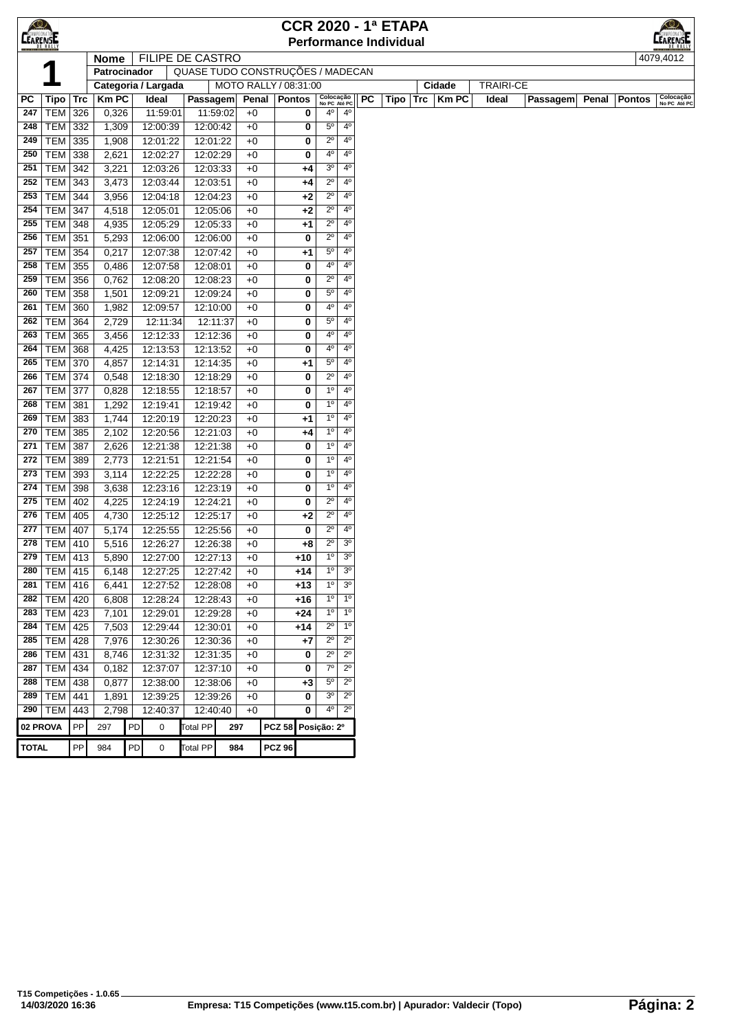| <b>CEARENSE</b><br><b>EARENSE</b><br><b>Performance Individual</b><br>FILIPE DE CASTRO<br>4079,4012<br><b>Nome</b><br>QUASE TUDO CONSTRUÇÕES / MADECAN<br>Patrocinador<br>MOTO RALLY / 08:31:00<br><b>TRAIRI-CE</b><br>Categoria / Largada<br>Cidade<br>Colocação<br>No PC Até PC<br>Colocação<br>No PC Até PC<br>$Trc$   Km PC<br>PC<br><b>Tipo</b><br><b>Trc</b><br><b>Km PC</b><br>Ideal<br>PC<br>Passagem<br>Penal<br>Pontos<br>Tipo<br>Ideal<br><b>Passagem</b><br>Penal<br><b>Pontos</b><br><b>TEM</b><br>0,326<br>11:59:01<br>11:59:02<br>4º<br>$4^{\circ}$<br>247<br>326<br>$+0$<br>0<br>12:00:42<br>$5^{\circ}$<br>$4^{\circ}$<br>TEM<br>332<br>1,309<br>12:00:39<br>$+0$<br>0<br>248<br>$2^{\circ}$<br>4°<br>249<br>TEM  <br>335<br>1,908<br>12:01:22<br>12:01:22<br>$+0$<br>0<br>40<br>4°<br>250<br><b>TEM</b><br>338<br>2,621<br>12:02:27<br>12:02:29<br>$+0$<br>0<br>3 <sup>o</sup><br>4°<br><b>TEM</b><br>3,221<br>12:03:26<br>12:03:33<br>$+0$<br>251<br>342<br>+4<br>$2^{\circ}$<br>4 <sup>0</sup><br>252<br>TEM<br>343<br>3,473<br>12:03:44<br>12:03:51<br>$+0$<br>+4<br>$2^{\circ}$<br>4 <sup>0</sup><br>TEM<br>344<br>3,956<br>12:04:18<br>12:04:23<br>$+0$<br>$+2$<br>253<br>$+0$<br>$2^{\circ}$<br>$4^{\circ}$<br>254<br>TEM<br>347<br>4,518<br>12:05:01<br>12:05:06<br>+2<br>$2^{\circ}$<br>4°<br><b>TEM</b><br>12:05:29<br>12:05:33<br>$+0$<br>255<br>348<br>4,935<br>+1<br>$2^{\circ}$<br>$4^{\circ}$<br>256<br>TEM<br>351<br>5,293<br>12:06:00<br>12:06:00<br>$+0$<br>0<br>$5^{\circ}$<br>$4^{\circ}$<br>257<br>TEM<br>354<br>0,217<br>12:07:38<br>12:07:42<br>$+0$<br>+1<br>$4^{\circ}$<br>4°<br>258<br>TEM<br>355<br>12:07:58<br>12:08:01<br>$+0$<br>0<br>0,486<br>$2^{\circ}$<br>259<br><b>TEM</b><br>356<br>0,762<br>12:08:20<br>12:08:23<br>$+0$<br>4°<br>0<br>$5^{\circ}$<br>$4^{\circ}$<br><b>TEM</b><br>358<br>1,501<br>12:09:24<br>$+0$<br>260<br>12:09:21<br>0<br>4 <sup>0</sup><br>4 <sup>0</sup><br><b>TEM</b><br>360<br>1,982<br>12:09:57<br>12:10:00<br>$+0$<br>261<br>0<br>$5^{\circ}$<br>4 <sup>0</sup><br>2,729<br>TEM<br>364<br>12:11:34<br>12:11:37<br>$+0$<br>0<br>262<br>12:12:36<br>$+0$<br>40<br>$4^{\circ}$<br>263<br>TEM<br>365<br>3,456<br>12:12:33<br>0<br>40<br>4°<br><b>TEM</b><br>368<br>4,425<br>12:13:53<br>12:13:52<br>$+0$<br>0<br>264<br>$5^{\circ}$<br>$4^{\circ}$<br>TEM<br>265<br>370<br>4,857<br>12:14:31<br>12:14:35<br>$+0$<br>+1<br>$2^{\circ}$<br>$4^{\circ}$<br><b>TEM 374</b><br>0,548<br>12:18:30<br>12:18:29<br>$+0$<br>0<br>266<br>$1^{\circ}$<br>4°<br>267<br>TEM<br>377<br>0,828<br>12:18:55<br>12:18:57<br>$+0$<br>0<br>4°<br><b>TEM</b><br>381<br>1,292<br>12:19:41<br>12:19:42<br>$+0$<br>$1^{\circ}$<br>268<br>0<br>1 <sup>0</sup><br>4°<br>269<br><b>TEM</b><br>1,744<br>$+0$<br>383<br>12:20:19<br>12:20:23<br>+1<br>1 <sup>0</sup><br>$+0$<br>$4^{\circ}$<br>270<br><b>TEM</b><br>385<br>2,102<br>12:20:56<br>12:21:03<br>+4<br>1 <sup>0</sup><br>4 <sup>0</sup><br>TEM<br>387<br>2,626<br>12:21:38<br>12:21:38<br>$+0$<br>0<br>271<br>12:21:54<br>$+0$<br>1 <sup>0</sup><br>$4^{\circ}$<br>272<br>TEM<br>389<br>2,773<br>12:21:51<br>0<br>TEM<br>$1^{\circ}$<br>4°<br>273<br>393<br>3,114<br>12:22:25<br>12:22:28<br>$+0$<br>0<br>$1^{\circ}$<br>4°<br>274<br>TEM  <br>12:23:16<br>12:23:19<br>$+0$<br>0<br>398<br>3,638<br>$2^{\circ}$<br>$4^{\circ}$<br>275<br>TEM<br>4,225<br>12:24:19<br>12:24:21<br>0<br>402<br>$+0$<br>$2^{\circ}$<br>$4^{\circ}$<br>276<br>TEM<br>12:25:17<br>$+0$<br>+2<br>405<br>4,730<br>12:25:12<br>$2^{\circ}$<br>$4^{\circ}$<br>277<br>TEM<br>407<br>5,174<br>12:25:55<br>12:25:56<br>$+0$<br>0<br>$2^{\circ}$<br>3 <sup>o</sup><br>TEM  <br>5,516<br>12:26:27<br>12:26:38<br>$+0$<br>278<br>410<br>+8<br>$1^{\circ}$<br>3 <sup>o</sup><br>279   TEM   413<br>5,890<br>12:27:00<br>12:27:13<br>$+0$<br>$+10$<br>280 TEM 415 6,148<br>12:27:25<br>12:27:42<br>$+0$<br>$+14$<br>1 <sup>0</sup><br>3 <sup>o</sup><br>$1^{\circ}$<br>3 <sup>o</sup><br>281<br>$\overline{\text{TEM}}$ 416<br>$+0$<br>$+13$<br>6,441<br>12:27:52<br>12:28:08<br><b>TEM</b><br>$1^{\circ}$<br>1 <sup>0</sup><br>282<br>420<br>6,808<br>12:28:24<br>12:28:43<br>$+0$<br>$+16$<br>283   TEM   423<br>$1^{\rm o}$<br>1 <sup>0</sup><br>7,101<br>12:29:01<br>12:29:28<br>$+0$<br>$+24$<br>$2^{\circ}$<br>TEM<br>$1^{\circ}$<br>284<br>425<br>7,503<br>12:29:44<br>12:30:01<br>$+0$<br>+14<br>$2^{\circ}$<br>$2^{\circ}$<br>285<br><b>TEM</b><br>428<br>7,976<br>12:30:26<br>12:30:36<br>$+0$<br>$+7$<br>12:31:32<br>$2^{\circ}$<br>$2^{\circ}$<br>286<br><b>TEM</b><br>431<br>8,746<br>12:31:35<br>$+0$<br>0<br>$7^\circ$<br>$2^{\circ}$<br><b>TEM</b><br>434<br>0,182<br>12:37:07<br>12:37:10<br>287<br>$+0$<br>0<br>$5^{\circ}$<br>$2^{\circ}$<br>288<br><b>TEM</b><br>438<br>0,877<br>12:38:00<br>12:38:06<br>$+0$<br>+3<br>3 <sup>o</sup><br>$2^{\circ}$<br>289<br><b>TEM</b><br>441<br>1,891<br>12:39:25<br>12:39:26<br>$+0$<br>0<br>40<br>$2^{\circ}$<br>2,798<br>12:40:37<br>290   TEM<br>443<br>12:40:40<br>$+0$<br>0<br>PP<br>PD<br><b>Total PP</b><br><b>PCZ 58</b><br>02 PROVA<br>0<br>Posição: 2º<br>297<br>297<br><b>TOTAL</b><br><b>Total PP</b><br><b>PCZ 96</b><br>PP<br>984<br>PD<br>0<br>984 | $\bigcirc$ |  |  |  |  |  |  | <b>CCR 2020 - 1ª ETAPA</b> |  |  |  |  | $\bigcirc$ |
|------------------------------------------------------------------------------------------------------------------------------------------------------------------------------------------------------------------------------------------------------------------------------------------------------------------------------------------------------------------------------------------------------------------------------------------------------------------------------------------------------------------------------------------------------------------------------------------------------------------------------------------------------------------------------------------------------------------------------------------------------------------------------------------------------------------------------------------------------------------------------------------------------------------------------------------------------------------------------------------------------------------------------------------------------------------------------------------------------------------------------------------------------------------------------------------------------------------------------------------------------------------------------------------------------------------------------------------------------------------------------------------------------------------------------------------------------------------------------------------------------------------------------------------------------------------------------------------------------------------------------------------------------------------------------------------------------------------------------------------------------------------------------------------------------------------------------------------------------------------------------------------------------------------------------------------------------------------------------------------------------------------------------------------------------------------------------------------------------------------------------------------------------------------------------------------------------------------------------------------------------------------------------------------------------------------------------------------------------------------------------------------------------------------------------------------------------------------------------------------------------------------------------------------------------------------------------------------------------------------------------------------------------------------------------------------------------------------------------------------------------------------------------------------------------------------------------------------------------------------------------------------------------------------------------------------------------------------------------------------------------------------------------------------------------------------------------------------------------------------------------------------------------------------------------------------------------------------------------------------------------------------------------------------------------------------------------------------------------------------------------------------------------------------------------------------------------------------------------------------------------------------------------------------------------------------------------------------------------------------------------------------------------------------------------------------------------------------------------------------------------------------------------------------------------------------------------------------------------------------------------------------------------------------------------------------------------------------------------------------------------------------------------------------------------------------------------------------------------------------------------------------------------------------------------------------------------------------------------------------------------------------------------------------------------------------------------------------------------------------------------------------------------------------------------------------------------------------------------------------------------------------------------------------------------------------------------------------------------------------------------------------------------------------------------------------------------------------------------------------------------------------------------------------------------------------------------------------------------------------------------------------------------------------------------------------------------------------------------------------------------------------------------------------------------------------------------------------------------------------------------------------------------------------------------------------------------|------------|--|--|--|--|--|--|----------------------------|--|--|--|--|------------|
|                                                                                                                                                                                                                                                                                                                                                                                                                                                                                                                                                                                                                                                                                                                                                                                                                                                                                                                                                                                                                                                                                                                                                                                                                                                                                                                                                                                                                                                                                                                                                                                                                                                                                                                                                                                                                                                                                                                                                                                                                                                                                                                                                                                                                                                                                                                                                                                                                                                                                                                                                                                                                                                                                                                                                                                                                                                                                                                                                                                                                                                                                                                                                                                                                                                                                                                                                                                                                                                                                                                                                                                                                                                                                                                                                                                                                                                                                                                                                                                                                                                                                                                                                                                                                                                                                                                                                                                                                                                                                                                                                                                                                                                                                                                                                                                                                                                                                                                                                                                                                                                                                                                                                                                                      |            |  |  |  |  |  |  |                            |  |  |  |  |            |
|                                                                                                                                                                                                                                                                                                                                                                                                                                                                                                                                                                                                                                                                                                                                                                                                                                                                                                                                                                                                                                                                                                                                                                                                                                                                                                                                                                                                                                                                                                                                                                                                                                                                                                                                                                                                                                                                                                                                                                                                                                                                                                                                                                                                                                                                                                                                                                                                                                                                                                                                                                                                                                                                                                                                                                                                                                                                                                                                                                                                                                                                                                                                                                                                                                                                                                                                                                                                                                                                                                                                                                                                                                                                                                                                                                                                                                                                                                                                                                                                                                                                                                                                                                                                                                                                                                                                                                                                                                                                                                                                                                                                                                                                                                                                                                                                                                                                                                                                                                                                                                                                                                                                                                                                      |            |  |  |  |  |  |  |                            |  |  |  |  |            |
|                                                                                                                                                                                                                                                                                                                                                                                                                                                                                                                                                                                                                                                                                                                                                                                                                                                                                                                                                                                                                                                                                                                                                                                                                                                                                                                                                                                                                                                                                                                                                                                                                                                                                                                                                                                                                                                                                                                                                                                                                                                                                                                                                                                                                                                                                                                                                                                                                                                                                                                                                                                                                                                                                                                                                                                                                                                                                                                                                                                                                                                                                                                                                                                                                                                                                                                                                                                                                                                                                                                                                                                                                                                                                                                                                                                                                                                                                                                                                                                                                                                                                                                                                                                                                                                                                                                                                                                                                                                                                                                                                                                                                                                                                                                                                                                                                                                                                                                                                                                                                                                                                                                                                                                                      |            |  |  |  |  |  |  |                            |  |  |  |  |            |
|                                                                                                                                                                                                                                                                                                                                                                                                                                                                                                                                                                                                                                                                                                                                                                                                                                                                                                                                                                                                                                                                                                                                                                                                                                                                                                                                                                                                                                                                                                                                                                                                                                                                                                                                                                                                                                                                                                                                                                                                                                                                                                                                                                                                                                                                                                                                                                                                                                                                                                                                                                                                                                                                                                                                                                                                                                                                                                                                                                                                                                                                                                                                                                                                                                                                                                                                                                                                                                                                                                                                                                                                                                                                                                                                                                                                                                                                                                                                                                                                                                                                                                                                                                                                                                                                                                                                                                                                                                                                                                                                                                                                                                                                                                                                                                                                                                                                                                                                                                                                                                                                                                                                                                                                      |            |  |  |  |  |  |  |                            |  |  |  |  |            |
|                                                                                                                                                                                                                                                                                                                                                                                                                                                                                                                                                                                                                                                                                                                                                                                                                                                                                                                                                                                                                                                                                                                                                                                                                                                                                                                                                                                                                                                                                                                                                                                                                                                                                                                                                                                                                                                                                                                                                                                                                                                                                                                                                                                                                                                                                                                                                                                                                                                                                                                                                                                                                                                                                                                                                                                                                                                                                                                                                                                                                                                                                                                                                                                                                                                                                                                                                                                                                                                                                                                                                                                                                                                                                                                                                                                                                                                                                                                                                                                                                                                                                                                                                                                                                                                                                                                                                                                                                                                                                                                                                                                                                                                                                                                                                                                                                                                                                                                                                                                                                                                                                                                                                                                                      |            |  |  |  |  |  |  |                            |  |  |  |  |            |
|                                                                                                                                                                                                                                                                                                                                                                                                                                                                                                                                                                                                                                                                                                                                                                                                                                                                                                                                                                                                                                                                                                                                                                                                                                                                                                                                                                                                                                                                                                                                                                                                                                                                                                                                                                                                                                                                                                                                                                                                                                                                                                                                                                                                                                                                                                                                                                                                                                                                                                                                                                                                                                                                                                                                                                                                                                                                                                                                                                                                                                                                                                                                                                                                                                                                                                                                                                                                                                                                                                                                                                                                                                                                                                                                                                                                                                                                                                                                                                                                                                                                                                                                                                                                                                                                                                                                                                                                                                                                                                                                                                                                                                                                                                                                                                                                                                                                                                                                                                                                                                                                                                                                                                                                      |            |  |  |  |  |  |  |                            |  |  |  |  |            |
|                                                                                                                                                                                                                                                                                                                                                                                                                                                                                                                                                                                                                                                                                                                                                                                                                                                                                                                                                                                                                                                                                                                                                                                                                                                                                                                                                                                                                                                                                                                                                                                                                                                                                                                                                                                                                                                                                                                                                                                                                                                                                                                                                                                                                                                                                                                                                                                                                                                                                                                                                                                                                                                                                                                                                                                                                                                                                                                                                                                                                                                                                                                                                                                                                                                                                                                                                                                                                                                                                                                                                                                                                                                                                                                                                                                                                                                                                                                                                                                                                                                                                                                                                                                                                                                                                                                                                                                                                                                                                                                                                                                                                                                                                                                                                                                                                                                                                                                                                                                                                                                                                                                                                                                                      |            |  |  |  |  |  |  |                            |  |  |  |  |            |
|                                                                                                                                                                                                                                                                                                                                                                                                                                                                                                                                                                                                                                                                                                                                                                                                                                                                                                                                                                                                                                                                                                                                                                                                                                                                                                                                                                                                                                                                                                                                                                                                                                                                                                                                                                                                                                                                                                                                                                                                                                                                                                                                                                                                                                                                                                                                                                                                                                                                                                                                                                                                                                                                                                                                                                                                                                                                                                                                                                                                                                                                                                                                                                                                                                                                                                                                                                                                                                                                                                                                                                                                                                                                                                                                                                                                                                                                                                                                                                                                                                                                                                                                                                                                                                                                                                                                                                                                                                                                                                                                                                                                                                                                                                                                                                                                                                                                                                                                                                                                                                                                                                                                                                                                      |            |  |  |  |  |  |  |                            |  |  |  |  |            |
|                                                                                                                                                                                                                                                                                                                                                                                                                                                                                                                                                                                                                                                                                                                                                                                                                                                                                                                                                                                                                                                                                                                                                                                                                                                                                                                                                                                                                                                                                                                                                                                                                                                                                                                                                                                                                                                                                                                                                                                                                                                                                                                                                                                                                                                                                                                                                                                                                                                                                                                                                                                                                                                                                                                                                                                                                                                                                                                                                                                                                                                                                                                                                                                                                                                                                                                                                                                                                                                                                                                                                                                                                                                                                                                                                                                                                                                                                                                                                                                                                                                                                                                                                                                                                                                                                                                                                                                                                                                                                                                                                                                                                                                                                                                                                                                                                                                                                                                                                                                                                                                                                                                                                                                                      |            |  |  |  |  |  |  |                            |  |  |  |  |            |
|                                                                                                                                                                                                                                                                                                                                                                                                                                                                                                                                                                                                                                                                                                                                                                                                                                                                                                                                                                                                                                                                                                                                                                                                                                                                                                                                                                                                                                                                                                                                                                                                                                                                                                                                                                                                                                                                                                                                                                                                                                                                                                                                                                                                                                                                                                                                                                                                                                                                                                                                                                                                                                                                                                                                                                                                                                                                                                                                                                                                                                                                                                                                                                                                                                                                                                                                                                                                                                                                                                                                                                                                                                                                                                                                                                                                                                                                                                                                                                                                                                                                                                                                                                                                                                                                                                                                                                                                                                                                                                                                                                                                                                                                                                                                                                                                                                                                                                                                                                                                                                                                                                                                                                                                      |            |  |  |  |  |  |  |                            |  |  |  |  |            |
|                                                                                                                                                                                                                                                                                                                                                                                                                                                                                                                                                                                                                                                                                                                                                                                                                                                                                                                                                                                                                                                                                                                                                                                                                                                                                                                                                                                                                                                                                                                                                                                                                                                                                                                                                                                                                                                                                                                                                                                                                                                                                                                                                                                                                                                                                                                                                                                                                                                                                                                                                                                                                                                                                                                                                                                                                                                                                                                                                                                                                                                                                                                                                                                                                                                                                                                                                                                                                                                                                                                                                                                                                                                                                                                                                                                                                                                                                                                                                                                                                                                                                                                                                                                                                                                                                                                                                                                                                                                                                                                                                                                                                                                                                                                                                                                                                                                                                                                                                                                                                                                                                                                                                                                                      |            |  |  |  |  |  |  |                            |  |  |  |  |            |
|                                                                                                                                                                                                                                                                                                                                                                                                                                                                                                                                                                                                                                                                                                                                                                                                                                                                                                                                                                                                                                                                                                                                                                                                                                                                                                                                                                                                                                                                                                                                                                                                                                                                                                                                                                                                                                                                                                                                                                                                                                                                                                                                                                                                                                                                                                                                                                                                                                                                                                                                                                                                                                                                                                                                                                                                                                                                                                                                                                                                                                                                                                                                                                                                                                                                                                                                                                                                                                                                                                                                                                                                                                                                                                                                                                                                                                                                                                                                                                                                                                                                                                                                                                                                                                                                                                                                                                                                                                                                                                                                                                                                                                                                                                                                                                                                                                                                                                                                                                                                                                                                                                                                                                                                      |            |  |  |  |  |  |  |                            |  |  |  |  |            |
|                                                                                                                                                                                                                                                                                                                                                                                                                                                                                                                                                                                                                                                                                                                                                                                                                                                                                                                                                                                                                                                                                                                                                                                                                                                                                                                                                                                                                                                                                                                                                                                                                                                                                                                                                                                                                                                                                                                                                                                                                                                                                                                                                                                                                                                                                                                                                                                                                                                                                                                                                                                                                                                                                                                                                                                                                                                                                                                                                                                                                                                                                                                                                                                                                                                                                                                                                                                                                                                                                                                                                                                                                                                                                                                                                                                                                                                                                                                                                                                                                                                                                                                                                                                                                                                                                                                                                                                                                                                                                                                                                                                                                                                                                                                                                                                                                                                                                                                                                                                                                                                                                                                                                                                                      |            |  |  |  |  |  |  |                            |  |  |  |  |            |
|                                                                                                                                                                                                                                                                                                                                                                                                                                                                                                                                                                                                                                                                                                                                                                                                                                                                                                                                                                                                                                                                                                                                                                                                                                                                                                                                                                                                                                                                                                                                                                                                                                                                                                                                                                                                                                                                                                                                                                                                                                                                                                                                                                                                                                                                                                                                                                                                                                                                                                                                                                                                                                                                                                                                                                                                                                                                                                                                                                                                                                                                                                                                                                                                                                                                                                                                                                                                                                                                                                                                                                                                                                                                                                                                                                                                                                                                                                                                                                                                                                                                                                                                                                                                                                                                                                                                                                                                                                                                                                                                                                                                                                                                                                                                                                                                                                                                                                                                                                                                                                                                                                                                                                                                      |            |  |  |  |  |  |  |                            |  |  |  |  |            |
|                                                                                                                                                                                                                                                                                                                                                                                                                                                                                                                                                                                                                                                                                                                                                                                                                                                                                                                                                                                                                                                                                                                                                                                                                                                                                                                                                                                                                                                                                                                                                                                                                                                                                                                                                                                                                                                                                                                                                                                                                                                                                                                                                                                                                                                                                                                                                                                                                                                                                                                                                                                                                                                                                                                                                                                                                                                                                                                                                                                                                                                                                                                                                                                                                                                                                                                                                                                                                                                                                                                                                                                                                                                                                                                                                                                                                                                                                                                                                                                                                                                                                                                                                                                                                                                                                                                                                                                                                                                                                                                                                                                                                                                                                                                                                                                                                                                                                                                                                                                                                                                                                                                                                                                                      |            |  |  |  |  |  |  |                            |  |  |  |  |            |
|                                                                                                                                                                                                                                                                                                                                                                                                                                                                                                                                                                                                                                                                                                                                                                                                                                                                                                                                                                                                                                                                                                                                                                                                                                                                                                                                                                                                                                                                                                                                                                                                                                                                                                                                                                                                                                                                                                                                                                                                                                                                                                                                                                                                                                                                                                                                                                                                                                                                                                                                                                                                                                                                                                                                                                                                                                                                                                                                                                                                                                                                                                                                                                                                                                                                                                                                                                                                                                                                                                                                                                                                                                                                                                                                                                                                                                                                                                                                                                                                                                                                                                                                                                                                                                                                                                                                                                                                                                                                                                                                                                                                                                                                                                                                                                                                                                                                                                                                                                                                                                                                                                                                                                                                      |            |  |  |  |  |  |  |                            |  |  |  |  |            |
|                                                                                                                                                                                                                                                                                                                                                                                                                                                                                                                                                                                                                                                                                                                                                                                                                                                                                                                                                                                                                                                                                                                                                                                                                                                                                                                                                                                                                                                                                                                                                                                                                                                                                                                                                                                                                                                                                                                                                                                                                                                                                                                                                                                                                                                                                                                                                                                                                                                                                                                                                                                                                                                                                                                                                                                                                                                                                                                                                                                                                                                                                                                                                                                                                                                                                                                                                                                                                                                                                                                                                                                                                                                                                                                                                                                                                                                                                                                                                                                                                                                                                                                                                                                                                                                                                                                                                                                                                                                                                                                                                                                                                                                                                                                                                                                                                                                                                                                                                                                                                                                                                                                                                                                                      |            |  |  |  |  |  |  |                            |  |  |  |  |            |
|                                                                                                                                                                                                                                                                                                                                                                                                                                                                                                                                                                                                                                                                                                                                                                                                                                                                                                                                                                                                                                                                                                                                                                                                                                                                                                                                                                                                                                                                                                                                                                                                                                                                                                                                                                                                                                                                                                                                                                                                                                                                                                                                                                                                                                                                                                                                                                                                                                                                                                                                                                                                                                                                                                                                                                                                                                                                                                                                                                                                                                                                                                                                                                                                                                                                                                                                                                                                                                                                                                                                                                                                                                                                                                                                                                                                                                                                                                                                                                                                                                                                                                                                                                                                                                                                                                                                                                                                                                                                                                                                                                                                                                                                                                                                                                                                                                                                                                                                                                                                                                                                                                                                                                                                      |            |  |  |  |  |  |  |                            |  |  |  |  |            |
|                                                                                                                                                                                                                                                                                                                                                                                                                                                                                                                                                                                                                                                                                                                                                                                                                                                                                                                                                                                                                                                                                                                                                                                                                                                                                                                                                                                                                                                                                                                                                                                                                                                                                                                                                                                                                                                                                                                                                                                                                                                                                                                                                                                                                                                                                                                                                                                                                                                                                                                                                                                                                                                                                                                                                                                                                                                                                                                                                                                                                                                                                                                                                                                                                                                                                                                                                                                                                                                                                                                                                                                                                                                                                                                                                                                                                                                                                                                                                                                                                                                                                                                                                                                                                                                                                                                                                                                                                                                                                                                                                                                                                                                                                                                                                                                                                                                                                                                                                                                                                                                                                                                                                                                                      |            |  |  |  |  |  |  |                            |  |  |  |  |            |
|                                                                                                                                                                                                                                                                                                                                                                                                                                                                                                                                                                                                                                                                                                                                                                                                                                                                                                                                                                                                                                                                                                                                                                                                                                                                                                                                                                                                                                                                                                                                                                                                                                                                                                                                                                                                                                                                                                                                                                                                                                                                                                                                                                                                                                                                                                                                                                                                                                                                                                                                                                                                                                                                                                                                                                                                                                                                                                                                                                                                                                                                                                                                                                                                                                                                                                                                                                                                                                                                                                                                                                                                                                                                                                                                                                                                                                                                                                                                                                                                                                                                                                                                                                                                                                                                                                                                                                                                                                                                                                                                                                                                                                                                                                                                                                                                                                                                                                                                                                                                                                                                                                                                                                                                      |            |  |  |  |  |  |  |                            |  |  |  |  |            |
|                                                                                                                                                                                                                                                                                                                                                                                                                                                                                                                                                                                                                                                                                                                                                                                                                                                                                                                                                                                                                                                                                                                                                                                                                                                                                                                                                                                                                                                                                                                                                                                                                                                                                                                                                                                                                                                                                                                                                                                                                                                                                                                                                                                                                                                                                                                                                                                                                                                                                                                                                                                                                                                                                                                                                                                                                                                                                                                                                                                                                                                                                                                                                                                                                                                                                                                                                                                                                                                                                                                                                                                                                                                                                                                                                                                                                                                                                                                                                                                                                                                                                                                                                                                                                                                                                                                                                                                                                                                                                                                                                                                                                                                                                                                                                                                                                                                                                                                                                                                                                                                                                                                                                                                                      |            |  |  |  |  |  |  |                            |  |  |  |  |            |
|                                                                                                                                                                                                                                                                                                                                                                                                                                                                                                                                                                                                                                                                                                                                                                                                                                                                                                                                                                                                                                                                                                                                                                                                                                                                                                                                                                                                                                                                                                                                                                                                                                                                                                                                                                                                                                                                                                                                                                                                                                                                                                                                                                                                                                                                                                                                                                                                                                                                                                                                                                                                                                                                                                                                                                                                                                                                                                                                                                                                                                                                                                                                                                                                                                                                                                                                                                                                                                                                                                                                                                                                                                                                                                                                                                                                                                                                                                                                                                                                                                                                                                                                                                                                                                                                                                                                                                                                                                                                                                                                                                                                                                                                                                                                                                                                                                                                                                                                                                                                                                                                                                                                                                                                      |            |  |  |  |  |  |  |                            |  |  |  |  |            |
|                                                                                                                                                                                                                                                                                                                                                                                                                                                                                                                                                                                                                                                                                                                                                                                                                                                                                                                                                                                                                                                                                                                                                                                                                                                                                                                                                                                                                                                                                                                                                                                                                                                                                                                                                                                                                                                                                                                                                                                                                                                                                                                                                                                                                                                                                                                                                                                                                                                                                                                                                                                                                                                                                                                                                                                                                                                                                                                                                                                                                                                                                                                                                                                                                                                                                                                                                                                                                                                                                                                                                                                                                                                                                                                                                                                                                                                                                                                                                                                                                                                                                                                                                                                                                                                                                                                                                                                                                                                                                                                                                                                                                                                                                                                                                                                                                                                                                                                                                                                                                                                                                                                                                                                                      |            |  |  |  |  |  |  |                            |  |  |  |  |            |
|                                                                                                                                                                                                                                                                                                                                                                                                                                                                                                                                                                                                                                                                                                                                                                                                                                                                                                                                                                                                                                                                                                                                                                                                                                                                                                                                                                                                                                                                                                                                                                                                                                                                                                                                                                                                                                                                                                                                                                                                                                                                                                                                                                                                                                                                                                                                                                                                                                                                                                                                                                                                                                                                                                                                                                                                                                                                                                                                                                                                                                                                                                                                                                                                                                                                                                                                                                                                                                                                                                                                                                                                                                                                                                                                                                                                                                                                                                                                                                                                                                                                                                                                                                                                                                                                                                                                                                                                                                                                                                                                                                                                                                                                                                                                                                                                                                                                                                                                                                                                                                                                                                                                                                                                      |            |  |  |  |  |  |  |                            |  |  |  |  |            |
|                                                                                                                                                                                                                                                                                                                                                                                                                                                                                                                                                                                                                                                                                                                                                                                                                                                                                                                                                                                                                                                                                                                                                                                                                                                                                                                                                                                                                                                                                                                                                                                                                                                                                                                                                                                                                                                                                                                                                                                                                                                                                                                                                                                                                                                                                                                                                                                                                                                                                                                                                                                                                                                                                                                                                                                                                                                                                                                                                                                                                                                                                                                                                                                                                                                                                                                                                                                                                                                                                                                                                                                                                                                                                                                                                                                                                                                                                                                                                                                                                                                                                                                                                                                                                                                                                                                                                                                                                                                                                                                                                                                                                                                                                                                                                                                                                                                                                                                                                                                                                                                                                                                                                                                                      |            |  |  |  |  |  |  |                            |  |  |  |  |            |
|                                                                                                                                                                                                                                                                                                                                                                                                                                                                                                                                                                                                                                                                                                                                                                                                                                                                                                                                                                                                                                                                                                                                                                                                                                                                                                                                                                                                                                                                                                                                                                                                                                                                                                                                                                                                                                                                                                                                                                                                                                                                                                                                                                                                                                                                                                                                                                                                                                                                                                                                                                                                                                                                                                                                                                                                                                                                                                                                                                                                                                                                                                                                                                                                                                                                                                                                                                                                                                                                                                                                                                                                                                                                                                                                                                                                                                                                                                                                                                                                                                                                                                                                                                                                                                                                                                                                                                                                                                                                                                                                                                                                                                                                                                                                                                                                                                                                                                                                                                                                                                                                                                                                                                                                      |            |  |  |  |  |  |  |                            |  |  |  |  |            |
|                                                                                                                                                                                                                                                                                                                                                                                                                                                                                                                                                                                                                                                                                                                                                                                                                                                                                                                                                                                                                                                                                                                                                                                                                                                                                                                                                                                                                                                                                                                                                                                                                                                                                                                                                                                                                                                                                                                                                                                                                                                                                                                                                                                                                                                                                                                                                                                                                                                                                                                                                                                                                                                                                                                                                                                                                                                                                                                                                                                                                                                                                                                                                                                                                                                                                                                                                                                                                                                                                                                                                                                                                                                                                                                                                                                                                                                                                                                                                                                                                                                                                                                                                                                                                                                                                                                                                                                                                                                                                                                                                                                                                                                                                                                                                                                                                                                                                                                                                                                                                                                                                                                                                                                                      |            |  |  |  |  |  |  |                            |  |  |  |  |            |
|                                                                                                                                                                                                                                                                                                                                                                                                                                                                                                                                                                                                                                                                                                                                                                                                                                                                                                                                                                                                                                                                                                                                                                                                                                                                                                                                                                                                                                                                                                                                                                                                                                                                                                                                                                                                                                                                                                                                                                                                                                                                                                                                                                                                                                                                                                                                                                                                                                                                                                                                                                                                                                                                                                                                                                                                                                                                                                                                                                                                                                                                                                                                                                                                                                                                                                                                                                                                                                                                                                                                                                                                                                                                                                                                                                                                                                                                                                                                                                                                                                                                                                                                                                                                                                                                                                                                                                                                                                                                                                                                                                                                                                                                                                                                                                                                                                                                                                                                                                                                                                                                                                                                                                                                      |            |  |  |  |  |  |  |                            |  |  |  |  |            |
|                                                                                                                                                                                                                                                                                                                                                                                                                                                                                                                                                                                                                                                                                                                                                                                                                                                                                                                                                                                                                                                                                                                                                                                                                                                                                                                                                                                                                                                                                                                                                                                                                                                                                                                                                                                                                                                                                                                                                                                                                                                                                                                                                                                                                                                                                                                                                                                                                                                                                                                                                                                                                                                                                                                                                                                                                                                                                                                                                                                                                                                                                                                                                                                                                                                                                                                                                                                                                                                                                                                                                                                                                                                                                                                                                                                                                                                                                                                                                                                                                                                                                                                                                                                                                                                                                                                                                                                                                                                                                                                                                                                                                                                                                                                                                                                                                                                                                                                                                                                                                                                                                                                                                                                                      |            |  |  |  |  |  |  |                            |  |  |  |  |            |
|                                                                                                                                                                                                                                                                                                                                                                                                                                                                                                                                                                                                                                                                                                                                                                                                                                                                                                                                                                                                                                                                                                                                                                                                                                                                                                                                                                                                                                                                                                                                                                                                                                                                                                                                                                                                                                                                                                                                                                                                                                                                                                                                                                                                                                                                                                                                                                                                                                                                                                                                                                                                                                                                                                                                                                                                                                                                                                                                                                                                                                                                                                                                                                                                                                                                                                                                                                                                                                                                                                                                                                                                                                                                                                                                                                                                                                                                                                                                                                                                                                                                                                                                                                                                                                                                                                                                                                                                                                                                                                                                                                                                                                                                                                                                                                                                                                                                                                                                                                                                                                                                                                                                                                                                      |            |  |  |  |  |  |  |                            |  |  |  |  |            |
|                                                                                                                                                                                                                                                                                                                                                                                                                                                                                                                                                                                                                                                                                                                                                                                                                                                                                                                                                                                                                                                                                                                                                                                                                                                                                                                                                                                                                                                                                                                                                                                                                                                                                                                                                                                                                                                                                                                                                                                                                                                                                                                                                                                                                                                                                                                                                                                                                                                                                                                                                                                                                                                                                                                                                                                                                                                                                                                                                                                                                                                                                                                                                                                                                                                                                                                                                                                                                                                                                                                                                                                                                                                                                                                                                                                                                                                                                                                                                                                                                                                                                                                                                                                                                                                                                                                                                                                                                                                                                                                                                                                                                                                                                                                                                                                                                                                                                                                                                                                                                                                                                                                                                                                                      |            |  |  |  |  |  |  |                            |  |  |  |  |            |
|                                                                                                                                                                                                                                                                                                                                                                                                                                                                                                                                                                                                                                                                                                                                                                                                                                                                                                                                                                                                                                                                                                                                                                                                                                                                                                                                                                                                                                                                                                                                                                                                                                                                                                                                                                                                                                                                                                                                                                                                                                                                                                                                                                                                                                                                                                                                                                                                                                                                                                                                                                                                                                                                                                                                                                                                                                                                                                                                                                                                                                                                                                                                                                                                                                                                                                                                                                                                                                                                                                                                                                                                                                                                                                                                                                                                                                                                                                                                                                                                                                                                                                                                                                                                                                                                                                                                                                                                                                                                                                                                                                                                                                                                                                                                                                                                                                                                                                                                                                                                                                                                                                                                                                                                      |            |  |  |  |  |  |  |                            |  |  |  |  |            |
|                                                                                                                                                                                                                                                                                                                                                                                                                                                                                                                                                                                                                                                                                                                                                                                                                                                                                                                                                                                                                                                                                                                                                                                                                                                                                                                                                                                                                                                                                                                                                                                                                                                                                                                                                                                                                                                                                                                                                                                                                                                                                                                                                                                                                                                                                                                                                                                                                                                                                                                                                                                                                                                                                                                                                                                                                                                                                                                                                                                                                                                                                                                                                                                                                                                                                                                                                                                                                                                                                                                                                                                                                                                                                                                                                                                                                                                                                                                                                                                                                                                                                                                                                                                                                                                                                                                                                                                                                                                                                                                                                                                                                                                                                                                                                                                                                                                                                                                                                                                                                                                                                                                                                                                                      |            |  |  |  |  |  |  |                            |  |  |  |  |            |
|                                                                                                                                                                                                                                                                                                                                                                                                                                                                                                                                                                                                                                                                                                                                                                                                                                                                                                                                                                                                                                                                                                                                                                                                                                                                                                                                                                                                                                                                                                                                                                                                                                                                                                                                                                                                                                                                                                                                                                                                                                                                                                                                                                                                                                                                                                                                                                                                                                                                                                                                                                                                                                                                                                                                                                                                                                                                                                                                                                                                                                                                                                                                                                                                                                                                                                                                                                                                                                                                                                                                                                                                                                                                                                                                                                                                                                                                                                                                                                                                                                                                                                                                                                                                                                                                                                                                                                                                                                                                                                                                                                                                                                                                                                                                                                                                                                                                                                                                                                                                                                                                                                                                                                                                      |            |  |  |  |  |  |  |                            |  |  |  |  |            |
|                                                                                                                                                                                                                                                                                                                                                                                                                                                                                                                                                                                                                                                                                                                                                                                                                                                                                                                                                                                                                                                                                                                                                                                                                                                                                                                                                                                                                                                                                                                                                                                                                                                                                                                                                                                                                                                                                                                                                                                                                                                                                                                                                                                                                                                                                                                                                                                                                                                                                                                                                                                                                                                                                                                                                                                                                                                                                                                                                                                                                                                                                                                                                                                                                                                                                                                                                                                                                                                                                                                                                                                                                                                                                                                                                                                                                                                                                                                                                                                                                                                                                                                                                                                                                                                                                                                                                                                                                                                                                                                                                                                                                                                                                                                                                                                                                                                                                                                                                                                                                                                                                                                                                                                                      |            |  |  |  |  |  |  |                            |  |  |  |  |            |
|                                                                                                                                                                                                                                                                                                                                                                                                                                                                                                                                                                                                                                                                                                                                                                                                                                                                                                                                                                                                                                                                                                                                                                                                                                                                                                                                                                                                                                                                                                                                                                                                                                                                                                                                                                                                                                                                                                                                                                                                                                                                                                                                                                                                                                                                                                                                                                                                                                                                                                                                                                                                                                                                                                                                                                                                                                                                                                                                                                                                                                                                                                                                                                                                                                                                                                                                                                                                                                                                                                                                                                                                                                                                                                                                                                                                                                                                                                                                                                                                                                                                                                                                                                                                                                                                                                                                                                                                                                                                                                                                                                                                                                                                                                                                                                                                                                                                                                                                                                                                                                                                                                                                                                                                      |            |  |  |  |  |  |  |                            |  |  |  |  |            |
|                                                                                                                                                                                                                                                                                                                                                                                                                                                                                                                                                                                                                                                                                                                                                                                                                                                                                                                                                                                                                                                                                                                                                                                                                                                                                                                                                                                                                                                                                                                                                                                                                                                                                                                                                                                                                                                                                                                                                                                                                                                                                                                                                                                                                                                                                                                                                                                                                                                                                                                                                                                                                                                                                                                                                                                                                                                                                                                                                                                                                                                                                                                                                                                                                                                                                                                                                                                                                                                                                                                                                                                                                                                                                                                                                                                                                                                                                                                                                                                                                                                                                                                                                                                                                                                                                                                                                                                                                                                                                                                                                                                                                                                                                                                                                                                                                                                                                                                                                                                                                                                                                                                                                                                                      |            |  |  |  |  |  |  |                            |  |  |  |  |            |
|                                                                                                                                                                                                                                                                                                                                                                                                                                                                                                                                                                                                                                                                                                                                                                                                                                                                                                                                                                                                                                                                                                                                                                                                                                                                                                                                                                                                                                                                                                                                                                                                                                                                                                                                                                                                                                                                                                                                                                                                                                                                                                                                                                                                                                                                                                                                                                                                                                                                                                                                                                                                                                                                                                                                                                                                                                                                                                                                                                                                                                                                                                                                                                                                                                                                                                                                                                                                                                                                                                                                                                                                                                                                                                                                                                                                                                                                                                                                                                                                                                                                                                                                                                                                                                                                                                                                                                                                                                                                                                                                                                                                                                                                                                                                                                                                                                                                                                                                                                                                                                                                                                                                                                                                      |            |  |  |  |  |  |  |                            |  |  |  |  |            |
|                                                                                                                                                                                                                                                                                                                                                                                                                                                                                                                                                                                                                                                                                                                                                                                                                                                                                                                                                                                                                                                                                                                                                                                                                                                                                                                                                                                                                                                                                                                                                                                                                                                                                                                                                                                                                                                                                                                                                                                                                                                                                                                                                                                                                                                                                                                                                                                                                                                                                                                                                                                                                                                                                                                                                                                                                                                                                                                                                                                                                                                                                                                                                                                                                                                                                                                                                                                                                                                                                                                                                                                                                                                                                                                                                                                                                                                                                                                                                                                                                                                                                                                                                                                                                                                                                                                                                                                                                                                                                                                                                                                                                                                                                                                                                                                                                                                                                                                                                                                                                                                                                                                                                                                                      |            |  |  |  |  |  |  |                            |  |  |  |  |            |
|                                                                                                                                                                                                                                                                                                                                                                                                                                                                                                                                                                                                                                                                                                                                                                                                                                                                                                                                                                                                                                                                                                                                                                                                                                                                                                                                                                                                                                                                                                                                                                                                                                                                                                                                                                                                                                                                                                                                                                                                                                                                                                                                                                                                                                                                                                                                                                                                                                                                                                                                                                                                                                                                                                                                                                                                                                                                                                                                                                                                                                                                                                                                                                                                                                                                                                                                                                                                                                                                                                                                                                                                                                                                                                                                                                                                                                                                                                                                                                                                                                                                                                                                                                                                                                                                                                                                                                                                                                                                                                                                                                                                                                                                                                                                                                                                                                                                                                                                                                                                                                                                                                                                                                                                      |            |  |  |  |  |  |  |                            |  |  |  |  |            |
|                                                                                                                                                                                                                                                                                                                                                                                                                                                                                                                                                                                                                                                                                                                                                                                                                                                                                                                                                                                                                                                                                                                                                                                                                                                                                                                                                                                                                                                                                                                                                                                                                                                                                                                                                                                                                                                                                                                                                                                                                                                                                                                                                                                                                                                                                                                                                                                                                                                                                                                                                                                                                                                                                                                                                                                                                                                                                                                                                                                                                                                                                                                                                                                                                                                                                                                                                                                                                                                                                                                                                                                                                                                                                                                                                                                                                                                                                                                                                                                                                                                                                                                                                                                                                                                                                                                                                                                                                                                                                                                                                                                                                                                                                                                                                                                                                                                                                                                                                                                                                                                                                                                                                                                                      |            |  |  |  |  |  |  |                            |  |  |  |  |            |
|                                                                                                                                                                                                                                                                                                                                                                                                                                                                                                                                                                                                                                                                                                                                                                                                                                                                                                                                                                                                                                                                                                                                                                                                                                                                                                                                                                                                                                                                                                                                                                                                                                                                                                                                                                                                                                                                                                                                                                                                                                                                                                                                                                                                                                                                                                                                                                                                                                                                                                                                                                                                                                                                                                                                                                                                                                                                                                                                                                                                                                                                                                                                                                                                                                                                                                                                                                                                                                                                                                                                                                                                                                                                                                                                                                                                                                                                                                                                                                                                                                                                                                                                                                                                                                                                                                                                                                                                                                                                                                                                                                                                                                                                                                                                                                                                                                                                                                                                                                                                                                                                                                                                                                                                      |            |  |  |  |  |  |  |                            |  |  |  |  |            |
|                                                                                                                                                                                                                                                                                                                                                                                                                                                                                                                                                                                                                                                                                                                                                                                                                                                                                                                                                                                                                                                                                                                                                                                                                                                                                                                                                                                                                                                                                                                                                                                                                                                                                                                                                                                                                                                                                                                                                                                                                                                                                                                                                                                                                                                                                                                                                                                                                                                                                                                                                                                                                                                                                                                                                                                                                                                                                                                                                                                                                                                                                                                                                                                                                                                                                                                                                                                                                                                                                                                                                                                                                                                                                                                                                                                                                                                                                                                                                                                                                                                                                                                                                                                                                                                                                                                                                                                                                                                                                                                                                                                                                                                                                                                                                                                                                                                                                                                                                                                                                                                                                                                                                                                                      |            |  |  |  |  |  |  |                            |  |  |  |  |            |
|                                                                                                                                                                                                                                                                                                                                                                                                                                                                                                                                                                                                                                                                                                                                                                                                                                                                                                                                                                                                                                                                                                                                                                                                                                                                                                                                                                                                                                                                                                                                                                                                                                                                                                                                                                                                                                                                                                                                                                                                                                                                                                                                                                                                                                                                                                                                                                                                                                                                                                                                                                                                                                                                                                                                                                                                                                                                                                                                                                                                                                                                                                                                                                                                                                                                                                                                                                                                                                                                                                                                                                                                                                                                                                                                                                                                                                                                                                                                                                                                                                                                                                                                                                                                                                                                                                                                                                                                                                                                                                                                                                                                                                                                                                                                                                                                                                                                                                                                                                                                                                                                                                                                                                                                      |            |  |  |  |  |  |  |                            |  |  |  |  |            |
|                                                                                                                                                                                                                                                                                                                                                                                                                                                                                                                                                                                                                                                                                                                                                                                                                                                                                                                                                                                                                                                                                                                                                                                                                                                                                                                                                                                                                                                                                                                                                                                                                                                                                                                                                                                                                                                                                                                                                                                                                                                                                                                                                                                                                                                                                                                                                                                                                                                                                                                                                                                                                                                                                                                                                                                                                                                                                                                                                                                                                                                                                                                                                                                                                                                                                                                                                                                                                                                                                                                                                                                                                                                                                                                                                                                                                                                                                                                                                                                                                                                                                                                                                                                                                                                                                                                                                                                                                                                                                                                                                                                                                                                                                                                                                                                                                                                                                                                                                                                                                                                                                                                                                                                                      |            |  |  |  |  |  |  |                            |  |  |  |  |            |
|                                                                                                                                                                                                                                                                                                                                                                                                                                                                                                                                                                                                                                                                                                                                                                                                                                                                                                                                                                                                                                                                                                                                                                                                                                                                                                                                                                                                                                                                                                                                                                                                                                                                                                                                                                                                                                                                                                                                                                                                                                                                                                                                                                                                                                                                                                                                                                                                                                                                                                                                                                                                                                                                                                                                                                                                                                                                                                                                                                                                                                                                                                                                                                                                                                                                                                                                                                                                                                                                                                                                                                                                                                                                                                                                                                                                                                                                                                                                                                                                                                                                                                                                                                                                                                                                                                                                                                                                                                                                                                                                                                                                                                                                                                                                                                                                                                                                                                                                                                                                                                                                                                                                                                                                      |            |  |  |  |  |  |  |                            |  |  |  |  |            |
|                                                                                                                                                                                                                                                                                                                                                                                                                                                                                                                                                                                                                                                                                                                                                                                                                                                                                                                                                                                                                                                                                                                                                                                                                                                                                                                                                                                                                                                                                                                                                                                                                                                                                                                                                                                                                                                                                                                                                                                                                                                                                                                                                                                                                                                                                                                                                                                                                                                                                                                                                                                                                                                                                                                                                                                                                                                                                                                                                                                                                                                                                                                                                                                                                                                                                                                                                                                                                                                                                                                                                                                                                                                                                                                                                                                                                                                                                                                                                                                                                                                                                                                                                                                                                                                                                                                                                                                                                                                                                                                                                                                                                                                                                                                                                                                                                                                                                                                                                                                                                                                                                                                                                                                                      |            |  |  |  |  |  |  |                            |  |  |  |  |            |
|                                                                                                                                                                                                                                                                                                                                                                                                                                                                                                                                                                                                                                                                                                                                                                                                                                                                                                                                                                                                                                                                                                                                                                                                                                                                                                                                                                                                                                                                                                                                                                                                                                                                                                                                                                                                                                                                                                                                                                                                                                                                                                                                                                                                                                                                                                                                                                                                                                                                                                                                                                                                                                                                                                                                                                                                                                                                                                                                                                                                                                                                                                                                                                                                                                                                                                                                                                                                                                                                                                                                                                                                                                                                                                                                                                                                                                                                                                                                                                                                                                                                                                                                                                                                                                                                                                                                                                                                                                                                                                                                                                                                                                                                                                                                                                                                                                                                                                                                                                                                                                                                                                                                                                                                      |            |  |  |  |  |  |  |                            |  |  |  |  |            |
|                                                                                                                                                                                                                                                                                                                                                                                                                                                                                                                                                                                                                                                                                                                                                                                                                                                                                                                                                                                                                                                                                                                                                                                                                                                                                                                                                                                                                                                                                                                                                                                                                                                                                                                                                                                                                                                                                                                                                                                                                                                                                                                                                                                                                                                                                                                                                                                                                                                                                                                                                                                                                                                                                                                                                                                                                                                                                                                                                                                                                                                                                                                                                                                                                                                                                                                                                                                                                                                                                                                                                                                                                                                                                                                                                                                                                                                                                                                                                                                                                                                                                                                                                                                                                                                                                                                                                                                                                                                                                                                                                                                                                                                                                                                                                                                                                                                                                                                                                                                                                                                                                                                                                                                                      |            |  |  |  |  |  |  |                            |  |  |  |  |            |
|                                                                                                                                                                                                                                                                                                                                                                                                                                                                                                                                                                                                                                                                                                                                                                                                                                                                                                                                                                                                                                                                                                                                                                                                                                                                                                                                                                                                                                                                                                                                                                                                                                                                                                                                                                                                                                                                                                                                                                                                                                                                                                                                                                                                                                                                                                                                                                                                                                                                                                                                                                                                                                                                                                                                                                                                                                                                                                                                                                                                                                                                                                                                                                                                                                                                                                                                                                                                                                                                                                                                                                                                                                                                                                                                                                                                                                                                                                                                                                                                                                                                                                                                                                                                                                                                                                                                                                                                                                                                                                                                                                                                                                                                                                                                                                                                                                                                                                                                                                                                                                                                                                                                                                                                      |            |  |  |  |  |  |  |                            |  |  |  |  |            |
|                                                                                                                                                                                                                                                                                                                                                                                                                                                                                                                                                                                                                                                                                                                                                                                                                                                                                                                                                                                                                                                                                                                                                                                                                                                                                                                                                                                                                                                                                                                                                                                                                                                                                                                                                                                                                                                                                                                                                                                                                                                                                                                                                                                                                                                                                                                                                                                                                                                                                                                                                                                                                                                                                                                                                                                                                                                                                                                                                                                                                                                                                                                                                                                                                                                                                                                                                                                                                                                                                                                                                                                                                                                                                                                                                                                                                                                                                                                                                                                                                                                                                                                                                                                                                                                                                                                                                                                                                                                                                                                                                                                                                                                                                                                                                                                                                                                                                                                                                                                                                                                                                                                                                                                                      |            |  |  |  |  |  |  |                            |  |  |  |  |            |
|                                                                                                                                                                                                                                                                                                                                                                                                                                                                                                                                                                                                                                                                                                                                                                                                                                                                                                                                                                                                                                                                                                                                                                                                                                                                                                                                                                                                                                                                                                                                                                                                                                                                                                                                                                                                                                                                                                                                                                                                                                                                                                                                                                                                                                                                                                                                                                                                                                                                                                                                                                                                                                                                                                                                                                                                                                                                                                                                                                                                                                                                                                                                                                                                                                                                                                                                                                                                                                                                                                                                                                                                                                                                                                                                                                                                                                                                                                                                                                                                                                                                                                                                                                                                                                                                                                                                                                                                                                                                                                                                                                                                                                                                                                                                                                                                                                                                                                                                                                                                                                                                                                                                                                                                      |            |  |  |  |  |  |  |                            |  |  |  |  |            |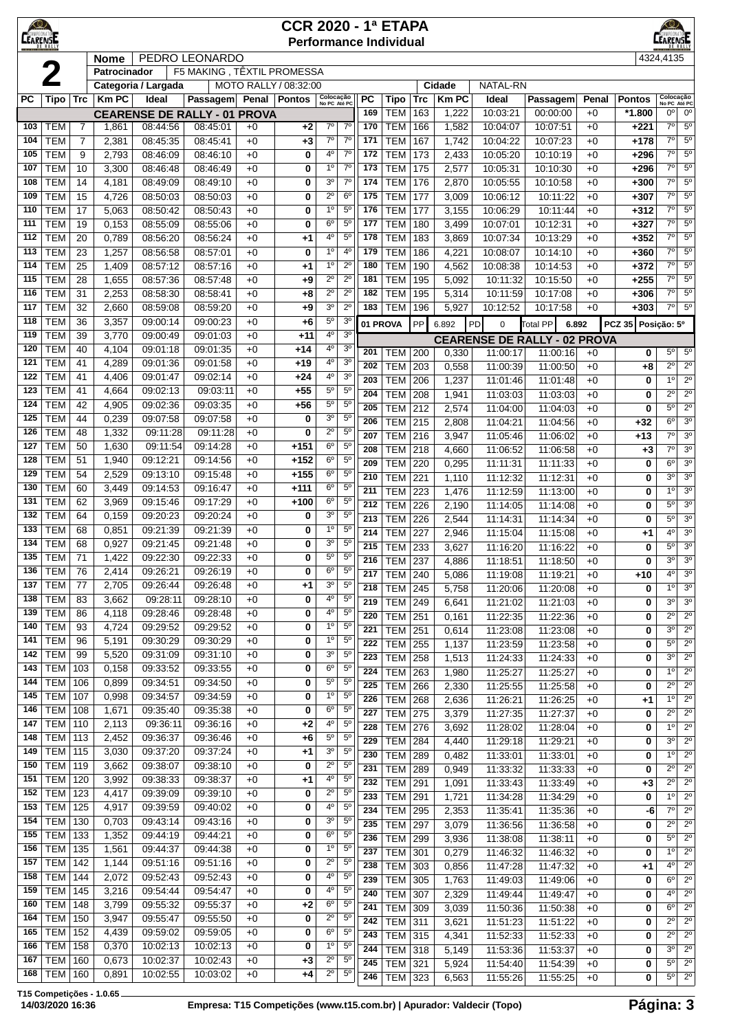| $\bigcirc$<br>CEARENSE |                          |                |                |                      |                                                 |              | <b>CCR 2020 - 1ª ETAPA</b><br><b>Performance Individual</b> |                               |                                  |                         |                           |            |                |                                     |                      |              |                  | EARENSE                                     |                                  |
|------------------------|--------------------------|----------------|----------------|----------------------|-------------------------------------------------|--------------|-------------------------------------------------------------|-------------------------------|----------------------------------|-------------------------|---------------------------|------------|----------------|-------------------------------------|----------------------|--------------|------------------|---------------------------------------------|----------------------------------|
|                        |                          |                | <b>Nome</b>    |                      | PEDRO LEONARDO                                  |              |                                                             |                               |                                  |                         |                           |            |                |                                     |                      |              |                  | 4324,4135                                   |                                  |
|                        |                          |                | Patrocinador   |                      | F5 MAKING, TÊXTIL PROMESSA                      |              |                                                             |                               |                                  |                         |                           |            |                |                                     |                      |              |                  |                                             |                                  |
|                        |                          |                |                | Categoria / Largada  |                                                 |              | MOTO RALLY / 08:32:00                                       |                               |                                  |                         |                           |            | Cidade         | NATAL-RN                            |                      |              |                  |                                             |                                  |
| <b>PC</b>              | Tipo   Trc               |                | <b>Km PC</b>   | Ideal                | Passagem                                        | Penal        | Pontos                                                      | Colocação<br>No PC Até PC     |                                  | <b>PC</b><br>169        | <b>Tipo</b><br><b>TEM</b> | Trc<br>163 | <b>Km PC</b>   | Ideal<br>10:03:21                   | Passagem             | Penal        | <b>Pontos</b>    | Colocação<br>No PC Até PC<br>0 <sup>o</sup> | $0^{\circ}$                      |
| 103                    | <b>TEM</b>               | $\overline{7}$ | 1,861          | 08:44:56             | <b>CEARENSE DE RALLY - 01 PROVA</b><br>08:45:01 | $+0$         | $+2$                                                        | $7^{\circ}$                   | $7^\circ$                        | 170                     | <b>TEM</b>                | 166        | 1,222<br>1,582 | 10:04:07                            | 00:00:00<br>10:07:51 | $+0$<br>$+0$ | *1.800<br>$+221$ | $7^\circ$                                   | $5^{\circ}$                      |
| 104                    | <b>TEM</b>               | $\overline{7}$ | 2,381          | 08:45:35             | 08:45:41                                        | $+0$         | +3                                                          | $7^\circ$                     | $7^\circ$                        | 171                     | <b>TEM</b>                | 167        | 1,742          | 10:04:22                            | 10:07:23             | $+0$         | $+178$           | $7^\circ$                                   | $5^{\circ}$                      |
| 105                    | <b>TEM</b>               | 9              | 2,793          | 08:46:09             | 08:46:10                                        | $+0$         | 0                                                           | 40                            | $7^{\circ}$                      | 172                     | <b>TEM</b>                | 173        | 2,433          | 10:05:20                            | 10:10:19             | $+0$         | $+296$           | $7^\circ$                                   | $5^{\circ}$                      |
| 107                    | <b>TEM</b>               | 10             | 3,300          | 08:46:48             | 08:46:49                                        | $+0$         | 0                                                           | 1 <sup>0</sup>                | $7^{\circ}$                      | 173                     | <b>TEM</b>                | 175        | 2,577          | 10:05:31                            | 10:10:30             | $+0$         | $+296$           | $7^\circ$                                   | $5^{\circ}$                      |
| 108                    | <b>TEM</b>               | 14             | 4,181          | 08:49:09             | 08:49:10                                        | $+0$         | 0                                                           | 3 <sup>o</sup>                | $7^\circ$                        | 174                     | <b>TEM</b>                | 176        | 2,870          | 10:05:55                            | 10:10:58             | $+0$         | $+300$           | $7^\circ$                                   | $5^{\circ}$                      |
| 109                    | <b>TEM</b>               | 15             | 4,726          | 08:50:03             | 08:50:03                                        | $+0$         | 0                                                           | $2^{\circ}$                   | 6 <sup>o</sup>                   | 175                     | <b>TEM</b>                | 177        | 3,009          | 10:06:12                            | 10:11:22             | $+0$         | $+307$           | $7^\circ$                                   | $5^{\circ}$                      |
| 110                    | <b>TEM</b>               | 17             | 5,063          | 08:50:42             | 08:50:43                                        | $+0$         | 0                                                           | 1 <sup>0</sup>                | $5^{\circ}$                      | 176                     | <b>TEM</b>                | 177        | 3,155          | 10:06:29                            | 10:11:44             | $+0$         | $+312$           | $7^\circ$                                   | $5^{\circ}$                      |
| 111<br>112             | <b>TEM</b><br><b>TEM</b> | 19<br>20       | 0,153<br>0,789 | 08:55:09<br>08:56:20 | 08:55:06<br>08:56:24                            | $+0$<br>$+0$ | 0<br>+1                                                     | $6^{\circ}$<br>4°             | $5^{\circ}$<br>5 <sup>o</sup>    | 177<br>178              | <b>TEM</b><br><b>TEM</b>  | 180<br>183 | 3,499<br>3,869 | 10:07:01<br>10:07:34                | 10:12:31<br>10:13:29 | $+0$<br>$+0$ | $+327$<br>$+352$ | $7^\circ$<br>7°                             | $5^{\circ}$<br>$5^{\circ}$       |
| 113                    | <b>TEM</b>               | 23             | 1,257          | 08:56:58             | 08:57:01                                        | $+0$         | 0                                                           | 1 <sup>0</sup>                | 4 <sup>0</sup>                   | 179                     | <b>TEM</b>                | 186        | 4,221          | 10:08:07                            | 10:14:10             | $+0$         | $+360$           | $7^\circ$                                   | $5^{\circ}$                      |
| 114                    | <b>TEM</b>               | 25             | 1,409          | 08:57:12             | 08:57:16                                        | $+0$         | +1                                                          | $1^{\circ}$                   | $2^{\circ}$                      | 180                     | <b>TEM</b>                | 190        | 4,562          | 10:08:38                            | 10:14:53             | $+0$         | $+372$           | $7^\circ$                                   | $5^{\circ}$                      |
| 115                    | <b>TEM</b>               | 28             | 1,655          | 08:57:36             | 08:57:48                                        | $+0$         | +9                                                          | $2^{\circ}$                   | $2^{\circ}$                      | 181                     | <b>TEM</b>                | 195        | 5,092          | 10:11:32                            | 10:15:50             | $+0$         | $+255$           | 7 <sup>0</sup>                              | $5^{\circ}$                      |
| 116                    | <b>TEM</b>               | 31             | 2,253          | 08:58:30             | 08:58:41                                        | $+0$         | +8                                                          | $2^{\circ}$                   | $2^{\circ}$                      | 182                     | <b>TEM</b>                | 195        | 5,314          | 10:11:59                            | 10:17:08             | $+0$         | $+306$           | $7^\circ$                                   | $5^{\circ}$                      |
| 117                    | <b>TEM</b>               | 32             | 2,660          | 08:59:08             | 08:59:20                                        | $+0$         | +9                                                          | 3 <sup>o</sup>                | $2^{\circ}$                      | 183                     | <b>TEM</b>                | 196        | 5,927          | 10:12:52                            | 10:17:58             | $+0$         | $+303$           | $7^{\circ}$                                 | $5^{\circ}$                      |
| 118                    | <b>TEM</b>               | 36             | 3,357          | 09:00:14             | 09:00:23                                        | $+0$         | $+6$                                                        | $5^{\circ}$                   | 3 <sup>o</sup>                   |                         | 01 PROVA                  | PP         | 6.892          | PD<br>0                             | <b>Total PP</b>      | 6.892        | <b>PCZ 35</b>    | Posição: 5º                                 |                                  |
| 119                    | <b>TEM</b>               | 39             | 3,770          | 09:00:49             | 09:01:03                                        | $+0$         | $+11$                                                       | 4°                            | 3 <sup>o</sup>                   |                         |                           |            |                | <b>CEARENSE DE RALLY - 02 PROVA</b> |                      |              |                  |                                             |                                  |
| 120<br>121             | <b>TEM</b><br><b>TEM</b> | 40<br>41       | 4,104<br>4,289 | 09:01:18<br>09:01:36 | 09:01:35<br>09:01:58                            | $+0$<br>$+0$ | $+14$<br>$+19$                                              | 4°<br>4 <sup>0</sup>          | 3 <sup>o</sup><br>3 <sup>o</sup> | 201                     | <b>TEM</b>                | 200        | 0,330          | 11:00:17                            | 11:00:16             | $+0$         | 0                | $5^{\circ}$                                 | $5^{\circ}$                      |
| 122                    | <b>TEM</b>               | 41             | 4,406          | 09:01:47             | 09:02:14                                        | $+0$         | $+24$                                                       | $4^{\circ}$                   | 3 <sup>0</sup>                   | 202<br>203              | <b>TEM</b>                | 203        | 0,558          | 11:00:39                            | 11:00:50             | $+0$         | +8               | $2^{\circ}$<br>1 <sup>°</sup>               | $2^{\circ}$<br>$\overline{2^0}$  |
| 123                    | <b>TEM</b>               | 41             | 4,664          | 09:02:13             | 09:03:11                                        | $+0$         | $+55$                                                       | $5^{\circ}$                   | $5^{\circ}$                      | 204                     | <b>TEM</b><br><b>TEM</b>  | 206<br>208 | 1,237<br>1,941 | 11:01:46<br>11:03:03                | 11:01:48<br>11:03:03 | $+0$<br>$+0$ | 0<br>0           | $2^{\circ}$                                 | $2^{\circ}$                      |
| 124                    | <b>TEM</b>               | 42             | 4,905          | 09:02:36             | 09:03:35                                        | $+0$         | +56                                                         | $5^{\circ}$                   | 5 <sup>o</sup>                   | 205                     | <b>TEM</b>                | 212        | 2,574          | 11:04:00                            | 11:04:03             | $+0$         | 0                | $5^{\circ}$                                 | $2^{\circ}$                      |
| 125                    | <b>TEM</b>               | 44             | 0,239          | 09:07:58             | 09:07:58                                        | $+0$         | 0                                                           | 3 <sup>o</sup>                | 5 <sup>o</sup>                   | 206                     | <b>TEM</b>                | 215        | 2,808          | 11:04:21                            | 11:04:56             | $+0$         | +32              | $6^{\circ}$                                 | 3 <sup>o</sup>                   |
| 126                    | <b>TEM</b>               | 48             | 1,332          | 09:11:28             | 09:11:28                                        | $+0$         | 0                                                           | $2^{\circ}$                   | 5 <sup>o</sup>                   | 207                     | <b>TEM</b>                | 216        | 3,947          | 11:05:46                            | 11:06:02             | $+0$         | +13              | $\overline{7^{\circ}}$                      | 3 <sup>o</sup>                   |
| 127                    | <b>TEM</b>               | 50             | 1,630          | 09:11:54             | 09:14:28                                        | $+0$         | $+151$                                                      | $6^{\circ}$                   | $5^{\circ}$                      | 208                     | <b>TEM</b>                | 218        | 4,660          | 11:06:52                            | 11:06:58             | $+0$         | $+3$             | $7^\circ$                                   | 3 <sup>o</sup>                   |
| 128                    | <b>TEM</b>               | 51             | 1,940          | 09:12:21             | 09:14:56                                        | $+0$         | $+152$                                                      | $6^{\circ}$                   | $5^{\circ}$<br>$5^{\circ}$       | 209                     | <b>TEM</b>                | 220        | 0,295          | 11:11:31                            | 11:11:33             | $+0$         | 0                | $6^{\circ}$                                 | 3 <sup>0</sup>                   |
| 129<br>130             | <b>TEM</b><br><b>TEM</b> | 54<br>60       | 2,529<br>3,449 | 09:13:10<br>09:14:53 | 09:15:48<br>09:16:47                            | $+0$<br>$+0$ | $+155$<br>$+111$                                            | $6^{\circ}$<br>$6^{\circ}$    | $5^{\circ}$                      | 210                     | <b>TEM</b>                | 221        | 1,110          | 11:12:32                            | 11:12:31             | $+0$         | 0                | 30                                          | 3 <sup>0</sup>                   |
| 131                    | <b>TEM</b>               | 62             | 3,969          | 09:15:46             | 09:17:29                                        | $+0$         | +100                                                        | $6^{\circ}$                   | $5^{\circ}$                      | 211<br>$\overline{212}$ | <b>TEM</b>                | 223        | 1,476          | 11:12:59                            | 11:13:00             | $+0$         | 0                | 1 <sup>°</sup><br>5 <sup>o</sup>            | 3 <sup>0</sup><br>3 <sup>0</sup> |
| 132                    | <b>TEM</b>               | 64             | 0,159          | 09:20:23             | 09:20:24                                        | $+0$         | 0                                                           | 3 <sup>o</sup>                | $5^{\circ}$                      | 213                     | <b>TEM</b><br><b>TEM</b>  | 226<br>226 | 2,190<br>2,544 | 11:14:05<br>11:14:31                | 11:14:08<br>11:14:34 | $+0$<br>$+0$ | 0<br>0           | $5^{\circ}$                                 | 3 <sup>0</sup>                   |
| 133                    | <b>TEM</b>               | 68             | 0,851          | 09:21:39             | 09:21:39                                        | $+0$         | 0                                                           | 1 <sup>0</sup>                | $5^{\circ}$                      | 214                     | <b>TEM</b>                | 227        | 2,946          | 11:15:04                            | 11:15:08             | $+0$         | +1               | 40                                          | 3 <sup>0</sup>                   |
| 134                    | <b>TEM</b>               | 68             | 0,927          | 09:21:45             | 09:21:48                                        | $+0$         | 0                                                           | 3 <sup>o</sup>                | $5^{\circ}$                      | 215                     | TEM                       | 233        | 3,627          | 11:16:20                            | 11:16:22             | $+0$         | 0                | $\overline{5^0}$                            | 3 <sup>0</sup>                   |
| 135                    | <b>TEM</b>               | 71             | 1,422          | 09:22:30             | 09:22:33                                        | $+0$         | 0                                                           | $5^{\circ}$                   | $5^{\circ}$                      | 216                     | <b>TEM 237</b>            |            | 4,886          | 11:18:51                            | 11:18:50             | $+0$         | 0                | $\overline{3^0}$                            | $\overline{3^0}$                 |
| 136                    | <b>TEM</b>               | 76             | 2,414          | 09:26:21             | 09:26:19                                        | $+0$         | 0                                                           | 6 <sup>o</sup>                | $5^{\circ}$                      | 217                     | <b>TEM 240</b>            |            | 5,086          | 11:19:08                            | 11:19:21             | $+0$         | +10              | $4^{\circ}$                                 | 3 <sup>o</sup>                   |
| 137                    | <b>TEM</b>               | 77             | 2,705          | 09:26:44<br>09:28:11 | 09:26:48                                        | $+0$         | $+1$                                                        | 3 <sup>o</sup><br>4°          | $5^{\circ}$<br>$5^{\circ}$       | 218                     | <b>TEM</b>                | 245        | 5,758          | 11:20:06                            | 11:20:08             | $+0$         | 0                | 1 <sup>0</sup>                              | 3 <sup>o</sup>                   |
| 138<br>139             | <b>TEM</b><br><b>TEM</b> | 83<br>86       | 3,662<br>4,118 | 09:28:46             | 09:28:10<br>09:28:48                            | $+0$<br>$+0$ | 0<br>0                                                      | 4°                            | $5^{\circ}$                      | 219                     | <b>TEM</b>                | 249        | 6,641          | 11:21:02                            | 11:21:03             | $+0$         | 0                | 3 <sup>0</sup>                              | $3^{\circ}$                      |
| 140                    | <b>TEM</b>               | 93             | 4,724          | 09:29:52             | 09:29:52                                        | $+0$         | 0                                                           | 1 <sup>0</sup>                | 5 <sup>o</sup>                   | 220<br>221              | <b>TEM</b><br>TEM         | 251<br>251 | 0,161          | 11:22:35<br>11:23:08                | 11:22:36<br>11:23:08 | $+0$<br>$+0$ | 0<br>0           | $2^{\circ}$<br>3 <sup>o</sup>               | $2^{\circ}$<br>$2^{\circ}$       |
| 141                    | <b>TEM</b>               | 96             | 5,191          | 09:30:29             | 09:30:29                                        | $+0$         | 0                                                           | $1^{\circ}$                   | 5 <sup>0</sup>                   | 222                     | TEM                       | 255        | 0,614<br>1,137 | 11:23:59                            | 11:23:58             | $+0$         | 0                | $5^{\circ}$                                 | $2^{\circ}$                      |
| 142                    | <b>TEM</b>               | 99             | 5,520          | 09:31:09             | 09:31:10                                        | $+0$         | 0                                                           | 3 <sup>o</sup>                | $5^{\circ}$                      | 223                     | <b>TEM</b>                | 258        | 1,513          | 11:24:33                            | 11:24:33             | $+0$         | 0                | 3 <sup>o</sup>                              | $2^{\circ}$                      |
| 143                    | <b>TEM</b>               | 103            | 0,158          | 09:33:52             | 09:33:55                                        | $+0$         | 0                                                           | $6^{\rm o}$                   | $5^{\circ}$                      | 224                     | <b>TEM</b>                | 263        | 1,980          | 11:25:27                            | 11:25:27             | $+0$         | 0                | $1^{\circ}$                                 | $2^{\circ}$                      |
| 144                    | <b>TEM</b>               | 106            | 0,899          | 09:34:51             | 09:34:50                                        | $+0$         | 0                                                           | $5^{\rm o}$                   | 5 <sup>o</sup>                   | $\overline{225}$        | TEM                       | 266        | 2,330          | 11:25:55                            | 11:25:58             | $+0$         | 0                | $\overline{2^{\circ}}$                      | $2^{\circ}$                      |
| 145                    | <b>TEM</b>               | 107            | 0,998          | 09:34:57             | 09:34:59                                        | $+0$         | 0                                                           | 1 <sup>0</sup>                | 5 <sup>0</sup>                   | 226                     | TEM                       | 268        | 2,636          | 11:26:21                            | 11:26:25             | $+0$         | $+1$             | 1 <sup>0</sup>                              | $2^{\circ}$                      |
| 146<br>147             | <b>TEM</b><br><b>TEM</b> | 108<br>110     | 1,671<br>2,113 | 09:35:40<br>09:36:11 | 09:35:38<br>09:36:16                            | $+0$<br>$+0$ | 0<br>+2                                                     | $6^{\circ}$<br>4°             | $5^\circ$<br>$5^{\circ}$         | 227                     | TEM                       | 275        | 3,379          | 11:27:35                            | 11:27:37             | $+0$         | 0                | $2^{\circ}$                                 | $2^{\circ}$                      |
| 148                    | <b>TEM</b>               | 113            | 2,452          | 09:36:37             | 09:36:46                                        | $+0$         | +6                                                          | $5^{\rm o}$                   | 5 <sup>o</sup>                   | 228<br>229              | <b>TEM</b>                | 276        | 3,692          | 11:28:02                            | 11:28:04             | $+0$         | 0                | 1 <sup>°</sup><br>3 <sup>0</sup>            | $2^{\circ}$<br>$2^{\circ}$       |
| 149                    | <b>TEM</b>               | 115            | 3,030          | 09:37:20             | 09:37:24                                        | $+0$         | +1                                                          | 3 <sup>o</sup>                | 5 <sup>o</sup>                   | 230                     | <b>TEM</b><br><b>TEM</b>  | 284<br>289 | 4,440<br>0,482 | 11:29:18<br>11:33:01                | 11:29:21<br>11:33:01 | $+0$<br>$+0$ | 0<br>0           | 1 <sup>0</sup>                              | $2^{\circ}$                      |
| 150                    | TEM                      | 119            | 3,662          | 09:38:07             | 09:38:10                                        | $+0$         | 0                                                           | $2^{\circ}$                   | $5^{\circ}$                      | 231                     | TEM                       | 289        | 0,949          | 11:33:32                            | 11:33:33             | $+0$         | 0                | $2^{\circ}$                                 | $2^{\circ}$                      |
| 151                    | TEM                      | 120            | 3,992          | 09:38:33             | 09:38:37                                        | $+0$         | $+1$                                                        | 4°                            | $5^{\circ}$                      | 232                     | <b>TEM</b>                | 291        | 1,091          | 11:33:43                            | 11:33:49             | $+0$         | $+3$             | $\overline{2^{\circ}}$                      | $\overline{2^0}$                 |
| 152                    | <b>TEM</b>               | 123            | 4,417          | 09:39:09             | 09:39:10                                        | $+0$         | 0                                                           | $2^{\circ}$                   | $5^{\circ}$                      | 233                     | TEM                       | 291        | 1,721          | 11:34:28                            | 11:34:29             | $+0$         | 0                | 1 <sup>0</sup>                              | $2^{\circ}$                      |
| 153                    | <b>TEM</b>               | 125            | 4,917          | 09:39:59             | 09:40:02                                        | $+0$         | 0                                                           | 4 <sup>o</sup>                | 5 <sup>o</sup>                   | 234                     | TEM                       | 295        | 2,353          | 11:35:41                            | 11:35:36             | $+0$         | -6               | $7^\circ$                                   | $2^{\circ}$                      |
| 154                    | <b>TEM</b>               | 130            | 0,703          | 09:43:14             | 09:43:16                                        | $+0$         | 0                                                           | 3 <sup>o</sup>                | $5^{\circ}$                      | 235                     | TEM                       | 297        | 3,079          | 11:36:56                            | 11:36:58             | $+0$         | 0                | $2^{\circ}$                                 | $\overline{2^0}$                 |
| 155<br>156             | <b>TEM</b><br><b>TEM</b> | 133<br>135     | 1,352<br>1,561 | 09:44:19<br>09:44:37 | 09:44:21<br>09:44:38                            | $+0$<br>$+0$ | 0<br>0                                                      | $6^{\circ}$<br>$1^{\circ}$    | $5^\circ$<br>5 <sup>o</sup>      | 236                     | TEM                       | 299        | 3,936          | 11:38:08                            | 11:38:11             | $+0$         | 0                | 5 <sup>o</sup>                              | $2^{\circ}$                      |
| 157                    | <b>TEM</b>               | 142            | 1,144          | 09:51:16             | 09:51:16                                        | $+0$         | 0                                                           | $2^{\circ}$                   | 5 <sup>o</sup>                   | 237<br>238              | TEM<br><b>TEM</b>         | 301        | 0,279          | 11:46:32                            | 11:46:32             | $+0$         | 0                | 10<br>4 <sup>0</sup>                        | $2^{\circ}$<br>$2^{\circ}$       |
| 158                    | <b>TEM</b>               | 144            | 2,072          | 09:52:43             | 09:52:43                                        | $+0$         | 0                                                           | 4 <sup>o</sup>                | $5^{\circ}$                      | 239                     | TEM                       | 303<br>305 | 0,856<br>1,763 | 11:47:28<br>11:49:03                | 11:47:32<br>11:49:06 | $+0$<br>$+0$ | $+1$<br>0        | $6^{\circ}$                                 | $2^{\circ}$                      |
| 159                    | <b>TEM</b>               | 145            | 3,216          | 09:54:44             | 09:54:47                                        | $+0$         | 0                                                           | 4°                            | $5^{\circ}$                      | 240                     | TEM                       | 307        | 2,329          | 11:49:44                            | 11:49:47             | $+0$         | 0                | $4^{\circ}$                                 | $2^{\circ}$                      |
| 160                    | <b>TEM</b>               | 148            | 3,799          | 09:55:32             | 09:55:37                                        | $+0$         | $+2$                                                        | $6^{\circ}$                   | $5^{\circ}$                      | 241                     | <b>TEM</b>                | 309        | 3,039          | 11:50:36                            | 11:50:38             | $+0$         | 0                | $6^{\circ}$                                 | $2^{\circ}$                      |
| 164                    | <b>TEM</b>               | 150            | 3,947          | 09:55:47             | 09:55:50                                        | $+0$         | 0                                                           | $2^{\circ}$                   | 5 <sup>0</sup>                   | 242                     | TEM                       | 311        | 3,621          | 11:51:23                            | 11:51:22             | $+0$         | 0                | $2^{\circ}$                                 | $2^{\circ}$                      |
| 165                    | <b>TEM</b>               | 152            | 4,439          | 09:59:02             | 09:59:05                                        | $+0$         | 0                                                           | $6^{\rm o}$                   | $5^{\circ}$                      | 243                     | <b>TEM</b>                | 315        | 4,341          | 11:52:33                            | 11:52:33             | $+0$         | 0                | $2^{\circ}$                                 | $2^{\circ}$                      |
| 166<br>167             | <b>TEM</b><br><b>TEM</b> | 158<br>160     | 0,370<br>0,673 | 10:02:13<br>10:02:37 | 10:02:13<br>10:02:43                            | $+0$         | 0                                                           | 1 <sup>o</sup><br>$2^{\circ}$ | $5^{\circ}$<br>$5^\circ$         | 244                     | TEM                       | 318        | 5,149          | 11:53:36                            | 11:53:37             | $+0$         | 0                | 3 <sup>0</sup>                              | $\overline{2^{\circ}}$           |
| 168                    | <b>TEM</b>               | 160            | 0,891          | 10:02:55             | 10:03:02                                        | $+0$<br>$+0$ | $+3$<br>+4                                                  | $2^{\circ}$                   | $5^{\circ}$                      | 245                     | <b>TEM 321</b>            |            | 5,924          | 11:54:40                            | 11:54:39             | $+0$         | 0                | $5^{\circ}$                                 | $2^{\circ}$                      |
|                        |                          |                |                |                      |                                                 |              |                                                             |                               |                                  | 246                     | TEM                       | 323        | 6,563          | 11:55:26                            | 11:55:25             | $+0$         | 0                | $5^{\circ}$                                 | $2^{\circ}$                      |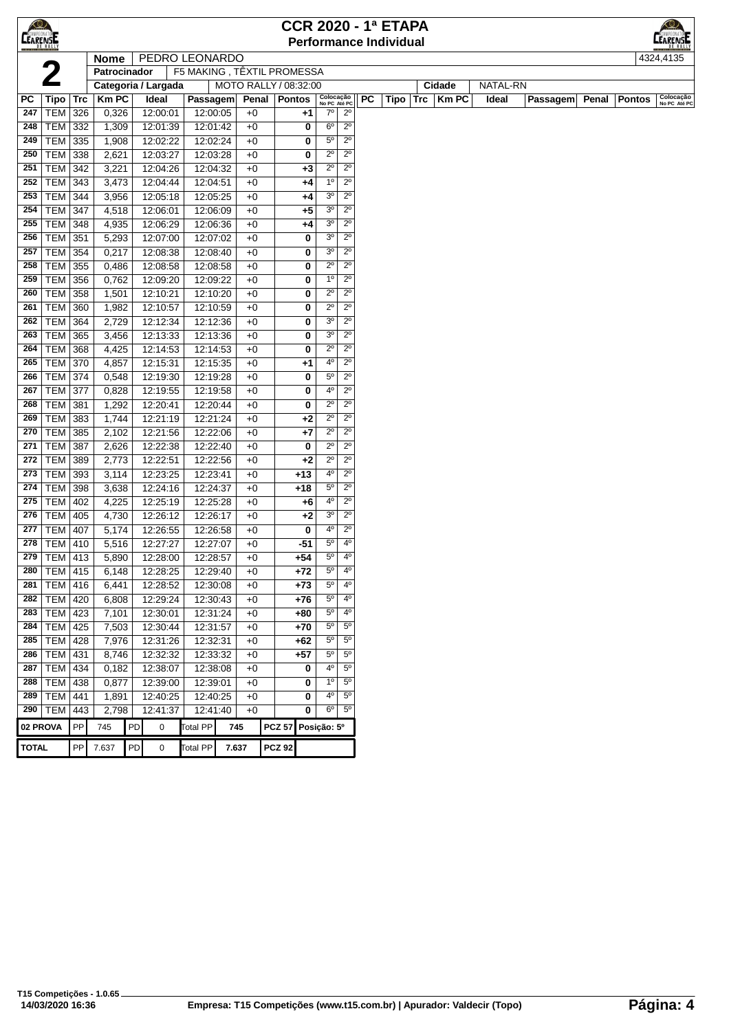| <b>CEARENEE</b> |                              |     |                |    |                      |                            |       |              |                       |        |                            |                               |           | <b>CCR 2020 - 1ª ETAPA</b>    |             |          |          |              |               | $\circ$                   |
|-----------------|------------------------------|-----|----------------|----|----------------------|----------------------------|-------|--------------|-----------------------|--------|----------------------------|-------------------------------|-----------|-------------------------------|-------------|----------|----------|--------------|---------------|---------------------------|
|                 |                              |     |                |    |                      |                            |       |              |                       |        |                            |                               |           | <b>Performance Individual</b> |             |          |          |              |               | <b>EARENSE</b>            |
|                 |                              |     | <b>Nome</b>    |    | PEDRO LEONARDO       |                            |       |              |                       |        |                            |                               |           |                               |             |          |          |              |               | 4324,4135                 |
|                 |                              |     | Patrocinador   |    |                      | F5 MAKING, TÊXTIL PROMESSA |       |              |                       |        |                            |                               |           |                               |             |          |          |              |               |                           |
|                 |                              |     |                |    | Categoria / Largada  |                            |       |              | MOTO RALLY / 08:32:00 |        |                            |                               |           |                               | Cidade      | NATAL-RN |          |              |               |                           |
| PC              | Tipo                         | Trc | <b>Km PC</b>   |    | Ideal                | Passagem                   |       |              | Penal   Pontos        |        | Colocação<br>No PC Até PC  |                               | <b>PC</b> | Tipo                          | Trc   Km PC | Ideal    | Passagem | <b>Penal</b> | <b>Pontos</b> | Colocação<br>No PC Até PC |
| 247             | <b>TEM</b>                   | 326 | 0,326          |    | 12:00:01             | 12:00:05                   |       | $+0$         |                       | +1     | $7^\circ$                  | $2^{\circ}$                   |           |                               |             |          |          |              |               |                           |
| 248             | <b>TEM</b>                   | 332 | 1,309          |    | 12:01:39             | 12:01:42                   |       | $+0$         |                       | 0      | $6^{\circ}$                | $2^{\circ}$                   |           |                               |             |          |          |              |               |                           |
| 249             | TEM 335                      |     | 1,908          |    | 12:02:22             | 12:02:24                   |       | $+0$         |                       | 0      | $5^{\circ}$                | $2^{\circ}$                   |           |                               |             |          |          |              |               |                           |
| 250             | TEM                          | 338 | 2,621          |    | 12:03:27             | 12:03:28                   |       | $+0$         |                       | 0      | $2^{\circ}$                | $2^{\circ}$                   |           |                               |             |          |          |              |               |                           |
| 251             | <b>TEM</b>                   | 342 | 3,221          |    | 12:04:26             | 12:04:32                   |       | $+0$         |                       | $+3$   | $2^{\circ}$                | $2^{\circ}$                   |           |                               |             |          |          |              |               |                           |
| 252             | <b>TEM</b>                   | 343 | 3,473          |    | 12:04:44             | 12:04:51                   |       | $+0$         |                       | +4     | $1^{\circ}$                | $2^{\circ}$                   |           |                               |             |          |          |              |               |                           |
| 253             | <b>TEM</b>                   | 344 | 3,956          |    | 12:05:18             | 12:05:25                   |       | $+0$         |                       | +4     | 3 <sup>o</sup>             | $2^{\circ}$                   |           |                               |             |          |          |              |               |                           |
| 254             | <b>TEM 347</b>               |     | 4,518          |    | 12:06:01             | 12:06:09                   |       | $+0$         |                       | +5     | 3 <sup>0</sup>             | $2^{\circ}$                   |           |                               |             |          |          |              |               |                           |
| 255             | <b>TEM 348</b>               |     | 4,935          |    | 12:06:29             | 12:06:36                   |       | $+0$         |                       | +4     | 3 <sup>o</sup>             | $2^{\circ}$                   |           |                               |             |          |          |              |               |                           |
| 256             | <b>TEM</b>                   | 351 | 5,293          |    | 12:07:00             | 12:07:02                   |       | $+0$         |                       | 0      | 3 <sup>o</sup>             | $2^{\circ}$                   |           |                               |             |          |          |              |               |                           |
| 257             | TEM                          | 354 | 0,217          |    | 12:08:38             | 12:08:40                   |       | $+0$         |                       | 0      | 3 <sup>o</sup>             | $2^{\circ}$                   |           |                               |             |          |          |              |               |                           |
| 258             | TEM                          | 355 | 0,486          |    | 12:08:58             | 12:08:58                   |       | $+0$         |                       | 0      | $2^{\circ}$                | $2^{\circ}$                   |           |                               |             |          |          |              |               |                           |
| 259             | TEM                          | 356 | 0,762          |    | 12:09:20             | 12:09:22                   |       | $+0$         |                       | 0      | $1^{\circ}$                | $2^{\circ}$                   |           |                               |             |          |          |              |               |                           |
| 260             | <b>TEM</b>                   | 358 | 1,501          |    | 12:10:21             | 12:10:20                   |       | $+0$         |                       | 0      | $2^{\circ}$                | $2^{\circ}$                   |           |                               |             |          |          |              |               |                           |
| 261             | <b>TEM</b>                   | 360 | 1,982          |    | 12:10:57             | 12:10:59                   |       | $+0$         |                       | 0      | $2^{\circ}$                | $2^{\circ}$                   |           |                               |             |          |          |              |               |                           |
| 262             | <b>TEM</b>                   | 364 | 2,729          |    | 12:12:34             | 12:12:36                   |       | $+0$         |                       | 0      | 3 <sup>o</sup>             | $2^{\circ}$                   |           |                               |             |          |          |              |               |                           |
| 263             | TEM 365                      |     | 3,456          |    | 12:13:33             | 12:13:36                   |       | $+0$         |                       | 0      | 3 <sup>0</sup>             | $2^{\circ}$                   |           |                               |             |          |          |              |               |                           |
| 264             | <b>TEM 368</b>               |     | 4,425          |    | 12:14:53             | 12:14:53                   |       | $+0$         |                       | 0      | $2^{\circ}$                | $2^{\circ}$                   |           |                               |             |          |          |              |               |                           |
| 265             | <b>TEM 370</b>               |     | 4,857          |    | 12:15:31             | 12:15:35                   |       | $+0$         |                       | +1     | 4°                         | $2^{\circ}$                   |           |                               |             |          |          |              |               |                           |
| 266             | TEM                          | 374 | 0,548          |    | 12:19:30             | 12:19:28                   |       | $+0$         |                       | 0      | $5^{\circ}$                | $2^{\circ}$                   |           |                               |             |          |          |              |               |                           |
| 267             | <b>TEM 377</b>               |     | 0,828          |    | 12:19:55             | 12:19:58                   |       | $+0$         |                       | 0      | 4°                         | $2^{\circ}$                   |           |                               |             |          |          |              |               |                           |
| 268             | <b>TEM 381</b>               |     | 1,292          |    | 12:20:41             | 12:20:44                   |       | $+0$         |                       | 0      | $2^{\circ}$                | $2^{\circ}$                   |           |                               |             |          |          |              |               |                           |
| 269             | <b>TEM</b>                   | 383 | 1,744          |    | 12:21:19             | 12:21:24                   |       | $+0$         |                       | +2     | $2^{\circ}$                | $2^{\circ}$                   |           |                               |             |          |          |              |               |                           |
| 270             | TEM                          | 385 | 2,102          |    | 12:21:56             | 12:22:06                   |       | $+0$         |                       | +7     | $2^{\circ}$                | $2^{\circ}$                   |           |                               |             |          |          |              |               |                           |
| 271             | <b>TEM</b>                   | 387 | 2,626          |    | 12:22:38             | 12:22:40                   |       | $+0$         |                       | 0      | $2^{\circ}$                | $2^{\circ}$                   |           |                               |             |          |          |              |               |                           |
| 272             | <b>TEM 389</b>               |     | 2,773          |    | 12:22:51             | 12:22:56                   |       | $+0$         |                       | +2     | $2^{\circ}$                | $2^{\circ}$                   |           |                               |             |          |          |              |               |                           |
| 273             | TEM 393                      |     | 3,114          |    | 12:23:25             | 12:23:41                   |       | $+0$         |                       | $+13$  | 4°                         | $2^{\circ}$                   |           |                               |             |          |          |              |               |                           |
| 274             | <b>TEM 398</b>               |     | 3,638          |    | 12:24:16             | 12:24:37                   |       | $+0$         |                       | $+18$  | $5^\circ$                  | $2^{\circ}$                   |           |                               |             |          |          |              |               |                           |
| 275             | TEM                          | 402 | 4,225          |    | 12:25:19             | 12:25:28                   |       | +0           |                       | $+6$   | $4^{\circ}$                | $2^{\circ}$                   |           |                               |             |          |          |              |               |                           |
| 276             | <b>TEM</b>                   | 405 | 4,730          |    | 12:26:12             | 12:26:17                   |       | $+0$         |                       | +2     | 3 <sup>o</sup>             | $2^{\circ}$                   |           |                               |             |          |          |              |               |                           |
| 277             | <b>TEM 407</b>               |     | 5,174          |    | 12:26:55             | 12:26:58                   |       | $+0$         |                       | 0      | $4^{\rm o}$                | $2^{\circ}$                   |           |                               |             |          |          |              |               |                           |
| 278             | <b>TEM 410</b>               |     | 5,516          |    | 12:27:27             | 12:27:07                   |       | $+0$         |                       | -51    | $5^{\circ}$                | 4°                            |           |                               |             |          |          |              |               |                           |
| 279             | <b>TEM 413</b>               |     | 5,890          |    | 12:28:00             | 12:28:57                   |       | $+0$         |                       | $+54$  | $5^{\circ}$                | $4^{\circ}$                   |           |                               |             |          |          |              |               |                           |
|                 | 280 TEM 415                  |     | 6,148          |    | 12:28:25             | 12:29:40                   |       | $+0$         |                       | $+72$  | $5^{\circ}$                |                               |           |                               |             |          |          |              |               |                           |
| 281             | <b>TEM 416</b>               |     | 6,441          |    | 12:28:52             | 12:30:08                   |       | +0           |                       | $+73$  | $5^{\circ}$                | $4^{\circ}$                   |           |                               |             |          |          |              |               |                           |
| 282             | TEM   420                    |     | 6,808          |    | 12:29:24             | 12:30:43                   |       | $+0$         |                       | $+76$  | $5^{\circ}$                | $4^{\circ}$                   |           |                               |             |          |          |              |               |                           |
|                 | 283   TEM   423              |     | 7,101          |    | 12:30:01             | 12:31:24                   |       | $+0$         |                       | +80    | $5^{\circ}$                | 4°                            |           |                               |             |          |          |              |               |                           |
| 284             | <b>TEM 425</b>               |     | 7,503          |    | 12:30:44             | 12:31:57                   |       | +0           |                       | $+70$  | $5^{\circ}$<br>$5^{\circ}$ | $5^{\circ}$<br>5 <sup>o</sup> |           |                               |             |          |          |              |               |                           |
| 285             | $TEM$ 428                    |     | 7,976          |    | 12:31:26             | 12:32:31                   |       | +0           |                       | $+62$  |                            |                               |           |                               |             |          |          |              |               |                           |
| 286             | TEM 431                      |     | 8,746          |    | 12:32:32             | 12:33:32                   |       | $+0$         |                       | $+57$  | $5^{\circ}$<br>$4^{\rm o}$ | $5^{\circ}$<br>$5^{\circ}$    |           |                               |             |          |          |              |               |                           |
| 287             | <b>TEM 434</b><br><b>TEM</b> | 438 | 0,182<br>0,877 |    | 12:38:07<br>12:39:00 | 12:38:08<br>12:39:01       |       | $+0$<br>$+0$ |                       | 0      | $1^{\circ}$                | $5^{\circ}$                   |           |                               |             |          |          |              |               |                           |
| 288<br>289      | <b>TEM</b>                   | 441 | 1,891          |    |                      |                            |       | $+0$         |                       | 0      | $4^{\circ}$                | $5^{\circ}$                   |           |                               |             |          |          |              |               |                           |
|                 | 290   TEM                    | 443 | 2,798          |    | 12:40:25<br>12:41:37 | 12:40:25<br>12:41:40       |       | $+0$         |                       | 0<br>0 | $6^{\circ}$                | $5^{\circ}$                   |           |                               |             |          |          |              |               |                           |
|                 |                              |     |                |    |                      |                            |       |              |                       |        |                            |                               |           |                               |             |          |          |              |               |                           |
| 02 PROVA        |                              | PP  | 745            | PD | 0                    | <b>Total PP</b>            | 745   |              | <b>PCZ 57</b>         |        | Posição: 5º                |                               |           |                               |             |          |          |              |               |                           |
| <b>TOTAL</b>    |                              | PP  | 7.637          | PD | 0                    | <b>Total PP</b>            | 7.637 |              | <b>PCZ 92</b>         |        |                            |                               |           |                               |             |          |          |              |               |                           |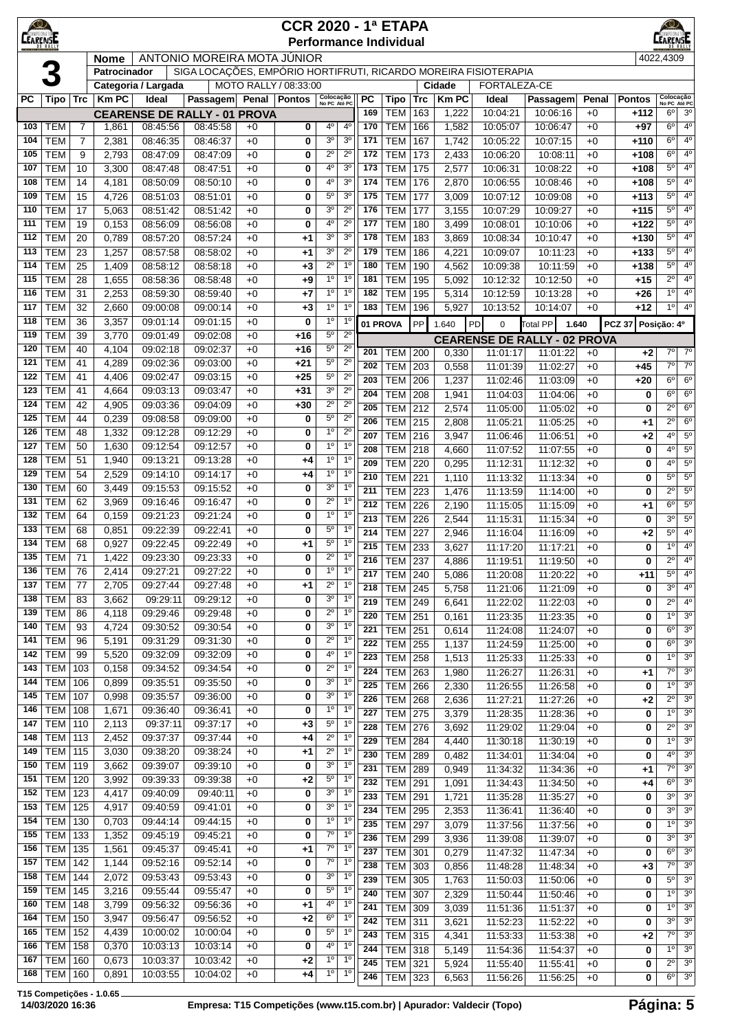| <u>KQ)</u><br><b>LEARENSE</b> | <b>CCR 2020 - 1ª ETAPA</b><br><b>Performance Individual</b><br>ANTONIO MOREIRA MOTA JÚNIOR |                |                |                      |                                                                 |              |                       |                                  |                                  |            |                          |            |                |                      |                                                 | rensi        |                  |                                  |                                  |
|-------------------------------|--------------------------------------------------------------------------------------------|----------------|----------------|----------------------|-----------------------------------------------------------------|--------------|-----------------------|----------------------------------|----------------------------------|------------|--------------------------|------------|----------------|----------------------|-------------------------------------------------|--------------|------------------|----------------------------------|----------------------------------|
|                               |                                                                                            |                | <b>Nome</b>    |                      |                                                                 |              |                       |                                  |                                  |            |                          |            |                |                      |                                                 |              |                  | 4022,4309                        |                                  |
|                               |                                                                                            |                | Patrocinador   |                      | SIGA LOCAÇÕES, EMPÓRIO HORTIFRUTI, RICARDO MOREIRA FISIOTERAPIA |              |                       |                                  |                                  |            |                          |            |                |                      |                                                 |              |                  |                                  |                                  |
|                               |                                                                                            |                |                | Categoria / Largada  |                                                                 |              | MOTO RALLY / 08:33:00 |                                  |                                  |            |                          |            | Cidade         | FORTALEZA-CE         |                                                 |              |                  |                                  |                                  |
| PC                            | Tipo Trc                                                                                   |                | <b>KmPC</b>    | Ideal                | Passagem                                                        |              | Penal Pontos          | Colocação<br>No PC Até PC        |                                  | <b>PC</b>  | <b>Tipo</b>              | <b>Trc</b> | <b>Km PC</b>   | Ideal                | Passagem                                        | Penal        | <b>Pontos</b>    | Colocação<br>No PC Até PC        |                                  |
|                               |                                                                                            |                |                |                      | <b>CEARENSE DE RALLY - 01 PROVA</b>                             |              |                       |                                  |                                  | 169        | <b>TEM</b>               | 163        | 1,222          | 10:04:21             | 10:06:16                                        | $+0$         | $+112$           | $6^{\circ}$                      | 3 <sup>o</sup>                   |
| 103                           | <b>TEM</b>                                                                                 | $\overline{7}$ | 1,861          | 08:45:56             | 08:45:58                                                        | $+0$         | 0                     | 4 <sup>0</sup>                   | 4 <sup>0</sup>                   | 170        | <b>TEM</b>               | 166        | 1,582          | 10:05:07             | 10:06:47                                        | $+0$         | $+97$            | 6 <sup>o</sup>                   | 4 <sup>0</sup>                   |
| 104                           | <b>TEM</b>                                                                                 | $\overline{7}$ | 2,381          | 08:46:35             | 08:46:37                                                        | $+0$         | 0                     | 3 <sup>o</sup><br>$2^{\circ}$    | 3 <sup>0</sup>                   | 171        | <b>TEM</b>               | 167        | 1,742          | 10:05:22             | 10:07:15<br>10:08:11                            | $+0$         | $+110$           | 6 <sup>o</sup><br>$6^{\circ}$    | 4 <sup>0</sup><br>4 <sup>0</sup> |
| 105<br>107                    | <b>TEM</b><br><b>TEM</b>                                                                   | 9<br>10        | 2,793<br>3,300 | 08:47:09<br>08:47:48 | 08:47:09<br>08:47:51                                            | $+0$<br>$+0$ | 0<br>$\mathbf 0$      | 4 <sup>0</sup>                   | $2^{\circ}$<br>3 <sup>o</sup>    | 172<br>173 | <b>TEM</b><br><b>TEM</b> | 173<br>175 | 2,433<br>2,577 | 10:06:20<br>10:06:31 | 10:08:22                                        | $+0$<br>$+0$ | $+108$<br>$+108$ | $5^{\circ}$                      | 4 <sup>0</sup>                   |
| 108                           | <b>TEM</b>                                                                                 | 14             | 4,181          | 08:50:09             | 08:50:10                                                        | $+0$         | 0                     | 4 <sup>0</sup>                   | 3 <sup>o</sup>                   | 174        | <b>TEM</b>               | 176        | 2,870          | 10:06:55             | 10:08:46                                        | $+0$         | $+108$           | $5^{\circ}$                      | 4 <sup>0</sup>                   |
| 109                           | <b>TEM</b>                                                                                 | 15             | 4,726          | 08:51:03             | 08:51:01                                                        | $+0$         | 0                     | $5^{\circ}$                      | 3 <sup>o</sup>                   | 175        | <b>TEM</b>               | 177        | 3,009          | 10:07:12             | 10:09:08                                        | $+0$         | $+113$           | 5 <sup>0</sup>                   | 4 <sup>0</sup>                   |
| 110                           | <b>TEM</b>                                                                                 | 17             | 5,063          | 08:51:42             | 08:51:42                                                        | $+0$         | 0                     | 3 <sup>o</sup>                   | $2^{\circ}$                      | 176        | <b>TEM</b>               | 177        | 3,155          | 10:07:29             | 10:09:27                                        | $+0$         | $+115$           | $5^{\circ}$                      | 4 <sup>0</sup>                   |
| 111                           | <b>TEM</b>                                                                                 | 19             | 0,153          | 08:56:09             | 08:56:08                                                        | $+0$         | 0                     | 4 <sup>0</sup>                   | $2^{\circ}$                      | 177        | <b>TEM</b>               | 180        | 3,499          | 10:08:01             | 10:10:06                                        | $+0$         | $+122$           | $5^{\rm o}$                      | 4 <sup>0</sup>                   |
| 112                           | <b>TEM</b>                                                                                 | 20             | 0,789          | 08:57:20             | 08:57:24                                                        | $+0$         | +1                    | 3 <sup>o</sup>                   | 3 <sup>o</sup>                   | 178        | <b>TEM</b>               | 183        | 3,869          | 10:08:34             | 10:10:47                                        | $+0$         | $+130$           | 5 <sup>0</sup>                   | 4 <sup>0</sup>                   |
| 113                           | <b>TEM</b>                                                                                 | 23             | 1,257          | 08:57:58             | 08:58:02                                                        | $+0$         | $+1$                  | 3 <sup>o</sup>                   | $2^{\circ}$                      | 179        | <b>TEM</b>               | 186        | 4,221          | 10:09:07             | 10:11:23                                        | $+0$         | $+133$           | 5 <sup>0</sup>                   | 4 <sup>0</sup>                   |
| 114                           | <b>TEM</b>                                                                                 | 25             | 1,409          | 08:58:12             | 08:58:18                                                        | $+0$         | $+3$                  | $2^{\circ}$                      | 1 <sup>0</sup>                   | 180        | <b>TEM</b>               | 190        | 4,562          | 10:09:38             | 10:11:59                                        | $+0$         | $+138$           | $5^{\rm o}$                      | 4 <sup>0</sup>                   |
| 115                           | <b>TEM</b>                                                                                 | 28             | 1,655          | 08:58:36             | 08:58:48                                                        | $+0$         | $+9$                  | 1 <sup>0</sup>                   | 1 <sup>0</sup>                   | 181        | <b>TEM</b>               | 195        | 5,092          | 10:12:32             | 10:12:50                                        | $+0$         | $+15$            | $2^{\circ}$                      | 40                               |
| 116<br>117                    | <b>TEM</b><br><b>TEM</b>                                                                   | 31<br>32       | 2,253          | 08:59:30<br>09:00:08 | 08:59:40<br>09:00:14                                            | $+0$         | +7                    | 1 <sup>0</sup><br>1 <sup>0</sup> | 1 <sup>0</sup><br>1 <sup>0</sup> | 182<br>183 | <b>TEM</b><br><b>TEM</b> | 195<br>196 | 5,314          | 10:12:59             | 10:13:28<br>10:14:07                            | $+0$<br>$+0$ | $+26$<br>$+12$   | 1 <sup>0</sup><br>10             | 4 <sup>0</sup><br>4 <sup>0</sup> |
| 118                           | <b>TEM</b>                                                                                 | 36             | 2,660<br>3,357 | 09:01:14             | 09:01:15                                                        | $+0$<br>$+0$ | $+3$<br>0             | 1 <sup>0</sup>                   | 1 <sup>0</sup>                   |            |                          |            | 5,927          | 10:13:52             |                                                 |              |                  |                                  |                                  |
| 119                           | <b>TEM</b>                                                                                 | 39             | 3,770          | 09:01:49             | 09:02:08                                                        | $+0$         | $+16$                 | $5^{\circ}$                      | $2^{\circ}$                      |            | 01 PROVA                 | PP         | 1.640          | PD<br>$\mathbf 0$    | Total PP<br>1.640                               |              | <b>PCZ 37</b>    | Posição: 4º                      |                                  |
| 120                           | <b>TEM</b>                                                                                 | 40             | 4,104          | 09:02:18             | 09:02:37                                                        | $+0$         | $+16$                 | $5^{\circ}$                      | $2^{\circ}$                      | 201        | <b>TEM</b>               | 200        | 0,330          | 11:01:17             | <b>CEARENSE DE RALLY - 02 PROVA</b><br>11:01:22 | $+0$         | $+2$             | $7^\circ$                        | $7^\circ$                        |
| 121                           | <b>TEM</b>                                                                                 | 41             | 4,289          | 09:02:36             | 09:03:00                                                        | $+0$         | $+21$                 | $5^{\circ}$                      | $2^{\circ}$                      | 202        | <b>TEM</b>               | 203        | 0,558          | 11:01:39             | 11:02:27                                        | $+0$         | $+45$            | $7^\circ$                        | $7^\circ$                        |
| 122                           | <b>TEM</b>                                                                                 | 41             | 4,406          | 09:02:47             | 09:03:15                                                        | $+0$         | $+25$                 | $5^{\circ}$                      | $2^{\circ}$                      | 203        | <b>TEM</b>               | 206        | 1,237          | 11:02:46             | 11:03:09                                        | $+0$         | $+20$            | $6^{\circ}$                      | $6^{\circ}$                      |
| 123                           | <b>TEM</b>                                                                                 | 41             | 4,664          | 09:03:13             | 09:03:47                                                        | $+0$         | $+31$                 | 3 <sup>o</sup>                   | $2^{\circ}$                      | 204        | <b>TEM</b>               | 208        | 1,941          | 11:04:03             | 11:04:06                                        | $+0$         | 0                | $6^{\circ}$                      | 6 <sup>o</sup>                   |
| 124                           | <b>TEM</b>                                                                                 | 42             | 4,905          | 09:03:36             | 09:04:09                                                        | $+0$         | $+30$                 | $2^{\circ}$                      | $2^{\circ}$                      | 205        | <b>TEM</b>               | 212        | 2,574          | 11:05:00             | 11:05:02                                        | $+0$         | 0                | $2^{\circ}$                      | 6 <sup>o</sup>                   |
| 125                           | <b>TEM</b>                                                                                 | 44             | 0,239          | 09:08:58             | 09:09:00                                                        | $+0$         | 0                     | $5^{\circ}$                      | $2^{\circ}$                      | 206        | <b>TEM</b>               | 215        | 2,808          | 11:05:21             | 11:05:25                                        | $+0$         | +1               | $2^{\circ}$                      | 6 <sup>o</sup>                   |
| 126                           | <b>TEM</b>                                                                                 | 48             | 1,332          | 09:12:28             | 09:12:29                                                        | $+0$         | 0                     | 1 <sup>0</sup>                   | $2^{\circ}$                      | 207        | <b>TEM</b>               | 216        | 3,947          | 11:06:46             | 11:06:51                                        | $+0$         | $+2$             | 4 <sup>0</sup>                   | $\overline{5^0}$                 |
| 127                           | <b>TEM</b>                                                                                 | 50             | 1,630          | 09:12:54             | 09:12:57                                                        | $+0$         | 0                     | 1 <sup>0</sup>                   | 1 <sup>0</sup>                   | 208        | <b>TEM 218</b>           |            | 4,660          | 11:07:52             | 11:07:55                                        | $+0$         | 0                | $4^{\circ}$                      | $5^{\circ}$                      |
| 128                           | <b>TEM</b><br><b>TEM</b>                                                                   | 51<br>54       | 1,940          | 09:13:21             | 09:13:28<br>09:14:17                                            | $+0$         | $+4$                  | 1 <sup>0</sup><br>1 <sup>0</sup> | 1 <sup>0</sup><br>1 <sup>0</sup> | 209        | <b>TEM</b>               | 220        | 0,295          | 11:12:31             | 11:12:32                                        | $+0$         | 0                | $4^{\circ}$                      | $5^{\circ}$                      |
| 129<br>130                    | <b>TEM</b>                                                                                 | 60             | 2,529<br>3,449 | 09:14:10<br>09:15:53 | 09:15:52                                                        | $+0$<br>$+0$ | +4<br>0               | 3 <sup>o</sup>                   | 1 <sup>0</sup>                   | 210        | <b>TEM</b>               | 221        | 1,110          | 11:13:32             | 11:13:34                                        | $+0$         | 0                | $5^{\rm o}$                      | 5 <sup>o</sup>                   |
| 131                           | <b>TEM</b>                                                                                 | 62             | 3,969          | 09:16:46             | 09:16:47                                                        | $+0$         | 0                     | $2^{\circ}$                      | 1 <sup>0</sup>                   | 211        | <b>TEM</b>               | 223        | 1,476          | 11:13:59             | 11:14:00                                        | $+0$         | 0                | $2^{\circ}$<br>6 <sup>o</sup>    | $5^{\circ}$<br>$5^{\circ}$       |
| 132                           | <b>TEM</b>                                                                                 | 64             | 0,159          | 09:21:23             | 09:21:24                                                        | $+0$         | 0                     | 1 <sup>0</sup>                   | 1 <sup>0</sup>                   | 212<br>213 | <b>TEM</b><br><b>TEM</b> | 226<br>226 | 2,190<br>2,544 | 11:15:05<br>11:15:31 | 11:15:09<br>11:15:34                            | $+0$<br>$+0$ | $+1$<br>0        | 3 <sup>0</sup>                   | 5 <sup>o</sup>                   |
| 133                           | <b>TEM</b>                                                                                 | 68             | 0,851          | 09:22:39             | 09:22:41                                                        | $+0$         | 0                     | $5^{\circ}$                      | 1 <sup>0</sup>                   | 214        | <b>TEM</b>               | 227        | 2,946          | 11:16:04             | 11:16:09                                        | $+0$         | +2               | $5^{\rm o}$                      | 4 <sup>0</sup>                   |
| 134                           | <b>TEM</b>                                                                                 | 68             | 0,927          | 09:22:45             | 09:22:49                                                        | $+0$         | +1                    | $5^{\circ}$                      | 1 <sup>0</sup>                   | 215        | <b>TEM</b>               | 233        | 3,627          | 11:17:20             | 11:17:21                                        | $+0$         | 0                | 1 <sup>0</sup>                   | 4 <sup>0</sup>                   |
| 135                           | <b>TEM</b>                                                                                 | 71             | 1,422          | 09:23:30             | 09:23:33                                                        | $+0$         | 0                     | $2^{\circ}$                      | 1 <sup>0</sup>                   | 216        | <b>TEM 237</b>           |            | 4,886          | 11:19:51             | 11:19:50                                        | $+0$         | 0                | $\overline{2^{\circ}}$           | $\overline{4^0}$                 |
| 136                           | <b>TEM</b>                                                                                 | 76             | 2,414          | 09:27:21             | 09:27:22                                                        | $+0$         | 0                     | $1^{\circ}$                      | 1 <sup>0</sup>                   | 217        | <b>TEM 240</b>           |            | 5,086          | 11:20:08             | 11:20:22                                        | $+0$         | +11              | $5^{\circ}$                      | 4 <sup>0</sup>                   |
| 137                           | <b>TEM</b>                                                                                 | 77             | 2,705          | 09:27:44             | 09:27:48                                                        | $+0$         | $^{+1}$               | $\overline{2^0}$                 | 1 <sup>0</sup>                   | 218        | <b>TEM 245</b>           |            | 5,758          | 11:21:06             | 11:21:09                                        | $+0$         | 0                | 3 <sup>o</sup>                   | 4 <sup>0</sup>                   |
| 138                           | <b>TEM</b>                                                                                 | 83             | 3,662          | 09:29:11             | 09:29:12                                                        | $+0$         | 0                     | 3 <sup>o</sup>                   | 1 <sup>0</sup>                   | 219        | <b>TEM 249</b>           |            | 6,641          | 11:22:02             | 11:22:03                                        | $+0$         | 0                | $2^{\circ}$                      | 4 <sup>0</sup>                   |
| 139<br>140                    | <b>TEM</b><br><b>TEM</b>                                                                   | 86<br>93       | 4,118<br>4,724 | 09:29:46<br>09:30:52 | 09:29:48<br>09:30:54                                            | $+0$<br>$+0$ | 0<br>0                | $2^{\circ}$<br>3 <sup>o</sup>    | 1 <sup>0</sup><br>1 <sup>0</sup> | 220        | <b>TEM</b>               | 251        | 0,161          | 11:23:35             | 11:23:35                                        | $+0$         | 0                | $1^{\circ}$                      | 3 <sup>o</sup>                   |
| 141                           | <b>TEM</b>                                                                                 | 96             | 5,191          | 09:31:29             | 09:31:30                                                        | $+0$         | 0                     | $2^{\circ}$                      | 1 <sup>0</sup>                   | 221        | <b>TEM 251</b>           |            | 0,614          | 11:24:08             | 11:24:07                                        | $+0$         | 0                | $6^{\circ}$                      | 3 <sup>0</sup>                   |
| 142                           | <b>TEM</b>                                                                                 | 99             | 5,520          | 09:32:09             | 09:32:09                                                        | $+0$         | 0                     | $4^{\circ}$                      | $1^{\circ}$                      | 222<br>223 | <b>TEM 255</b>           |            | 1,137          | 11:24:59             | 11:25:00                                        | $+0$         | 0                | $6^{\circ}$<br>1 <sup>0</sup>    | 3 <sup>0</sup><br>3 <sup>0</sup> |
| 143                           | TEM                                                                                        | 103            | 0,158          | 09:34:52             | 09:34:54                                                        | $+0$         | 0                     | $2^{\circ}$                      | 1 <sup>0</sup>                   | 224        | <b>TEM</b><br><b>TEM</b> | 258<br>263 | 1,513<br>1,980 | 11:25:33<br>11:26:27 | 11:25:33<br>11:26:31                            | $+0$<br>$+0$ | 0<br>+1          | $\overline{7^{\circ}}$           | 3 <sup>o</sup>                   |
| 144                           | <b>TEM</b> 106                                                                             |                | 0,899          | 09:35:51             | 09:35:50                                                        | $+0$         | 0                     | 3 <sup>o</sup>                   | 1 <sup>0</sup>                   | 225        | <b>TEM</b>               | 266        | 2,330          | 11:26:55             | 11:26:58                                        | $+0$         | 0                | 1 <sup>0</sup>                   | 3 <sup>o</sup>                   |
| 145                           | TEM                                                                                        | 107            | 0,998          | 09:35:57             | 09:36:00                                                        | $+0$         | 0                     | 3 <sup>o</sup>                   | 1 <sup>0</sup>                   | 226        | <b>TEM 268</b>           |            | 2,636          | 11:27:21             | 11:27:26                                        | $+0$         | $+2$             | $2^{\circ}$                      | 3 <sup>o</sup>                   |
| 146                           | <b>TEM 108</b>                                                                             |                | 1,671          | 09:36:40             | 09:36:41                                                        | $+0$         | 0                     | 1 <sup>0</sup>                   | 1 <sup>0</sup>                   | 227        | <b>TEM 275</b>           |            | 3,379          | 11:28:35             | 11:28:36                                        | $+0$         | 0                | 1 <sup>0</sup>                   | 3 <sup>0</sup>                   |
| 147                           | <b>TEM 110</b>                                                                             |                | 2,113          | 09:37:11             | 09:37:17                                                        | $+0$         | $+3$                  | $5^{\circ}$                      | $1^{\circ}$                      | 228        | <b>TEM 276</b>           |            | 3,692          | 11:29:02             | 11:29:04                                        | $+0$         | 0                | $2^{\circ}$                      | 3 <sup>o</sup>                   |
| 148                           | <b>TEM 113</b>                                                                             |                | 2,452          | 09:37:37             | 09:37:44                                                        | $+0$         | +4                    | $2^{\circ}$                      | 1 <sup>0</sup>                   | 229        | <b>TEM</b>               | 284        | 4,440          | 11:30:18             | 11:30:19                                        | $+0$         | 0                | $1^{\circ}$                      | 3 <sup>o</sup>                   |
| 149<br>150                    | <b>TEM 115</b><br><b>TEM 119</b>                                                           |                | 3,030<br>3,662 | 09:38:20<br>09:39:07 | 09:38:24<br>09:39:10                                            | $+0$         | $+1$                  | $2^{\circ}$<br>3 <sup>o</sup>    | 1 <sup>0</sup><br>1 <sup>0</sup> | 230        | <b>TEM 289</b>           |            | 0,482          | 11:34:01             | 11:34:04                                        | $+0$         | 0                | $4^{\circ}$                      | 3 <sup>o</sup>                   |
| 151                           | <b>TEM 120</b>                                                                             |                | 3,992          | 09:39:33             | 09:39:38                                                        | $+0$<br>$+0$ | 0<br>$+2$             | $5^{\circ}$                      | $1^{\circ}$                      | 231        | <b>TEM 289</b>           |            | 0,949          | 11:34:32             | 11:34:36                                        | $+0$         | $+1$             | $7^\circ$                        | 3 <sup>o</sup>                   |
| 152                           | <b>TEM 123</b>                                                                             |                | 4,417          | 09:40:09             | 09:40:11                                                        | $+0$         | 0                     | 3 <sup>o</sup>                   | 1 <sup>0</sup>                   | 232        | <b>TEM 291</b>           |            | 1,091          | 11:34:43             | 11:34:50                                        | $+0$         | +4               | $6^{\circ}$                      | 3 <sup>0</sup>                   |
| 153                           | <b>TEM</b> 125                                                                             |                | 4,917          | 09:40:59             | 09:41:01                                                        | $+0$         | 0                     | 3 <sup>o</sup>                   | 1 <sup>0</sup>                   | 233        | <b>TEM</b>               | 291        | 1,721          | 11:35:28             | 11:35:27                                        | $+0$         | 0                | 3 <sup>o</sup><br>3 <sup>o</sup> | 3 <sup>o</sup><br>3 <sup>o</sup> |
| 154                           | TEM   130                                                                                  |                | 0,703          | 09:44:14             | 09:44:15                                                        | $+0$         | 0                     | 1 <sup>0</sup>                   | 1 <sup>0</sup>                   | 234<br>235 | TEM<br><b>TEM 297</b>    | 295        | 2,353<br>3,079 | 11:36:41<br>11:37:56 | 11:36:40<br>11:37:56                            | $+0$<br>$+0$ | 0<br>0           | $1^{\circ}$                      | 3 <sup>o</sup>                   |
| 155                           | TEM                                                                                        | 133            | 1,352          | 09:45:19             | 09:45:21                                                        | $+0$         | 0                     | 7 <sup>o</sup>                   | $1^{\circ}$                      | 236        | <b>TEM 299</b>           |            | 3,936          | 11:39:08             | 11:39:07                                        | $+0$         | 0                | 3 <sup>o</sup>                   | 3 <sup>o</sup>                   |
| 156                           | <b>TEM</b> 135                                                                             |                | 1,561          | 09:45:37             | 09:45:41                                                        | $+0$         | +1                    | $7^\circ$                        | 1 <sup>0</sup>                   | 237        | <b>TEM</b>               | $301$      | 0,279          | 11:47:32             | 11:47:34                                        | $+0$         | 0                | $6^{\circ}$                      | 3 <sup>0</sup>                   |
| 157                           | <b>TEM 142</b>                                                                             |                | 1,144          | 09:52:16             | 09:52:14                                                        | $+0$         | 0                     | $7^\circ$                        | 1 <sup>0</sup>                   | 238        | <b>TEM</b>               | 303        | 0,856          | 11:48:28             | 11:48:34                                        | $+0$         | $+3$             | $7^{\circ}$                      | 3 <sup>o</sup>                   |
| 158                           | <b>TEM 144</b>                                                                             |                | 2,072          | 09:53:43             | 09:53:43                                                        | $+0$         | 0                     | 3 <sup>o</sup>                   | 1 <sup>0</sup>                   | 239        | <b>TEM 305</b>           |            | 1,763          | 11:50:03             | 11:50:06                                        | $+0$         | 0                | $5^{\circ}$                      | 3 <sup>o</sup>                   |
| 159                           | <b>TEM 145</b>                                                                             |                | 3,216          | 09:55:44             | 09:55:47                                                        | $+0$         | 0                     | $5^{\circ}$                      | 1 <sup>0</sup>                   | 240        | <b>TEM 307</b>           |            | 2,329          | 11:50:44             | 11:50:46                                        | $+0$         | 0                | 1 <sup>°</sup>                   | 3 <sup>o</sup>                   |
| 160                           | <b>TEM 148</b>                                                                             |                | 3,799          | 09:56:32             | 09:56:36                                                        | $+0$         | +1                    | $4^{\circ}$                      | 1 <sup>0</sup>                   | 241        | <b>TEM 309</b>           |            | 3,039          | 11:51:36             | 11:51:37                                        | $+0$         | 0                | 1 <sup>0</sup>                   | 3 <sup>0</sup>                   |
| 164                           | <b>TEM 150</b>                                                                             |                | 3,947          | 09:56:47             | 09:56:52                                                        | $+0$         | $+2$                  | 6 <sup>o</sup>                   | 1 <sup>0</sup><br>1 <sup>0</sup> | 242        | TEM                      | 311        | 3,621          | 11:52:23             | 11:52:22                                        | $+0$         | 0                | 3 <sup>0</sup>                   | 3 <sup>0</sup>                   |
| 165<br>166                    | $TEM$ 152<br>$TEM$ 158                                                                     |                | 4,439<br>0,370 | 10:00:02<br>10:03:13 | 10:00:04<br>10:03:14                                            | $+0$<br>$+0$ | 0<br>0                | 5 <sup>o</sup><br>4 <sup>0</sup> | 1 <sup>0</sup>                   | 243        | <b>TEM 315</b>           |            | 4,341          | 11:53:33             | 11:53:38                                        | $+0$         | $+2$             | 7 <sup>0</sup>                   | 3 <sup>0</sup>                   |
| 167                           | <b>TEM</b>                                                                                 | 160            | 0,673          | 10:03:37             | 10:03:42                                                        | $+0$         | $+2$                  | $1^{\circ}$                      | $1^{\circ}$                      | 244        | TEM 318                  |            | 5,149          | 11:54:36             | 11:54:37                                        | $+0$         | 0                | $1^{\circ}$                      | 3 <sup>o</sup>                   |
| 168                           | <b>TEM 160</b>                                                                             |                | 0,891          | 10:03:55             | 10:04:02                                                        | +0           | +4                    | $1^{\circ}$                      | 1 <sup>0</sup>                   | 245<br>246 | <b>TEM 321</b>           |            | 5,924          | 11:55:40             | 11:55:41                                        | $+0$<br>$+0$ | 0<br>0           | $2^{\circ}$<br>6 <sup>o</sup>    | 3 <sup>o</sup><br>3 <sup>o</sup> |
|                               |                                                                                            |                |                |                      |                                                                 |              |                       |                                  |                                  |            | TEM                      | 323        | 6,563          | 11:56:26             | 11:56:25                                        |              |                  |                                  |                                  |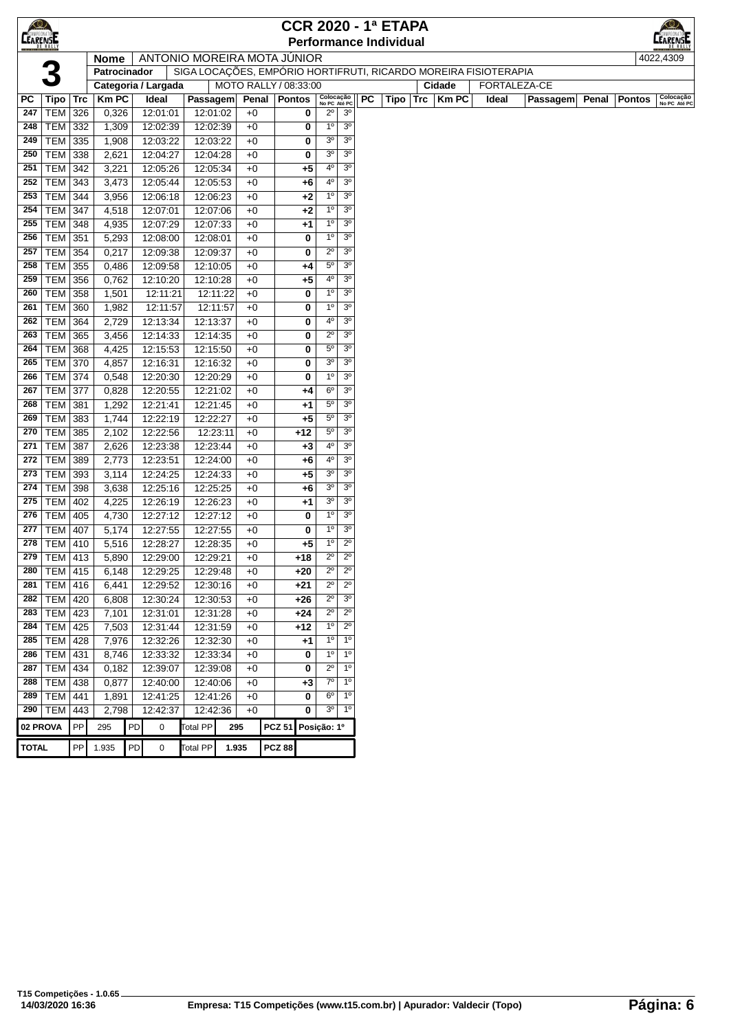| $\bigcirc$      |                 |     |              |    |                             |                 |                       |               | <b>CCR 2020 - 1ª ETAPA</b> |                           |                |           |                               |     |              |                                                                 |              |       |               |                           |
|-----------------|-----------------|-----|--------------|----|-----------------------------|-----------------|-----------------------|---------------|----------------------------|---------------------------|----------------|-----------|-------------------------------|-----|--------------|-----------------------------------------------------------------|--------------|-------|---------------|---------------------------|
| <b>CEARENSE</b> |                 |     |              |    |                             |                 |                       |               |                            |                           |                |           | <b>Performance Individual</b> |     |              |                                                                 |              |       |               | rensi                     |
|                 |                 |     | <b>Nome</b>  |    | ANTONIO MOREIRA MOTA JÚNIOR |                 |                       |               |                            |                           |                |           |                               |     |              |                                                                 |              |       |               | 4022,4309                 |
|                 |                 |     | Patrocinador |    |                             |                 |                       |               |                            |                           |                |           |                               |     |              | SIGA LOCAÇÕES, EMPÓRIO HORTIFRUTI, RICARDO MOREIRA FISIOTERAPIA |              |       |               |                           |
|                 |                 |     |              |    | Categoria / Largada         |                 | MOTO RALLY / 08:33:00 |               |                            |                           |                |           |                               |     | Cidade       |                                                                 | FORTALEZA-CE |       |               |                           |
| РC              | <b>Tipo</b>     | Trc | <b>Km PC</b> |    | Ideal                       | Passagem        |                       |               | Penal   Pontos             | Colocação<br>No PC Até PC |                | <b>PC</b> | Tipo                          | Trc | <b>Km PC</b> | Ideal                                                           | Passagem     | Penal | <b>Pontos</b> | Colocação<br>No PC Até PC |
| 247             | TEM             | 326 | 0,326        |    | 12:01:01                    | 12:01:02        | $+0$                  |               | 0                          | $2^{\circ}$               | 3 <sup>o</sup> |           |                               |     |              |                                                                 |              |       |               |                           |
| 248             | TEM             | 332 | 1,309        |    | 12:02:39                    | 12:02:39        | $+0$                  |               | 0                          | $1^{\circ}$               | 3 <sup>o</sup> |           |                               |     |              |                                                                 |              |       |               |                           |
| 249             | <b>TEM</b>      | 335 | 1,908        |    | 12:03:22                    | 12:03:22        | $+0$                  |               | 0                          | 3 <sup>o</sup>            | 3 <sup>o</sup> |           |                               |     |              |                                                                 |              |       |               |                           |
| 250             | <b>TEM</b>      | 338 | 2,621        |    | 12:04:27                    | 12:04:28        | $+0$                  |               | 0                          | 3 <sup>o</sup>            | 3 <sup>o</sup> |           |                               |     |              |                                                                 |              |       |               |                           |
| 251             | TEM             | 342 | 3,221        |    | 12:05:26                    | 12:05:34        | $+0$                  |               | $+5$                       | $4^{\circ}$               | 3 <sup>o</sup> |           |                               |     |              |                                                                 |              |       |               |                           |
| 252             | TEM             | 343 | 3,473        |    | 12:05:44                    | 12:05:53        | $+0$                  |               | +6                         | 40                        | 3 <sup>o</sup> |           |                               |     |              |                                                                 |              |       |               |                           |
| 253             | TEM             | 344 | 3,956        |    | 12:06:18                    | 12:06:23        |                       | $+0$          | $+2$                       | $1^{\circ}$               | 3 <sup>o</sup> |           |                               |     |              |                                                                 |              |       |               |                           |
| 254             | TEM             | 347 | 4,518        |    | 12:07:01                    | 12:07:06        |                       | $+0$          | $+2$                       | $1^{\circ}$               | 3 <sup>o</sup> |           |                               |     |              |                                                                 |              |       |               |                           |
| 255             | TEM             | 348 | 4,935        |    | 12:07:29                    | 12:07:33        |                       | $+0$          | +1                         | 1 <sup>0</sup>            | 3 <sup>o</sup> |           |                               |     |              |                                                                 |              |       |               |                           |
| 256             | TEM             | 351 | 5,293        |    | 12:08:00                    | 12:08:01        | $+0$                  |               | 0                          | $1^{\circ}$               | 3 <sup>o</sup> |           |                               |     |              |                                                                 |              |       |               |                           |
| 257             | TEM             | 354 | 0,217        |    | 12:09:38                    | 12:09:37        | $+0$                  |               | 0                          | $2^{\circ}$               | 3 <sup>o</sup> |           |                               |     |              |                                                                 |              |       |               |                           |
| 258             | <b>TEM</b>      | 355 | 0,486        |    | 12:09:58                    | 12:10:05        | $+0$                  |               | +4                         | $5^{\circ}$               | 3 <sup>o</sup> |           |                               |     |              |                                                                 |              |       |               |                           |
| 259             | TEM             | 356 | 0,762        |    | 12:10:20                    | 12:10:28        | $+0$                  |               | $+5$                       | $4^{\circ}$               | 3 <sup>o</sup> |           |                               |     |              |                                                                 |              |       |               |                           |
| 260             | <b>TEM</b>      | 358 | 1,501        |    | 12:11:21                    | 12:11:22        | $+0$                  |               | 0                          | $1^{\circ}$               | 3 <sup>o</sup> |           |                               |     |              |                                                                 |              |       |               |                           |
| 261             | <b>TEM</b>      | 360 | 1,982        |    | 12:11:57                    | 12:11:57        | $+0$                  |               | 0                          | $1^{\circ}$               | 3 <sup>o</sup> |           |                               |     |              |                                                                 |              |       |               |                           |
| 262             | TEM             | 364 | 2,729        |    | 12:13:34                    | 12:13:37        |                       | $+0$          | 0                          | 4°                        | 3 <sup>o</sup> |           |                               |     |              |                                                                 |              |       |               |                           |
| 263             | TEM             | 365 | 3,456        |    | 12:14:33                    | 12:14:35        |                       | $+0$          | 0                          | $2^{\circ}$               | 3 <sup>o</sup> |           |                               |     |              |                                                                 |              |       |               |                           |
| 264             | <b>TEM</b>      | 368 | 4,425        |    | 12:15:53                    | 12:15:50        |                       | $+0$          | 0                          | $5^{\circ}$               | 3 <sup>o</sup> |           |                               |     |              |                                                                 |              |       |               |                           |
| 265             | TEM             | 370 | 4,857        |    | 12:16:31                    | 12:16:32        | $+0$                  |               | 0                          | 3 <sup>o</sup>            | 3 <sup>o</sup> |           |                               |     |              |                                                                 |              |       |               |                           |
| 266             | <b>TEM 374</b>  |     | 0,548        |    | 12:20:30                    | 12:20:29        | $+0$                  |               | 0                          | $1^{\circ}$               | 3 <sup>o</sup> |           |                               |     |              |                                                                 |              |       |               |                           |
| 267             | TEM             | 377 | 0,828        |    | 12:20:55                    | 12:21:02        | $+0$                  |               | +4                         | $6^{\circ}$               | 3 <sup>o</sup> |           |                               |     |              |                                                                 |              |       |               |                           |
| 268             | TEM             | 381 | 1,292        |    | 12:21:41                    | 12:21:45        | $+0$                  |               | +1                         | $5^{\circ}$               | 3 <sup>o</sup> |           |                               |     |              |                                                                 |              |       |               |                           |
| 269             | TEM             | 383 | 1,744        |    | 12:22:19                    | 12:22:27        | $+0$                  |               | $+5$                       | $5^{\circ}$               | 3 <sup>o</sup> |           |                               |     |              |                                                                 |              |       |               |                           |
| 270             | <b>TEM</b>      | 385 | 2,102        |    | 12:22:56                    | 12:23:11        | $+0$                  |               | $+12$                      | $5^{\circ}$               | 3 <sup>o</sup> |           |                               |     |              |                                                                 |              |       |               |                           |
| 271             | <b>TEM</b>      | 387 | 2,626        |    | 12:23:38                    | 12:23:44        |                       | $+0$          | $+3$                       | 40                        | 3 <sup>o</sup> |           |                               |     |              |                                                                 |              |       |               |                           |
| 272             | TEM             | 389 | 2,773        |    | 12:23:51                    | 12:24:00        |                       | $+0$          | +6                         | 40                        | 3 <sup>o</sup> |           |                               |     |              |                                                                 |              |       |               |                           |
| 273             | TEM             | 393 | 3,114        |    | 12:24:25                    | 12:24:33        |                       | $+0$          | +5                         | 3 <sup>o</sup>            | 3 <sup>o</sup> |           |                               |     |              |                                                                 |              |       |               |                           |
| 274             | <b>TEM</b>      | 398 | 3,638        |    | 12:25:16                    | 12:25:25        | $+0$                  |               | $+6$                       | 3 <sup>o</sup>            | 3 <sup>o</sup> |           |                               |     |              |                                                                 |              |       |               |                           |
| 275             | TEM             | 402 | 4,225        |    | 12:26:19                    | 12:26:23        | $+0$                  |               | $+1$                       | 3 <sup>o</sup>            | 3 <sup>o</sup> |           |                               |     |              |                                                                 |              |       |               |                           |
| 276             | TEM             | 405 | 4,730        |    | 12:27:12                    | 12:27:12        | $+0$                  |               | 0                          | $1^{\circ}$               | 3 <sup>o</sup> |           |                               |     |              |                                                                 |              |       |               |                           |
| 277             | TEM             | 407 | 5,174        |    | 12:27:55                    | 12:27:55        |                       | $+0$          | 0                          | $1^{\circ}$               | 3 <sup>o</sup> |           |                               |     |              |                                                                 |              |       |               |                           |
| 278             | TEM             | 410 | 5,516        |    | 12:28:27                    | 12:28:35        | $+0$                  |               | $+5$                       | $1^{\circ}$               | $2^{\circ}$    |           |                               |     |              |                                                                 |              |       |               |                           |
| 279             | TEM 413         |     | 5,890        |    | 12:29:00                    | 12:29:21        | $+0$                  |               | $+18$                      | $2^{\circ}$               | $2^{\circ}$    |           |                               |     |              |                                                                 |              |       |               |                           |
|                 | 280   TEM   415 |     | 6,148        |    | 12:29:25                    | 12:29:48        |                       | $+0$          | $+20$                      | 2º                        | $2^{\circ}$    |           |                               |     |              |                                                                 |              |       |               |                           |
| 281             | <b>TEM 416</b>  |     | 6,441        |    | 12:29:52                    | 12:30:16        |                       | +0            | +21                        | $2^{\circ}$               | $2^{\circ}$    |           |                               |     |              |                                                                 |              |       |               |                           |
| 282             | TEM             | 420 | 6,808        |    | 12:30:24                    | 12:30:53        |                       | $+0$          | $+26$                      | $2^{\circ}$               | 3 <sup>o</sup> |           |                               |     |              |                                                                 |              |       |               |                           |
|                 | 283   TEM $ $   | 423 | 7,101        |    | 12:31:01                    | 12:31:28        | $+0$                  |               | $+24$                      | $2^{\circ}$               | $2^{\circ}$    |           |                               |     |              |                                                                 |              |       |               |                           |
|                 | 284   TEM   425 |     | 7,503        |    | 12:31:44                    | 12:31:59        | $+0$                  |               | $+12$                      | 1 <sup>0</sup>            | $2^{\circ}$    |           |                               |     |              |                                                                 |              |       |               |                           |
| 285             | TEM             | 428 | 7,976        |    | 12:32:26                    | 12:32:30        | $+0$                  |               | $+1$                       | $1^{\circ}$               | 1 <sup>0</sup> |           |                               |     |              |                                                                 |              |       |               |                           |
| 286             | TEM 431         |     | 8,746        |    | 12:33:32                    | 12:33:34        |                       | $+0$          | 0                          | $1^{\rm o}$               | 1 <sup>0</sup> |           |                               |     |              |                                                                 |              |       |               |                           |
| 287             | TEM             | 434 | 0,182        |    | 12:39:07                    | 12:39:08        | $+0$                  |               | 0                          | $2^{\circ}$               | 1 <sup>0</sup> |           |                               |     |              |                                                                 |              |       |               |                           |
| 288             | TEM             | 438 | 0,877        |    | 12:40:00                    | 12:40:06        | $+0$                  |               | $+3$                       | $7^{\circ}$               | $1^{\circ}$    |           |                               |     |              |                                                                 |              |       |               |                           |
| 289             | <b>TEM</b>      | 441 | 1,891        |    | 12:41:25                    | 12:41:26        |                       | $+0$          | 0                          | $6^{\circ}$               | 1 <sup>0</sup> |           |                               |     |              |                                                                 |              |       |               |                           |
|                 | 290   TEM       | 443 | 2,798        |    | 12:42:37                    | 12:42:36        | $+0$                  |               | 0                          | $3^{\circ}$               | 1 <sup>0</sup> |           |                               |     |              |                                                                 |              |       |               |                           |
| 02 PROVA        |                 | PP  | 295          | PD | 0                           | <b>Total PP</b> | 295                   | <b>PCZ 51</b> |                            | Posição: 1º               |                |           |                               |     |              |                                                                 |              |       |               |                           |
|                 |                 |     |              |    |                             |                 |                       |               |                            |                           |                |           |                               |     |              |                                                                 |              |       |               |                           |
| <b>TOTAL</b>    |                 | PP  | 1.935        | PD | 0                           | <b>Total PP</b> | 1.935                 | <b>PCZ 88</b> |                            |                           |                |           |                               |     |              |                                                                 |              |       |               |                           |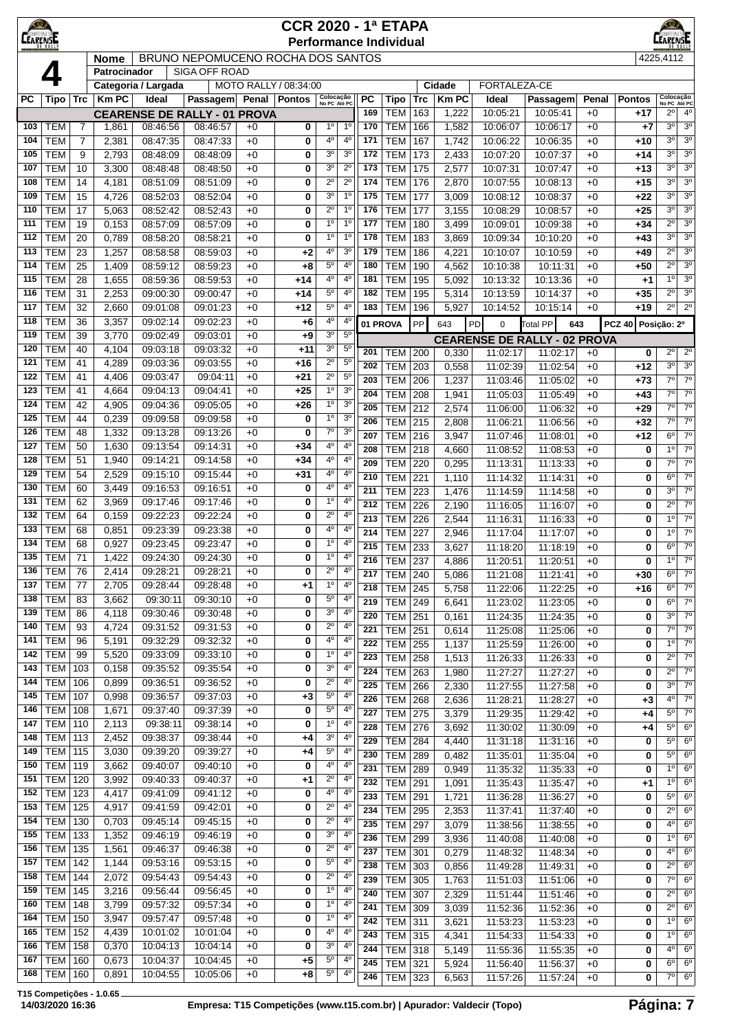| ⊀©≢<br><b>MPFON</b><br><b>LEARENS</b> |                          |                     |                |                      |                                     |              | <b>CCR 2020 - 1ª ETAPA</b> |                               |                                  |            | <b>Performance Individual</b> |            |                |                                     |                      |              |                    | $\circ$<br><b>CEARE NATO</b>                                     |
|---------------------------------------|--------------------------|---------------------|----------------|----------------------|-------------------------------------|--------------|----------------------------|-------------------------------|----------------------------------|------------|-------------------------------|------------|----------------|-------------------------------------|----------------------|--------------|--------------------|------------------------------------------------------------------|
|                                       |                          |                     | <b>Nome</b>    |                      | BRUNO NEPOMUCENO ROCHA DOS SANTOS   |              |                            |                               |                                  |            |                               |            |                |                                     |                      |              |                    | 4225.4112                                                        |
|                                       |                          |                     | Patrocinador   |                      | <b>SIGA OFF ROAD</b>                |              |                            |                               |                                  |            |                               |            |                |                                     |                      |              |                    |                                                                  |
|                                       |                          |                     |                | Categoria / Largada  |                                     |              | MOTO RALLY / 08:34:00      |                               |                                  |            |                               |            | Cidade         | FORTALEZA-CE                        |                      |              |                    |                                                                  |
| PС                                    | Tipo                     | Trc                 | <b>KmPC</b>    | Ideal                | <b>Passagem</b>                     |              | Penal   Pontos             | Colocação<br>No PC Até PC     |                                  | PC         | <b>Tipo</b>                   | Trc        | <b>Km PC</b>   | Ideal                               | Passagem             | Penal        | <b>Pontos</b>      | Colocação<br>No PC Até PC                                        |
|                                       |                          |                     |                |                      | <b>CEARENSE DE RALLY - 01 PROVA</b> |              |                            |                               |                                  | 169        | <b>TEM</b>                    | 163        | 1,222          | 10:05:21                            | 10:05:41             | $+0$         | +17                | 2º<br>$4^{\circ}$                                                |
| 103                                   | <b>TEM</b>               | $\overline{7}$      | 1,861          | 08:46:56             | 08:46:57                            | $+0$         | 0                          | $1^{\circ}$                   | 1 <sup>o</sup>                   | 170        | <b>TEM</b>                    | 166        | 1,582          | 10:06:07                            | 10:06:17             | $+0$         | $+7$               | 3 <sup>o</sup><br>3 <sup>o</sup><br>30                           |
| 104<br>105                            | <b>TEM</b><br><b>TEM</b> | $\overline{7}$<br>9 | 2,381<br>2,793 | 08:47:35<br>08:48:09 | 08:47:33<br>08:48:09                | $+0$<br>$+0$ | 0<br>0                     | $4^{\circ}$<br>3 <sup>0</sup> | $4^{\circ}$<br>3 <sup>o</sup>    | 171<br>172 | <b>TEM</b><br><b>TEM</b>      | 167<br>173 | 1,742<br>2,433 | 10:06:22<br>10:07:20                | 10:06:35<br>10:07:37 | $+0$<br>$+0$ | +10<br>$+14$       | 3 <sup>0</sup><br>30<br>3 <sup>0</sup>                           |
| 107                                   | <b>TEM</b>               | 10                  | 3,300          | 08:48:48             | 08:48:50                            | $+0$         | 0                          | 3 <sup>o</sup>                | $2^{\circ}$                      | 173        | <b>TEM</b>                    | 175        | 2,577          | 10:07:31                            | 10:07:47             | $+0$         | +13                | 3 <sup>0</sup><br>3 <sup>0</sup>                                 |
| 108                                   | <b>TEM</b>               | 14                  | 4,181          | 08:51:09             | 08:51:09                            | $+0$         | 0                          | $2^{\circ}$                   | $2^{\circ}$                      | 174        | <b>TEM</b>                    | 176        | 2,870          | 10:07:55                            | 10:08:13             | $+0$         | $+15$              | 3 <sup>0</sup><br>3 <sup>0</sup>                                 |
| 109                                   | <b>TEM</b>               | 15                  | 4,726          | 08:52:03             | 08:52:04                            | $+0$         | 0                          | 3 <sup>o</sup>                | 1 <sup>0</sup>                   | 175        | <b>TEM</b>                    | 177        | 3,009          | 10:08:12                            | 10:08:37             | $+0$         | $+22$              | 3 <sup>0</sup><br>3 <sup>0</sup>                                 |
| 110                                   | <b>TEM</b>               | 17                  | 5,063          | 08:52:42             | 08:52:43                            | $+0$         | 0                          | $2^{\circ}$                   | 1 <sup>0</sup>                   | 176        | <b>TEM</b>                    | 177        | 3,155          | 10:08:29                            | 10:08:57             | $+0$         | $+25$              | 30<br>3 <sup>0</sup>                                             |
| 111                                   | <b>TEM</b>               | 19                  | 0,153          | 08:57:09             | 08:57:09                            | $+0$         | 0                          | 1 <sup>0</sup>                | 1 <sup>0</sup>                   | 177        | <b>TEM</b>                    | 180        | 3,499          | 10:09:01                            | 10:09:38             | $+0$         | +34                | $2^{\circ}$<br>3 <sup>o</sup>                                    |
| 112                                   | <b>TEM</b>               | 20                  | 0,789          | 08:58:20             | 08:58:21                            | $+0$         | 0                          | 1 <sup>0</sup>                | 1 <sup>0</sup>                   | 178        | <b>TEM</b>                    | 183        | 3,869          | 10:09:34                            | 10:10:20             | $+0$         | +43                | 3 <sup>0</sup><br>3 <sup>0</sup>                                 |
| 113                                   | <b>TEM</b>               | 23                  | 1,257          | 08:58:58             | 08:59:03                            | $+0$         | +2                         | $4^{\circ}$                   | 3 <sup>0</sup>                   | 179        | <b>TEM</b>                    | 186        | 4,221          | 10:10:07                            | 10:10:59             | $+0$         | $+49$              | $2^{\circ}$<br>3 <sup>0</sup>                                    |
| 114                                   | <b>TEM</b>               | 25                  | 1,409          | 08:59:12             | 08:59:23                            | $+0$         | +8                         | $5^{\circ}$                   | 4 <sup>0</sup>                   | 180        | <b>TEM</b>                    | 190        | 4,562          | 10:10:38                            | 10:11:31             | $+0$         | +50                | $2^{\circ}$<br>3 <sup>0</sup>                                    |
| 115                                   | <b>TEM</b>               | 28                  | 1,655          | 08:59:36             | 08:59:53                            | $+0$         | +14                        | $4^{\circ}$                   | $4^{\circ}$                      | 181        | <b>TEM</b>                    | 195        | 5,092          | 10:13:32                            | 10:13:36             | $+0$         | +1                 | 1 <sup>0</sup><br>3 <sup>o</sup>                                 |
| 116                                   | <b>TEM</b>               | 31                  | 2,253          | 09:00:30             | 09:00:47                            | $+0$         | +14                        | $5^{\circ}$                   | $4^{\circ}$                      | 182        | <b>TEM</b>                    | 195        | 5,314          | 10:13:59                            | 10:14:37             | $+0$         | +35                | $2^{\circ}$<br>3 <sup>o</sup>                                    |
| 117                                   | <b>TEM</b>               | 32                  | 2,660          | 09:01:08             | 09:01:23                            | $+0$         | +12                        | 5 <sup>o</sup>                | $4^{\circ}$                      | 183        | <b>TEM</b>                    | 196        | 5,927          | 10:14:52                            | 10:15:14             | $+0$         | +19                | $2^{\circ}$<br>$2^{\circ}$                                       |
| 118<br>119                            | <b>TEM</b><br><b>TEM</b> | 36<br>39            | 3,357          | 09:02:14<br>09:02:49 | 09:02:23<br>09:03:01                | $+0$<br>$+0$ | +6                         | $4^{\circ}$<br>3 <sup>o</sup> | 4 <sup>0</sup><br>$5^{\circ}$    |            | 01 PROVA                      | PP         | 643            | PD<br>$\Omega$                      | <b>Total PP</b>      | 643          | PCZ 40 Posicão: 2º |                                                                  |
| 120                                   | <b>TEM</b>               | 40                  | 3,770<br>4,104 | 09:03:18             | 09:03:32                            | $+0$         | +9<br>$+11$                | 3 <sup>o</sup>                | $5^{\circ}$                      |            |                               |            |                | <b>CEARENSE DE RALLY - 02 PROVA</b> |                      |              |                    |                                                                  |
| 121                                   | <b>TEM</b>               | 41                  | 4,289          | 09:03:36             | 09:03:55                            | $+0$         | +16                        | $2^{\circ}$                   | $5^{\circ}$                      | 201        | <b>TEM</b>                    | 200        | 0,330          | 11:02:17                            | 11:02:17             | $+0$         | 0                  | $2^{\circ}$<br>$2^{\circ}$                                       |
| 122                                   | TEM                      | 41                  | 4,406          | 09:03:47             | 09:04:11                            | $+0$         | $+21$                      | $2^{\circ}$                   | $5^{\circ}$                      | 202<br>203 | <b>TEM</b><br><b>TEM</b>      | 203<br>206 | 0,558          | 11:02:39                            | 11:02:54             | $+0$         | +12                | $3^{\circ}$<br>3 <sup>o</sup><br>$7^\circ$<br>$7^\circ$          |
| 123                                   | <b>TEM</b>               | 41                  | 4,664          | 09:04:13             | 09:04:41                            | $+0$         | $+25$                      | 1 <sup>0</sup>                | 3 <sup>0</sup>                   | 204        | <b>TEM</b>                    | 208        | 1,237<br>1,941 | 11:03:46<br>11:05:03                | 11:05:02<br>11:05:49 | $+0$<br>$+0$ | $+73$<br>$+43$     | $7^\circ$<br>$7^\circ$                                           |
| 124                                   | <b>TEM</b>               | 42                  | 4,905          | 09:04:36             | 09:05:05                            | $+0$         | $+26$                      | 1 <sup>0</sup>                | 3 <sup>o</sup>                   | 205        | <b>TEM</b>                    | 212        | 2,574          | 11:06:00                            | 11:06:32             | $+0$         | $+29$              | $7^\circ$<br>$7^\circ$                                           |
| 125                                   | <b>TEM</b>               | 44                  | 0,239          | 09:09:58             | 09:09:58                            | $+0$         | 0                          | 1 <sup>0</sup>                | 3 <sup>0</sup>                   | 206        | <b>TEM</b>                    | 215        | 2,808          | 11:06:21                            | 11:06:56             | $+0$         | $+32$              | $7^\circ$<br>$7^\circ$                                           |
| 126                                   | <b>TEM</b>               | 48                  | 1,332          | 09:13:28             | 09:13:26                            | $+0$         | 0                          | $7^{\circ}$                   | 3 <sup>o</sup>                   | 207        | <b>TEM</b>                    | 216        | 3,947          | 11:07:46                            | 11:08:01             | $+0$         | $+12$              | $\overline{6^{\circ}}$<br>$\overline{7^{\circ}}$                 |
| 127                                   | <b>TEM</b>               | 50                  | 1,630          | 09:13:54             | 09:14:31                            | $+0$         | +34                        | $4^{\circ}$                   | 4 <sup>0</sup>                   | 208        | <b>TEM</b>                    | 218        | 4,660          | 11:08:52                            | 11:08:53             | $+0$         | 0                  | 1 <sup>0</sup><br>$7^\circ$                                      |
| 128                                   | <b>TEM</b>               | 51                  | 1,940          | 09:14:21             | 09:14:58                            | $+0$         | $+34$                      | $4^{\circ}$                   | $4^{\circ}$                      | 209        | <b>TEM</b>                    | 220        | 0,295          | 11:13:31                            | 11:13:33             | $+0$         | 0                  | $7^\circ$<br>$7^\circ$                                           |
| 129                                   | <b>TEM</b>               | 54                  | 2,529          | 09:15:10             | 09:15:44                            | $+0$         | +31                        | $4^{\circ}$                   | $4^{\rm o}$                      | 210        | <b>TEM</b>                    | 221        | 1,110          | 11:14:32                            | 11:14:31             | $+0$         | 0                  | $6^{\circ}$<br>$7^\circ$                                         |
| 130                                   | <b>TEM</b>               | 60                  | 3,449          | 09:16:53             | 09:16:51                            | $+0$         | 0                          | $4^{\circ}$                   | 4 <sup>0</sup><br>$4^{\circ}$    | 211        | <b>TEM</b>                    | 223        | 1,476          | 11:14:59                            | 11:14:58             | $+0$         | 0                  | $7^\circ$<br>30                                                  |
| 131<br>132                            | <b>TEM</b><br><b>TEM</b> | 62<br>64            | 3,969<br>0,159 | 09:17:46<br>09:22:23 | 09:17:46<br>09:22:24                | $+0$<br>$+0$ | 0<br>0                     | 1 <sup>0</sup><br>$2^{\circ}$ | $4^{\circ}$                      | 212        | <b>TEM</b>                    | 226        | 2,190          | 11:16:05                            | 11:16:07             | $+0$         | 0                  | $2^{\circ}$<br>$7^\circ$                                         |
| 133                                   | <b>TEM</b>               | 68                  | 0,851          | 09:23:39             | 09:23:38                            | $+0$         | 0                          | $4^{\circ}$                   | $4^{\circ}$                      | 213        | <b>TEM</b>                    | 226        | 2,544          | 11:16:31                            | 11:16:33             | $+0$         | 0                  | 1 <sup>0</sup><br>$7^{\circ}$                                    |
| 134                                   | <b>TEM</b>               | 68                  | 0,927          | 09:23:45             | 09:23:47                            | $+0$         | 0                          | 1 <sup>0</sup>                | 4 <sup>0</sup>                   | 214        | <b>TEM</b>                    | 227        | 2,946          | 11:17:04                            | 11:17:07             | $+0$         | 0                  | 1 <sup>0</sup><br>$7^{\circ}$<br>$6^{\circ}$<br>$\overline{7^0}$ |
| 135                                   | <b>TEM</b>               | 71                  | 1,422          | 09:24:30             | 09:24:30                            | $+0$         | 0                          | $1^{\circ}$                   | $4^{\circ}$                      | 215<br>216 | <b>TEM</b><br><b>TEM</b>      | 233<br>237 | 3,627<br>4,886 | 11:18:20<br>11:20:51                | 11:18:19<br>11:20:51 | $+0$<br>$+0$ | 0<br>0             | $7^\circ$<br>$1^{\circ}$                                         |
|                                       | $136$ TEM                | 76                  | 2,414          | 09:28:21             | 09:28:21                            | $+0$         | $\overline{\mathbf{0}}$    | $2^{\circ}$                   |                                  | 217        | <b>TEM 240</b>                |            | 5,086          | 11:21:08                            | 11:21:41             | $+0$         | +30                | $6^{\circ}$<br>$7^{\circ}$                                       |
| 137                                   | <b>TEM</b>               | 77                  | 2,705          | 09:28:44             | 09:28:48                            | $+0$         | +1                         | 1 <sup>o</sup>                | $4^{\circ}$                      | 218        | <b>TEM</b>                    | 245        | 5,758          | 11:22:06                            | 11:22:25             | $+0$         | +16                | $6^{\circ}$<br>$7^\circ$                                         |
| 138                                   | <b>TEM</b>               | 83                  | 3,662          | 09:30:11             | 09:30:10                            | $+0$         | 0                          | $5^{\circ}$                   | $4^{\circ}$                      | 219        | <b>TEM</b>                    | 249        | 6,641          | 11:23:02                            | 11:23:05             | $+0$         | 0                  | $6^{\circ}$<br>$7^{\circ}$                                       |
| 139                                   | <b>TEM</b>               | 86                  | 4,118          | 09:30:46             | 09:30:48                            | $+0$         | 0                          | 3 <sup>o</sup>                | $4^{\circ}$                      | 220        | <b>TEM</b>                    | 251        | 0,161          | 11:24:35                            | 11:24:35             | $+0$         | 0                  | $7^\circ$<br>30                                                  |
| 140                                   | <b>TEM</b>               | 93                  | 4,724          | 09:31:52             | 09:31:53                            | $+0$         | 0                          | $2^{\circ}$                   | 4 <sup>0</sup>                   | 221        | <b>TEM</b>                    | 251        | 0,614          | 11:25:08                            | 11:25:06             | $+0$         | 0                  | $7^{\circ}$<br>$\overline{7^0}$                                  |
| 141                                   | <b>TEM</b>               | 96                  | 5,191          | 09:32:29             | 09:32:32                            | $+0$         | 0                          | 4 <sup>0</sup>                | $4^{\circ}$                      | 222        | <b>TEM</b>                    | 255        | 1,137          | 11:25:59                            | 11:26:00             | $+0$         | 0                  | 1 <sup>0</sup><br>7 <sup>o</sup>                                 |
| 142                                   | <b>TEM</b>               | 99                  | 5,520          | 09:33:09             | 09:33:10                            | $+0$         | 0                          | 1 <sup>0</sup>                | $4^{\circ}$                      | 223        | <b>TEM</b>                    | 258        | 1,513          | 11:26:33                            | 11:26:33             | $+0$         | 0                  | $2^{\circ}$<br>$7^{\circ}$                                       |
| 143                                   | <b>TEM</b>               | 103                 | 0,158          | 09:35:52             | 09:35:54                            | $+0$         | 0                          | 3 <sup>o</sup>                | $4^{\circ}$                      | 224        | <b>TEM</b>                    | 263        | 1,980          | 11:27:27                            | 11:27:27             | $+0$         | 0                  | $2^{\circ}$<br>$7^\circ$                                         |
| 144<br>145                            | <b>TEM</b><br><b>TEM</b> | 106<br>107          | 0,899          | 09:36:51<br>09:36:57 | 09:36:52                            | $+0$         | 0                          | $2^{\circ}$<br>$5^{\circ}$    | 4 <sup>0</sup><br>4 <sup>0</sup> | 225        | <b>TEM</b>                    | 266        | 2,330          | 11:27:55                            | 11:27:58             | $+0$         | 0                  | 3 <sup>0</sup><br>$7^{\circ}$                                    |
| 146                                   | TEM                      | 108                 | 0,998<br>1,671 | 09:37:40             | 09:37:03<br>09:37:39                | $+0$<br>$+0$ | $+3$<br>0                  | $5^{\circ}$                   | 4 <sup>0</sup>                   | 226        | <b>TEM</b>                    | 268        | 2,636          | 11:28:21                            | 11:28:27             | $+0$         | $+3$               | $4^{\circ}$<br>$7^{\circ}$                                       |
| 147                                   | <b>TEM 110</b>           |                     | 2,113          | 09:38:11             | 09:38:14                            | $+0$         | 0                          | $1^{\circ}$                   | 4 <sup>0</sup>                   | 227        | <b>TEM</b>                    | 275        | 3,379          | 11:29:35                            | 11:29:42             | $+0$         | +4                 | $5^{\circ}$<br>$7^\circ$<br>$6^{\circ}$<br>$5^{\circ}$           |
| 148                                   | TEM                      | 113                 | 2,452          | 09:38:37             | 09:38:44                            | $+0$         | +4                         | 3 <sup>o</sup>                | 4 <sup>0</sup>                   | 228<br>229 | <b>TEM</b><br><b>TEM</b>      | 276<br>284 | 3,692<br>4,440 | 11:30:02                            | 11:30:09<br>11:31:16 | $+0$<br>$+0$ | +4<br>0            | $5^{\circ}$<br>$6^{\circ}$                                       |
| 149                                   | <b>TEM</b>               | 115                 | 3,030          | 09:39:20             | 09:39:27                            | $+0$         | $+4$                       | $5^{\circ}$                   | 4 <sup>0</sup>                   | 230        | <b>TEM</b>                    | 289        | 0,482          | 11:31:18<br>11:35:01                | 11:35:04             | $+0$         | 0                  | $5^{\circ}$<br>6 <sup>o</sup>                                    |
| 150                                   | TEM                      | 119                 | 3,662          | 09:40:07             | 09:40:10                            | $+0$         | 0                          | 4 <sup>0</sup>                | 4 <sup>0</sup>                   | 231        | <b>TEM</b>                    | 289        | 0,949          | 11:35:32                            | 11:35:33             | $+0$         | 0                  | $1^{\circ}$<br>$6^{\circ}$                                       |
| 151                                   | <b>TEM</b>               | 120                 | 3,992          | 09:40:33             | 09:40:37                            | $+0$         | $+1$                       | $2^{\circ}$                   | $4^{\circ}$                      | 232        | <b>TEM</b>                    | 291        | 1,091          | 11:35:43                            | 11:35:47             | $+0$         | $+1$               | $1^{\circ}$<br>$6^{\circ}$                                       |
| 152                                   | <b>TEM</b>               | 123                 | 4,417          | 09:41:09             | 09:41:12                            | $+0$         | 0                          | 4 <sup>0</sup>                | $4^{\circ}$                      | 233        | <b>TEM</b>                    | 291        | 1,721          | 11:36:28                            | 11:36:27             | $+0$         | 0                  | $5^{\circ}$<br>$6^{\circ}$                                       |
| 153                                   | <b>TEM</b>               | 125                 | 4,917          | 09:41:59             | 09:42:01                            | $+0$         | 0                          | $2^{\circ}$                   | 4 <sup>0</sup>                   | 234        | <b>TEM</b>                    | 295        | 2,353          | 11:37:41                            | 11:37:40             | $+0$         | 0                  | $2^{\circ}$<br>6 <sup>o</sup>                                    |
| 154                                   | <b>TEM</b>               | 130                 | 0,703          | 09:45:14             | 09:45:15                            | $+0$         | 0                          | $2^{\circ}$                   | 4 <sup>0</sup>                   | 235        | <b>TEM</b>                    | 297        | 3,079          | 11:38:56                            | 11:38:55             | $+0$         | 0                  | 4 <sup>0</sup><br>$6^{\circ}$                                    |
| 155                                   | TEM                      | 133                 | 1,352          | 09:46:19             | 09:46:19                            | $+0$         | 0                          | 3 <sup>o</sup>                | $4^{\circ}$                      | 236        | <b>TEM</b>                    | 299        | 3,936          | 11:40:08                            | 11:40:08             | $+0$         | 0                  | $1^{\circ}$<br>$6^{\circ}$                                       |
| 156                                   | <b>TEM</b>               | 135                 | 1,561          | 09:46:37             | 09:46:38                            | $+0$         | 0                          | $2^{\circ}$                   | $4^{\circ}$                      | 237        | <b>TEM</b>                    | 301        | 0,279          | 11:48:32                            | 11:48:34             | $+0$         | 0                  | $4^{\circ}$<br>$6^{\circ}$                                       |
| 157                                   | <b>TEM</b>               | 142                 | 1,144          | 09:53:16             | 09:53:15                            | $+0$         | 0                          | $5^{\circ}$                   | 4 <sup>0</sup><br>4 <sup>0</sup> | 238        | <b>TEM</b>                    | 303        | 0,856          | 11:49:28                            | 11:49:31             | $+0$         | 0                  | $2^{\circ}$<br>$6^{\circ}$                                       |
| 158<br>159                            | <b>TEM</b><br><b>TEM</b> | 144<br>145          | 2,072<br>3,216 | 09:54:43<br>09:56:44 | 09:54:43<br>09:56:45                | $+0$<br>$+0$ | 0<br>0                     | $2^{\circ}$<br>$1^{\circ}$    | 4 <sup>0</sup>                   | 239        | <b>TEM</b>                    | 305        | 1,763          | 11:51:03                            | 11:51:06             | $+0$         | 0                  | $7^{\circ}$<br>$6^{\circ}$                                       |
| 160                                   | <b>TEM</b>               | 148                 | 3,799          | 09:57:32             | 09:57:34                            | $+0$         | 0                          | 1 <sup>o</sup>                | $4^{\circ}$                      | 240        | <b>TEM</b>                    | 307        | 2,329          | 11:51:44                            | 11:51:46             | $+0$         | 0                  | $2^{\circ}$<br>$6^{\circ}$                                       |
| 164                                   | <b>TEM</b>               | 150                 | 3,947          | 09:57:47             | 09:57:48                            | $+0$         | 0                          | 1 <sup>o</sup>                | $4^{\circ}$                      | 241        | <b>TEM</b>                    | 309        | 3,039          | 11:52:36                            | 11:52:36             | $+0$         | 0                  | $2^{\circ}$<br>$6^{\circ}$<br>1 <sup>0</sup><br>$6^{\circ}$      |
| 165                                   | <b>TEM</b>               | 152                 | 4,439          | 10:01:02             | 10:01:04                            | $+0$         | 0                          | $4^{\rm o}$                   | $4^{\circ}$                      | 242<br>243 | <b>TEM</b><br><b>TEM</b>      | 311<br>315 | 3,621<br>4,341 | 11:53:23<br>11:54:33                | 11:53:23<br>11:54:33 | $+0$<br>$+0$ | 0<br>0             | $1^{\circ}$<br>$6^{\circ}$                                       |
| 166                                   | TEM                      | 158                 | 0,370          | 10:04:13             | 10:04:14                            | $+0$         | 0                          | 3 <sup>o</sup>                | 4 <sup>0</sup>                   | 244        | <b>TEM</b>                    | 318        | 5,149          | 11:55:36                            | 11:55:35             | $+0$         | 0                  | 4 <sup>0</sup><br>$6^{\circ}$                                    |
| 167                                   | <b>TEM 160</b>           |                     | 0,673          | 10:04:37             | 10:04:45                            | $+0$         | $+5$                       | 5 <sup>o</sup>                | $4^{\circ}$                      | 245        | <b>TEM</b>                    | 321        | 5,924          | 11:56:40                            | 11:56:37             | $+0$         | 0                  | $6^{\circ}$<br>$6^{\circ}$                                       |
| 168                                   | <b>TEM 160</b>           |                     | 0,891          | 10:04:55             | 10:05:06                            | $+0$         | $+8$                       | $5^{\circ}$                   | $4^{\circ}$                      | 246        | <b>TEM</b>                    | 323        | 6,563          | 11:57:26                            | 11:57:24             | $+0$         | 0                  | $7^\circ$<br>$6^{\circ}$                                         |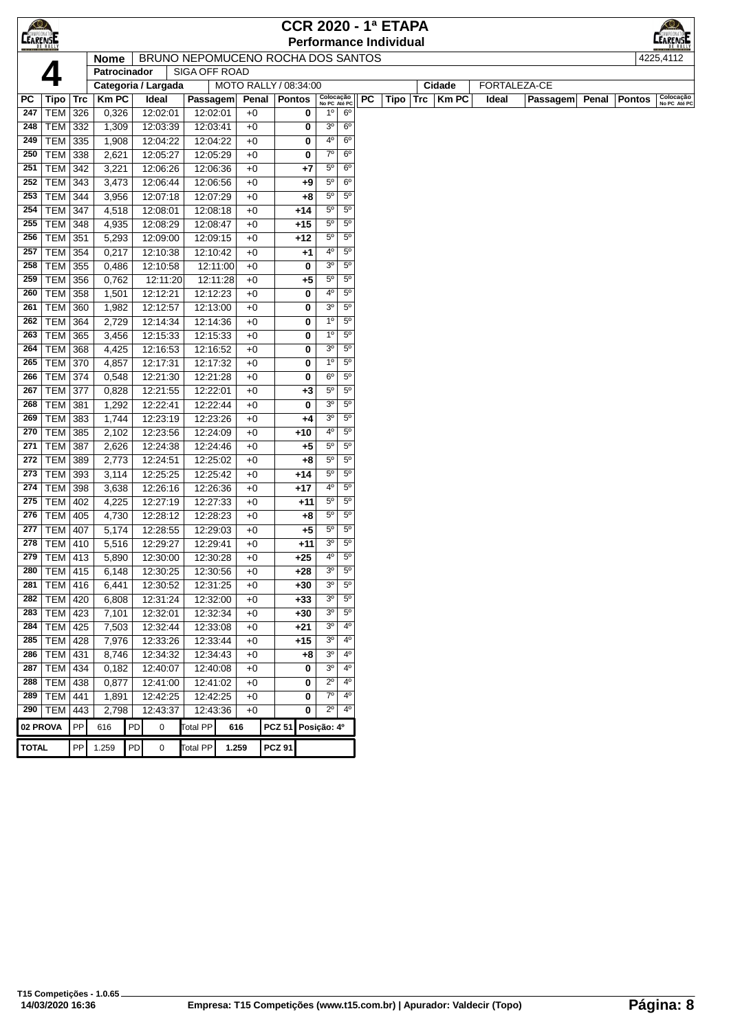| $\bigotimes$    |                   | <b>CCR 2020 - 1ª ETAPA</b><br><b>Performance Individual</b> |                   |    |                                   |                      |                       |              |               |                |                           |                            |     |      |     |             |       |              |       |               |                           |
|-----------------|-------------------|-------------------------------------------------------------|-------------------|----|-----------------------------------|----------------------|-----------------------|--------------|---------------|----------------|---------------------------|----------------------------|-----|------|-----|-------------|-------|--------------|-------|---------------|---------------------------|
| <b>CEARENSE</b> |                   |                                                             |                   |    |                                   |                      |                       |              |               |                |                           |                            |     |      |     |             |       |              |       |               | <b>LEARENATOE</b>         |
|                 |                   |                                                             | <b>Nome</b>       |    | BRUNO NEPOMUCENO ROCHA DOS SANTOS |                      |                       |              |               |                |                           |                            |     |      |     |             |       |              |       |               | 4225,4112                 |
|                 |                   |                                                             | Patrocinador      |    |                                   | <b>SIGA OFF ROAD</b> |                       |              |               |                |                           |                            |     |      |     |             |       |              |       |               |                           |
|                 |                   |                                                             |                   |    | Categoria / Largada               |                      | MOTO RALLY / 08:34:00 |              |               |                |                           |                            |     |      |     | Cidade      |       | FORTALEZA-CE |       |               |                           |
| PC              | Tipo              | Trc                                                         | <b>Km PC</b>      |    | Ideal                             | Passagem             |                       | Penal        | <b>Pontos</b> |                | Colocação<br>No PC Até PC |                            | PC. | Tipo | Trc | <b>KmPC</b> | Ideal | Passagem     | Penal | <b>Pontos</b> | Colocação<br>No PC Até PC |
| 247             | <b>TEM</b>        | 326                                                         | 0,326             |    | 12:02:01                          | 12:02:01             |                       | $+0$         |               | 0              | 1 <sup>0</sup>            | 6 <sup>o</sup>             |     |      |     |             |       |              |       |               |                           |
| 248             | <b>TEM</b>        | 332                                                         | 1,309             |    | 12:03:39                          | 12:03:41             |                       | $+0$         |               | 0              | 3 <sup>o</sup>            | 6 <sup>o</sup>             |     |      |     |             |       |              |       |               |                           |
| 249             | <b>TEM</b>        | 335                                                         | 1,908             |    | 12:04:22                          | 12:04:22             |                       | $+0$         |               | 0              | 40                        | 6 <sup>o</sup>             |     |      |     |             |       |              |       |               |                           |
| 250             | <b>TEM</b>        | 338                                                         | 2,621             |    | 12:05:27                          | 12:05:29             |                       | $+0$         |               | 0              | 70                        | 6 <sup>o</sup>             |     |      |     |             |       |              |       |               |                           |
| 251             | TEM               | 342                                                         | 3,221             |    | 12:06:26                          | 12:06:36             |                       | $+0$         |               | +7             | $5^{\circ}$               | 6 <sup>o</sup>             |     |      |     |             |       |              |       |               |                           |
| 252             | TEM               | 343                                                         | 3,473             |    | 12:06:44                          | 12:06:56             |                       | $+0$         |               | $+9$           | $5^{\circ}$               | 6 <sup>o</sup>             |     |      |     |             |       |              |       |               |                           |
| 253             | TEM               | 344                                                         | 3,956             |    | 12:07:18                          | 12:07:29             |                       | $+0$         |               | $+8$           | $5^{\circ}$               | $5^{\circ}$                |     |      |     |             |       |              |       |               |                           |
| 254             | TEM               | 347                                                         | 4,518             |    | 12:08:01                          | 12:08:18             |                       | $+0$         |               | $+14$          | $5^{\circ}$               | $5^{\circ}$                |     |      |     |             |       |              |       |               |                           |
| 255             | TEM               | 348                                                         | 4,935             |    | 12:08:29                          | 12:08:47             |                       | $+0$         |               | $+15$          | $5^{\circ}$               | $5^{\circ}$                |     |      |     |             |       |              |       |               |                           |
| 256             | <b>TEM</b>        | 351                                                         | 5,293             |    | 12:09:00                          | 12:09:15             |                       | $+0$         |               | $+12$          | $5^{\circ}$               | $5^{\circ}$                |     |      |     |             |       |              |       |               |                           |
| 257             | TEM               | 354                                                         | 0,217             |    | 12:10:38                          | 12:10:42             |                       | $+0$         |               | +1             | 40                        | $5^{\circ}$                |     |      |     |             |       |              |       |               |                           |
| 258             | <b>TEM</b>        | 355                                                         | 0,486             |    | 12:10:58                          | 12:11:00             |                       | $+0$         |               | 0              | 3 <sup>o</sup>            | $5^{\circ}$                |     |      |     |             |       |              |       |               |                           |
| 259             | <b>TEM</b>        | 356                                                         | 0,762             |    | 12:11:20                          | 12:11:28             |                       | $+0$         |               | +5             | 5°                        | $5^{\circ}$                |     |      |     |             |       |              |       |               |                           |
| 260             | TEM               | 358                                                         | 1,501             |    | 12:12:21                          | 12:12:23             |                       | $+0$         |               | 0              | 4°                        | $5^{\circ}$                |     |      |     |             |       |              |       |               |                           |
| 261             | <b>TEM</b>        | 360                                                         | 1,982             |    | 12:12:57                          | 12:13:00             |                       | $+0$         |               | 0              | 3 <sup>o</sup>            | 5 <sup>0</sup>             |     |      |     |             |       |              |       |               |                           |
| 262             | <b>TEM</b>        | 364                                                         | 2,729             |    | 12:14:34                          | 12:14:36             |                       | $+0$         |               | 0              | 1 <sup>0</sup>            | $5^{\circ}$                |     |      |     |             |       |              |       |               |                           |
| 263             | <b>TEM</b>        | 365                                                         | 3,456             |    | 12:15:33                          | 12:15:33             |                       | $+0$         |               | 0              | 1 <sup>0</sup>            | $5^{\circ}$                |     |      |     |             |       |              |       |               |                           |
| 264             | TEM               | 368                                                         | 4,425             |    | 12:16:53                          | 12:16:52             |                       | $+0$         |               | 0              | 3 <sup>o</sup>            | $5^{\circ}$                |     |      |     |             |       |              |       |               |                           |
| 265             | TEM               | 370                                                         | 4,857             |    | 12:17:31                          | 12:17:32             |                       | $+0$         |               | 0              | $1^{\circ}$               | $5^{\circ}$                |     |      |     |             |       |              |       |               |                           |
| 266             | TEM               | 374                                                         | 0,548             |    | 12:21:30                          | 12:21:28             |                       | $+0$         |               | 0              | $6^{\circ}$               | $5^{\circ}$                |     |      |     |             |       |              |       |               |                           |
| 267             | TEM               | 377                                                         | 0,828             |    | 12:21:55                          | 12:22:01             |                       | $+0$         |               | $+3$           | $5^{\circ}$               | $5^{\circ}$                |     |      |     |             |       |              |       |               |                           |
| 268             | <b>TEM</b>        | 381                                                         | 1,292             |    | 12:22:41                          | 12:22:44             |                       | $+0$         |               | 0              | 3 <sup>o</sup>            | $5^{\circ}$                |     |      |     |             |       |              |       |               |                           |
| 269             | <b>TEM</b>        | 383                                                         | 1,744             |    | 12:23:19                          | 12:23:26             |                       | $+0$         |               | +4             | 3º                        | $5^{\circ}$                |     |      |     |             |       |              |       |               |                           |
| 270             | <b>TEM</b>        | 385                                                         | 2,102             |    | 12:23:56                          | 12:24:09             |                       | $+0$         |               | $+10$          | 40                        | 5 <sup>0</sup>             |     |      |     |             |       |              |       |               |                           |
| 271             | TEM               | 387                                                         | 2,626             |    | 12:24:38                          | 12:24:46             |                       | $+0$         |               | +5             | $5^{\circ}$               | $5^{\circ}$                |     |      |     |             |       |              |       |               |                           |
| 272             | TEM               | 389                                                         | 2,773             |    | 12:24:51                          | 12:25:02             |                       | $+0$         |               | $+8$           | $5^{\circ}$               | $5^{\circ}$                |     |      |     |             |       |              |       |               |                           |
| 273             | <b>TEM</b>        | 393                                                         | 3,114             |    | 12:25:25                          | 12:25:42             |                       | $+0$         |               | $+14$          | $5^{\circ}$               | $5^{\circ}$<br>$5^{\circ}$ |     |      |     |             |       |              |       |               |                           |
| 274<br>275      | <b>TEM</b><br>TEM | 398                                                         | 3,638<br>4,225    |    | 12:26:16<br>12:27:19              | 12:26:36<br>12:27:33 |                       | $+0$         |               | $+17$<br>$+11$ | 40<br>$5^{\circ}$         | $5^{\circ}$                |     |      |     |             |       |              |       |               |                           |
| 276             | <b>TEM</b>        | 402<br>405                                                  | 4,730             |    | 12:28:12                          | 12:28:23             |                       | $+0$<br>$+0$ |               | +8             | $5^{\circ}$               | $5^{\circ}$                |     |      |     |             |       |              |       |               |                           |
| 277             | TEM               | 407                                                         | 5,174             |    | 12:28:55                          | 12:29:03             |                       | $+0$         |               | +5             | $5^{\circ}$               | $5^{\circ}$                |     |      |     |             |       |              |       |               |                           |
| 278             | TEM               | 410                                                         | 5,516             |    | 12:29:27                          | 12:29:41             |                       | $+0$         |               | +11            | 3 <sup>o</sup>            | $5^{\circ}$                |     |      |     |             |       |              |       |               |                           |
| 279             | <b>TEM 413</b>    |                                                             | 5,890             |    | 12:30:00                          | 12:30:28             |                       | $+0$         |               | $+25$          | $4^{\circ}$               | $5^{\circ}$                |     |      |     |             |       |              |       |               |                           |
|                 |                   |                                                             | 280 TEM 415 6,148 |    | 12:30:25                          | 12:30:56             |                       | $+0$         |               | $+28$          |                           | $3^{\circ}$ 5°             |     |      |     |             |       |              |       |               |                           |
| 281             | $TEM$ 416         |                                                             | 6,441             |    | 12:30:52                          | 12:31:25             |                       | $+0$         |               | $+30$          | $3^{\circ}$               | $5^{\circ}$                |     |      |     |             |       |              |       |               |                           |
| 282             | TEM               | 420                                                         | 6,808             |    | 12:31:24                          | 12:32:00             |                       | $+0$         |               | $+33$          | $3^{\circ}$               | $5^{\circ}$                |     |      |     |             |       |              |       |               |                           |
| 283             | TEM               | 423                                                         | 7,101             |    | 12:32:01                          | 12:32:34             |                       | $+0$         |               | $+30$          | 3 <sup>o</sup>            | $5^{\circ}$                |     |      |     |             |       |              |       |               |                           |
| 284             | <b>TEM</b>        | 425                                                         | 7,503             |    | 12:32:44                          | 12:33:08             |                       | $+0$         |               | $+21$          | 3 <sup>o</sup>            | 4 <sup>0</sup>             |     |      |     |             |       |              |       |               |                           |
| 285             | <b>TEM</b>        | 428                                                         | 7,976             |    | 12:33:26                          | 12:33:44             |                       | $+0$         |               | $+15$          | 3 <sup>o</sup>            | $4^{\circ}$                |     |      |     |             |       |              |       |               |                           |
| 286             | <b>TEM</b>        | 431                                                         | 8,746             |    | 12:34:32                          | 12:34:43             |                       | $+0$         |               | $+8$           | $3o$                      | $4^{\circ}$                |     |      |     |             |       |              |       |               |                           |
| 287             | <b>TEM</b>        | 434                                                         | 0,182             |    | 12:40:07                          | 12:40:08             |                       | $+0$         |               | 0              | 3 <sup>o</sup>            | $4^{\circ}$                |     |      |     |             |       |              |       |               |                           |
| 288             | <b>TEM</b>        | 438                                                         | 0,877             |    | 12:41:00                          | 12:41:02             |                       | $+0$         |               | 0              | $2^{\circ}$               | $4^{\circ}$                |     |      |     |             |       |              |       |               |                           |
| 289             | <b>TEM</b>        | 441                                                         | 1,891             |    | 12:42:25                          | 12:42:25             |                       | $+0$         |               | 0              | $7^\circ$                 | 4 <sup>0</sup>             |     |      |     |             |       |              |       |               |                           |
|                 | 290 TEM           | 443                                                         | 2,798             |    | 12:43:37                          | 12:43:36             |                       | $+0$         |               | 0              | $2^{\circ}$               | $4^{\circ}$                |     |      |     |             |       |              |       |               |                           |
| 02 PROVA        |                   | PP                                                          | 616               | PD | 0                                 | <b>Total PP</b>      | 616                   |              | <b>PCZ 51</b> | Posição: 4º    |                           |                            |     |      |     |             |       |              |       |               |                           |
|                 |                   |                                                             |                   |    |                                   |                      |                       |              |               |                |                           |                            |     |      |     |             |       |              |       |               |                           |
| <b>TOTAL</b>    |                   | PP                                                          | 1.259             | PD | 0                                 | <b>Total PP</b>      | 1.259                 |              | <b>PCZ 91</b> |                |                           |                            |     |      |     |             |       |              |       |               |                           |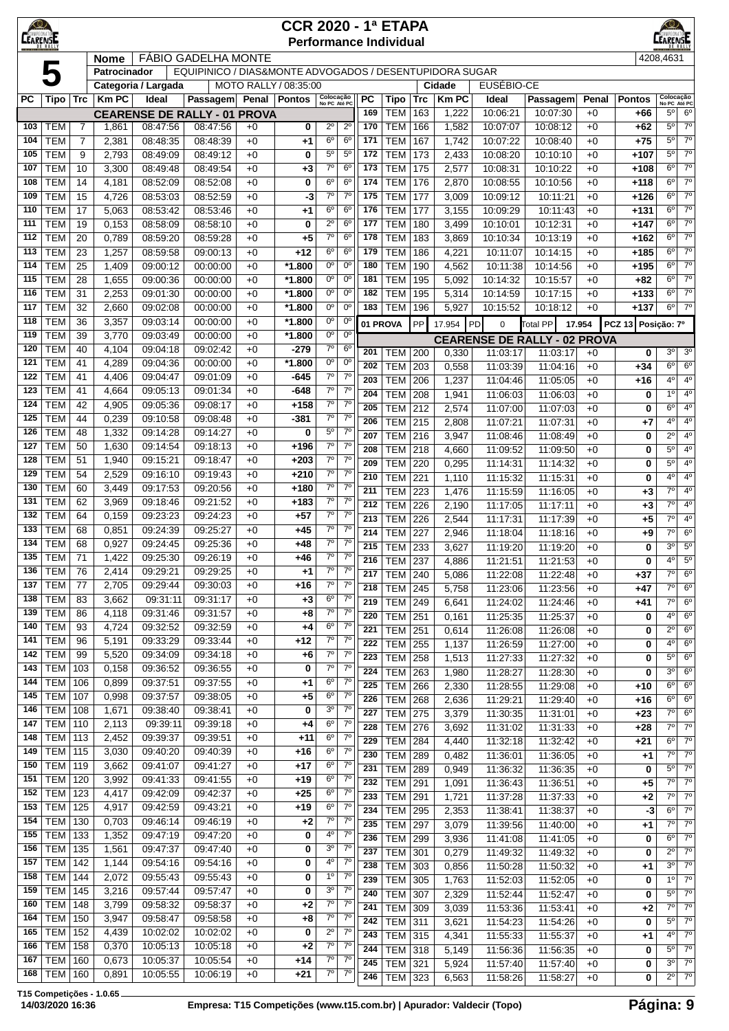| <u>KQ)</u><br><b>CEARENSE</b> |                             |                |                                                                                                                                                                                                                                                                                                                                                                                                                                      |                      |                                                         |              | <b>CCR 2020 - 1ª ETAPA</b> |                                  |                                  |            | <b>Performance Individual</b> |            |                |                      |                      |              |                  | ARENSI                        |                                  |
|-------------------------------|-----------------------------|----------------|--------------------------------------------------------------------------------------------------------------------------------------------------------------------------------------------------------------------------------------------------------------------------------------------------------------------------------------------------------------------------------------------------------------------------------------|----------------------|---------------------------------------------------------|--------------|----------------------------|----------------------------------|----------------------------------|------------|-------------------------------|------------|----------------|----------------------|----------------------|--------------|------------------|-------------------------------|----------------------------------|
|                               |                             |                | <b>Nome</b>                                                                                                                                                                                                                                                                                                                                                                                                                          |                      | <b>FÁBIO GADELHA MONTE</b>                              |              |                            |                                  |                                  |            |                               |            |                |                      |                      |              |                  | 4208,4631                     |                                  |
|                               | 5                           |                | Patrocinador                                                                                                                                                                                                                                                                                                                                                                                                                         |                      | EQUIPINICO / DIAS&MONTE ADVOGADOS / DESENTUPIDORA SUGAR |              |                            |                                  |                                  |            |                               |            |                |                      |                      |              |                  |                               |                                  |
|                               |                             |                |                                                                                                                                                                                                                                                                                                                                                                                                                                      | Categoria / Largada  |                                                         |              | MOTO RALLY / 08:35:00      |                                  |                                  |            |                               |            | Cidade         | EUSÉBIO-CE           |                      |              |                  |                               |                                  |
| <b>PC</b>                     | Tipo   Trc                  |                | <b>KmPC</b>                                                                                                                                                                                                                                                                                                                                                                                                                          | Ideal                | Passagem                                                | Penal        | Pontos                     | Colocação<br>No PC Até PC        |                                  | PC         | <b>Tipo</b>                   | <b>Trc</b> | <b>Km PC</b>   | Ideal                | Passagem             | Penal        | <b>Pontos</b>    | Colocação<br>No PC Até PC     |                                  |
|                               |                             |                |                                                                                                                                                                                                                                                                                                                                                                                                                                      |                      | <b>CEARENSE DE RALLY - 01 PROVA</b>                     |              |                            |                                  |                                  | 169        | <b>TEM</b>                    | 163        | 1,222          | 10:06:21             | 10:07:30             | $+0$         | +66              | $5^{\circ}$                   | $6^{\circ}$                      |
| 103                           | <b>TEM</b>                  | $\overline{7}$ | 1,861                                                                                                                                                                                                                                                                                                                                                                                                                                | 08:47:56             | 08:47:56                                                | $+0$         | 0                          | $2^{\circ}$                      | $2^{\circ}$                      | 170        | <b>TEM</b>                    | 166        | 1,582          | 10:07:07             | 10:08:12             | $+0$         | $+62$            | $5^{\circ}$                   | 7 <sup>0</sup>                   |
| 104                           | <b>TEM</b>                  | $\overline{7}$ | 2,381                                                                                                                                                                                                                                                                                                                                                                                                                                | 08:48:35             | 08:48:39                                                | $+0$         | +1                         | 6 <sup>o</sup>                   | 6 <sup>o</sup>                   | 171        | <b>TEM</b>                    | 167        | 1,742          | 10:07:22             | 10:08:40             | $+0$         | $+75$            | $5^{\circ}$                   | $7^\circ$                        |
| 105                           | <b>TEM</b>                  | 9              | 2,793                                                                                                                                                                                                                                                                                                                                                                                                                                | 08:49:09             | 08:49:12                                                | $+0$         | 0                          | 5 <sup>o</sup>                   | $5^{\circ}$                      | 172        | <b>TEM</b>                    | 173        | 2,433          | 10:08:20             | 10:10:10             | $+0$         | +107             | $5^{\circ}$                   | 7 <sup>0</sup>                   |
| 107                           | <b>TEM</b>                  | 10             | 3,300                                                                                                                                                                                                                                                                                                                                                                                                                                | 08:49:48             | 08:49:54                                                | $+0$         | +3                         | $7^{\circ}$                      | 6 <sup>o</sup>                   | 173        | TEM                           | 175        | 2,577          | 10:08:31             | 10:10:22             | $+0$         | $+108$           | $6^{\circ}$                   | $7^{\circ}$                      |
| 108                           | <b>TEM</b>                  | 14             | 4,181                                                                                                                                                                                                                                                                                                                                                                                                                                | 08:52:09             | 08:52:08                                                | $+0$         | 0                          | 6 <sup>o</sup>                   | 6 <sup>o</sup>                   | 174        | <b>TEM</b>                    | 176        | 2,870          | 10:08:55             | 10:10:56             | $+0$         | $+118$           | 6 <sup>o</sup>                | 7 <sup>0</sup>                   |
| 109                           | <b>TEM</b>                  | 15             | 4,726                                                                                                                                                                                                                                                                                                                                                                                                                                | 08:53:03             | 08:52:59                                                | $+0$         | -3                         | $7^{\circ}$                      | $7^\circ$                        | 175        | <b>TEM</b>                    | 177        | 3,009          | 10:09:12             | 10:11:21             | $+0$         | $+126$           | 6 <sup>o</sup>                | 7 <sup>0</sup>                   |
| 110                           | <b>TEM</b>                  | 17             | 5,063                                                                                                                                                                                                                                                                                                                                                                                                                                | 08:53:42             | 08:53:46                                                | $+0$         | +1                         | 6 <sup>o</sup>                   | 6 <sup>o</sup>                   | 176        | <b>TEM</b>                    | 177        | 3,155          | 10:09:29             | 10:11:43             | $+0$         | $+131$           | $6^{\circ}$                   | $7^{\circ}$                      |
| 111                           | <b>TEM</b>                  | 19             | 0,153                                                                                                                                                                                                                                                                                                                                                                                                                                | 08:58:09             | 08:58:10                                                | $+0$         | 0                          | $2^{\circ}$                      | 6 <sup>o</sup>                   | 177        | <b>TEM</b>                    | 180        | 3,499          | 10:10:01             | 10:12:31             | $+0$         | $+147$           | 6 <sup>o</sup><br>$6^{\circ}$ | 7 <sup>0</sup><br>7 <sup>0</sup> |
| 112                           | <b>TEM</b>                  | 20             | 0,789                                                                                                                                                                                                                                                                                                                                                                                                                                | 08:59:20             | 08:59:28                                                | $+0$         | +5                         | $7^\circ$<br>6 <sup>o</sup>      | 6 <sup>o</sup><br>6 <sup>o</sup> | 178        | <b>TEM</b>                    | 183        | 3,869          | 10:10:34             | 10:13:19             | $+0$         | $+162$           | 6 <sup>o</sup>                | 7 <sup>0</sup>                   |
| 113<br>114                    | <b>TEM</b><br><b>TEM</b>    | 23<br>25       | 1,257                                                                                                                                                                                                                                                                                                                                                                                                                                | 08:59:58             | 09:00:13                                                | $+0$         | +12<br>*1.800              | $0^{\circ}$                      | $0^{\circ}$                      | 179<br>180 | <b>TEM</b><br><b>TEM</b>      | 186<br>190 | 4,221          | 10:11:07             | 10:14:15             | $+0$<br>$+0$ | $+185$<br>$+195$ | 6 <sup>o</sup>                | $7^\circ$                        |
| 115                           | <b>TEM</b>                  | 28             | 1,409<br>1,655                                                                                                                                                                                                                                                                                                                                                                                                                       | 09:00:12<br>09:00:36 | 00:00:00<br>00:00:00                                    | $+0$<br>$+0$ | *1.800                     | $0^{\circ}$                      | $0^{\circ}$                      | 181        | <b>TEM</b>                    | 195        | 4,562<br>5,092 | 10:11:38<br>10:14:32 | 10:14:56<br>10:15:57 | $+0$         | $+82$            | $6^{\circ}$                   | 7 <sup>0</sup>                   |
| 116                           | <b>TEM</b>                  | 31             | 2,253                                                                                                                                                                                                                                                                                                                                                                                                                                | 09:01:30             | 00:00:00                                                | $+0$         | $*1.800$                   | $0^{\circ}$                      | $0^{\circ}$                      | 182        | TEM                           | 195        | 5,314          | 10:14:59             | 10:17:15             | $+0$         | $+133$           | $6^{\circ}$                   | $7^\circ$                        |
| 117                           | <b>TEM</b>                  | 32             | $0^{\circ}$<br>$0^{\circ}$<br>2,660<br>09:02:08<br>00:00:00<br>*1.800<br>183<br><b>TEM</b><br>5,927<br>$+0$<br>196<br>10:15:52<br>10:18:12<br>0 <sup>o</sup><br>$0^{\circ}$<br>09:03:14<br>*1.800<br>3,357<br>00:00:00<br>$+0$<br>01 PROVA<br>PP<br>17.954<br><b>Total PP</b><br>17.954<br>PD<br>$\mathbf 0$<br>$0^{\circ}$<br>$0^{\circ}$<br>*1.800<br>3,770<br>09:03:49<br>00:00:00<br>$+0$<br><b>CEARENSE DE RALLY - 02 PROVA</b> |                      |                                                         |              |                            |                                  |                                  |            |                               |            |                |                      |                      |              |                  | $6^{\circ}$                   | 7 <sup>0</sup>                   |
| 118                           | <b>TEM</b>                  |                | $7^\circ$<br>09:02:42<br>6 <sup>o</sup><br>4,104<br>09:04:18<br>-279<br>$+0$                                                                                                                                                                                                                                                                                                                                                         |                      |                                                         |              |                            |                                  |                                  |            |                               |            |                |                      |                      |              |                  |                               |                                  |
| 119                           | <b>TEM</b>                  |                | 36<br>39<br>201<br><b>TEM</b><br>200<br>11:03:17<br>0,330<br>11:03:17                                                                                                                                                                                                                                                                                                                                                                |                      |                                                         |              |                            |                                  |                                  |            |                               |            |                |                      |                      |              |                  | PCZ 13 Posição: 7º            |                                  |
| 120                           | <b>TEM</b>                  | 40             | $0^{\circ}$<br>$0^{\circ}$<br>4,289<br>*1.800<br>09:04:36<br>00:00:00<br>$+0$<br>202<br><b>TEM</b><br>203<br>0,558<br>11:03:39<br>11:04:16                                                                                                                                                                                                                                                                                           |                      |                                                         |              |                            |                                  |                                  |            |                               |            |                |                      |                      |              |                  |                               |                                  |
| 121                           | <b>TEM</b>                  | 41             |                                                                                                                                                                                                                                                                                                                                                                                                                                      |                      |                                                         |              |                            |                                  |                                  |            |                               |            |                |                      |                      | $+0$         | 0                | 3 <sup>o</sup>                | 3 <sup>o</sup>                   |
| 122                           | <b>TEM</b>                  | 41             | 4,406                                                                                                                                                                                                                                                                                                                                                                                                                                | 09:04:47             | 09:01:09                                                | $+0$         | -645                       | $7^\circ$                        | $7^\circ$                        |            |                               |            |                |                      |                      | $+0$         | $+34$            | $6^{\circ}$                   | 6 <sup>o</sup>                   |
| 123                           | <b>TEM</b>                  | 41             | 4,664                                                                                                                                                                                                                                                                                                                                                                                                                                | 09:05:13             | 09:01:34                                                | $+0$         | $-648$                     | $7^{\circ}$                      | $7^{\circ}$                      | 203        | <b>TEM</b>                    | 206        | 1,237          | 11:04:46             | 11:05:05             | $+0$         | $+16$            | 4 <sup>0</sup>                | 4 <sup>0</sup><br>4 <sup>0</sup> |
| 124                           | <b>TEM</b>                  | 42             | 4,905                                                                                                                                                                                                                                                                                                                                                                                                                                | 09:05:36             | 09:08:17                                                | $+0$         | $+158$                     | $7^\circ$                        | $7^\circ$                        | 204        | <b>TEM</b>                    | 208        | 1,941          | 11:06:03             | 11:06:03             | $+0$         | 0                | $1^{\circ}$                   |                                  |
| 125                           | <b>TEM</b>                  | 44             | 0,239                                                                                                                                                                                                                                                                                                                                                                                                                                | 09:10:58             | 09:08:48                                                | $+0$         | $-381$                     | $7^\circ$                        | $7^\circ$                        | 205<br>206 | <b>TEM</b>                    | 212        | 2,574          | 11:07:00             | 11:07:03             | $+0$         | 0                | $6^{\circ}$<br>$4^{\circ}$    | $4^{\circ}$<br>4 <sup>0</sup>    |
| 126                           | <b>TEM</b>                  | 48             | 1,332                                                                                                                                                                                                                                                                                                                                                                                                                                | 09:14:28             | 09:14:27                                                | $+0$         | 0                          | 5 <sup>0</sup>                   | $7^\circ$                        | 207        | <b>TEM</b>                    | 215        | 2,808          | 11:07:21             | 11:07:31             | $+0$         | +7               | $\overline{2^0}$              | 4 <sup>0</sup>                   |
| 127                           | <b>TEM</b>                  | 50             | 1,630                                                                                                                                                                                                                                                                                                                                                                                                                                | 09:14:54             | 09:18:13                                                | $+0$         | $+196$                     | $7^\circ$                        | $7^\circ$                        | 208        | <b>TEM</b><br><b>TEM 218</b>  | 216        | 3,947          | 11:08:46             | 11:08:49             | $+0$<br>$+0$ | 0<br>0           | $5^{\circ}$                   | 4 <sup>0</sup>                   |
| 128                           | <b>TEM</b>                  | 51             | 1,940                                                                                                                                                                                                                                                                                                                                                                                                                                | 09:15:21             | 09:18:47                                                | $+0$         | $+203$                     | $7^\circ$                        | $7^{\circ}$                      | 209        | <b>TEM</b>                    | 220        | 4,660          | 11:09:52             | 11:09:50<br>11:14:32 | $+0$         | 0                | $5^{\circ}$                   | 4 <sup>0</sup>                   |
| 129                           | <b>TEM</b>                  | 54             | 2,529                                                                                                                                                                                                                                                                                                                                                                                                                                | 09:16:10             | 09:19:43                                                | $+0$         | $+210$                     | $7^{\circ}$                      | $7^{\circ}$                      | 210        | <b>TEM</b>                    | 221        | 0,295<br>1,110 | 11:14:31<br>11:15:32 | 11:15:31             | $+0$         | 0                | $4^{\circ}$                   | 4 <sup>0</sup>                   |
| 130                           | <b>TEM</b>                  | 60             | 3,449                                                                                                                                                                                                                                                                                                                                                                                                                                | 09:17:53             | 09:20:56                                                | $+0$         | $+180$                     | $7^{\circ}$                      | 7 <sup>o</sup>                   | 211        | TEM                           | 223        | 1,476          | 11:15:59             | 11:16:05             | $+0$         | $+3$             | $\overline{7^0}$              | 4°                               |
| 131                           | <b>TEM</b>                  | 62             | 3,969                                                                                                                                                                                                                                                                                                                                                                                                                                | 09:18:46             | 09:21:52                                                | $+0$         | $+183$                     | $7^\circ$                        | $7^\circ$                        | 212        | <b>TEM</b>                    | 226        | 2,190          | 11:17:05             | 11:17:11             | $+0$         | $+3$             | $7^\circ$                     | 4 <sup>0</sup>                   |
| 132                           | <b>TEM</b>                  | 64             | 0,159                                                                                                                                                                                                                                                                                                                                                                                                                                | 09:23:23             | 09:24:23                                                | $+0$         | $+57$                      | $7^\circ$                        | 7 <sup>o</sup>                   | 213        | <b>TEM</b>                    | 226        | 2,544          | 11:17:31             | 11:17:39             | $+0$         | $+5$             | $7^\circ$                     | 4 <sup>0</sup>                   |
| 133                           | <b>TEM</b>                  | 68             | 0,851                                                                                                                                                                                                                                                                                                                                                                                                                                | 09:24:39             | 09:25:27                                                | $+0$         | $+45$                      | $7^{\circ}$                      | $7^{\circ}$                      | 214        | TEM                           | 227        | 2,946          | 11:18:04             | 11:18:16             | $+0$         | $+9$             | $7^\circ$                     | 6 <sup>o</sup>                   |
| 134                           | <b>TEM</b>                  | 68             | 0,927                                                                                                                                                                                                                                                                                                                                                                                                                                | 09:24:45             | 09:25:36                                                | $+0$         | +48                        | $7^{\circ}$                      | $7^{\circ}$                      | 215        | <b>TEM</b>                    | 233        | 3,627          | 11:19:20             | 11:19:20             | $+0$         | 0                | 3 <sup>o</sup>                | 5 <sup>0</sup>                   |
| 135                           | <b>TEM</b>                  | 71             | 1,422                                                                                                                                                                                                                                                                                                                                                                                                                                | 09:25:30             | 09:26:19                                                | $+0$         | +46                        | $7^{\circ}$                      | $7^{\circ}$                      | 216        | <b>TEM 237</b>                |            | 4,886          | 11:21:51             | 11:21:53             | $+0$         | 0                | $4^{\circ}$                   | $\overline{5^0}$                 |
| 136                           | TEM                         | 76             | 2,414                                                                                                                                                                                                                                                                                                                                                                                                                                | 09:29:21             | 09:29:25                                                | $+0$         | +1                         | $7^\circ$                        | $7^{\circ}$                      | 217        | <b>TEM 240</b>                |            | 5,086          | 11:22:08             | 11:22:48             | $+0$         | $+37$            | $7^{\circ}$                   | 6 <sup>o</sup>                   |
| 137                           | <b>TEM</b>                  | 77             | 2,705                                                                                                                                                                                                                                                                                                                                                                                                                                | 09:29:44             | 09:30:03                                                | $+0$         | $+16$                      | $7^\circ$                        | 7 <sup>0</sup>                   | 218        | $TEM$ 245                     |            | 5,758          | 11:23:06             | 11:23:56             | $+0$         | $+47$            | $7^\circ$                     | 6 <sup>o</sup>                   |
| 138                           | <b>TEM</b>                  | 83             | 3,662                                                                                                                                                                                                                                                                                                                                                                                                                                | 09:31:11             | 09:31:17                                                | $+0$         | +3                         | 6 <sup>o</sup>                   | $7^\circ$                        | 219        | $TEM$ 249                     |            | 6,641          | 11:24:02             | 11:24:46             | $+0$         | $+41$            | $7^\circ$                     | 6 <sup>o</sup>                   |
| 139                           | <b>TEM</b>                  | 86             | 4,118                                                                                                                                                                                                                                                                                                                                                                                                                                | 09:31:46             | 09:31:57                                                | $+0$         | +8                         | $7^\circ$                        | 7 <sup>o</sup>                   | 220        | $TEM$ 251                     |            | 0,161          | 11:25:35             | 11:25:37             | $+0$         | 0                | 4°                            | 6 <sup>o</sup>                   |
| 140                           | <b>TEM</b>                  | 93             | 4,724                                                                                                                                                                                                                                                                                                                                                                                                                                | 09:32:52             | 09:32:59                                                | $+0$         | +4                         | 6 <sup>o</sup>                   | 7 <sup>0</sup>                   | 221        | <b>TEM 251</b>                |            | 0,614          | 11:26:08             | 11:26:08             | $+0$         | 0                | $2^{\circ}$                   | 6 <sup>o</sup>                   |
| 141                           | <b>TEM</b>                  | 96             | 5,191                                                                                                                                                                                                                                                                                                                                                                                                                                | 09:33:29             | 09:33:44                                                | $+0$         | $+12$                      | $7^\circ$                        | $7^\circ$                        | 222        | $TEM$ 255                     |            | 1,137          | 11:26:59             | 11:27:00             | $+0$         | 0                | 4°                            | 6 <sup>o</sup>                   |
| 142                           | <b>TEM</b>                  | 99             | 5,520                                                                                                                                                                                                                                                                                                                                                                                                                                | 09:34:09             | 09:34:18                                                | $+0$         | $+6$                       | $7^{\circ}$                      | $7^{\circ}$                      | 223        | TEM                           | 258        | 1,513          | 11:27:33             | 11:27:32             | $+0$         | 0                | $5^{\circ}$                   | 6 <sup>o</sup>                   |
| 143                           | TEM                         | 103            | 0,158                                                                                                                                                                                                                                                                                                                                                                                                                                | 09:36:52             | 09:36:55                                                | $+0$         | 0                          | $7^{\circ}$                      | $7^{\circ}$                      | 224        | <b>TEM</b>                    | 263        | 1,980          | 11:28:27             | 11:28:30             | $+0$         | 0                | 3 <sup>o</sup>                | 6 <sup>o</sup>                   |
| 144                           | TEM                         | 106            | 0,899                                                                                                                                                                                                                                                                                                                                                                                                                                | 09:37:51             | 09:37:55                                                | $+0$         | $+1$                       | 6 <sup>o</sup>                   | 7 <sup>0</sup>                   | 225        | TEM                           | 266        | 2,330          | 11:28:55             | 11:29:08             | $+0$         | $+10$            | $6^{\circ}$                   | 6 <sup>o</sup>                   |
| 145                           | TEM                         | 107            | 0,998                                                                                                                                                                                                                                                                                                                                                                                                                                | 09:37:57             | 09:38:05                                                | $+0$         | $+5$                       | 6 <sup>o</sup>                   | $7^\circ$                        | 226        | <b>TEM 268</b>                |            | 2,636          | 11:29:21             | 11:29:40             | $+0$         | $+16$            | $6^{\circ}$                   | 6 <sup>o</sup>                   |
| 146                           | <b>TEM 108</b>              |                | 1,671                                                                                                                                                                                                                                                                                                                                                                                                                                | 09:38:40             | 09:38:41                                                | $+0$         | 0                          | 3 <sup>o</sup>                   | 7 <sup>o</sup>                   | 227        | <b>TEM 275</b>                |            | 3,379          | 11:30:35             | 11:31:01             | $+0$         | $+23$            | $7^\circ$                     | 6 <sup>o</sup>                   |
| 147                           | TEM                         | 110            | 2,113                                                                                                                                                                                                                                                                                                                                                                                                                                | 09:39:11             | 09:39:18                                                | $+0$         | +4                         | 6 <sup>o</sup>                   | 7 <sup>0</sup>                   | 228        | TEM 276                       |            | 3,692          | 11:31:02             | 11:31:33             | $+0$         | $+28$            | $7^\circ$                     | $7^\circ$                        |
| 148                           | <b>TEM 113</b>              |                | 2,452                                                                                                                                                                                                                                                                                                                                                                                                                                | 09:39:37             | 09:39:51                                                | $+0$         | $+11$                      | 6 <sup>o</sup>                   | 7 <sup>o</sup>                   | 229        | <b>TEM</b>                    | 284        | 4,440          | 11:32:18             | 11:32:42             | $+0$         | $+21$            | $6^{\circ}$                   | $7^{\circ}$                      |
| 149                           | <b>TEM 115</b>              |                | 3,030                                                                                                                                                                                                                                                                                                                                                                                                                                | 09:40:20             | 09:40:39                                                | $+0$         | $+16$                      | 6 <sup>o</sup>                   | $7^\circ$                        | 230        | <b>TEM 289</b>                |            | 0,482          | 11:36:01             | 11:36:05             | $+0$         | $+1$             | $7^\circ$                     | 7 <sup>0</sup>                   |
| 150                           | <b>TEM 119</b>              |                | 3,662                                                                                                                                                                                                                                                                                                                                                                                                                                | 09:41:07             | 09:41:27                                                | $+0$         | $+17$                      | 6 <sup>o</sup>                   | 7 <sup>o</sup>                   | 231        | <b>TEM 289</b>                |            | 0,949          | 11:36:32             | 11:36:35             | $+0$         | 0                | $5^{\circ}$                   | $7^{\circ}$                      |
| 151                           | <b>TEM 120</b>              |                | 3,992                                                                                                                                                                                                                                                                                                                                                                                                                                | 09:41:33             | 09:41:55                                                | $+0$         | $+19$                      | 6 <sup>o</sup><br>6 <sup>o</sup> | $7^{\circ}$<br>$7^{\circ}$       | 232        | $TEM$ 291                     |            | 1,091          | 11:36:43             | 11:36:51             | $+0$         | $+5$             | $7^\circ$                     | $7^\circ$                        |
| 152                           | <b>TEM 123</b>              |                | 4,417                                                                                                                                                                                                                                                                                                                                                                                                                                | 09:42:09             | 09:42:37                                                | $+0$         | $+25$                      | 6 <sup>o</sup>                   | 7 <sup>o</sup>                   | 233        | <b>TEM</b>                    | 291        | 1,721          | 11:37:28             | 11:37:33             | $+0$         | +2               | $7^{\circ}$                   | $7^{\circ}$                      |
| 153<br>154                    | <b>TEM</b> 125<br>TEM   130 |                | 4,917<br>0,703                                                                                                                                                                                                                                                                                                                                                                                                                       | 09:42:59<br>09:46:14 | 09:43:21<br>09:46:19                                    | $+0$<br>$+0$ | $+19$<br>$+2$              | $7^\circ$                        | 7 <sup>0</sup>                   | 234        | <b>TEM 295</b>                |            | 2,353          | 11:38:41             | 11:38:37             | $+0$         | $-3$             | $6^{\circ}$                   | 7 <sup>0</sup>                   |
| 155                           | <b>TEM 133</b>              |                |                                                                                                                                                                                                                                                                                                                                                                                                                                      |                      | 09:47:20                                                |              | 0                          | $4^{\circ}$                      | 7 <sup>0</sup>                   | 235        | <b>TEM 297</b>                |            | 3,079          | 11:39:56             | 11:40:00             | $+0$         | $+1$             | $7^\circ$                     | $\overline{7^0}$                 |
| 156                           | TEM                         | 135            | 1,352                                                                                                                                                                                                                                                                                                                                                                                                                                | 09:47:19<br>09:47:37 | 09:47:40                                                | $+0$<br>$+0$ | 0                          | 3 <sup>o</sup>                   | 7 <sup>o</sup>                   | 236        | <b>TEM 299</b>                |            | 3,936          | 11:41:08             | 11:41:05             | $+0$         | 0                | $6^{\circ}$                   | $7^\circ$                        |
| 157                           | <b>TEM 142</b>              |                | 1,561<br>1,144                                                                                                                                                                                                                                                                                                                                                                                                                       | 09:54:16             | 09:54:16                                                | $+0$         | 0                          | $4^{\circ}$                      | $7^\circ$                        | 237        | <b>TEM 301</b>                |            | 0,279          | 11:49:32             | 11:49:32             | $+0$         | 0                | $2^{\circ}$                   | $7^{\circ}$                      |
| 158                           | <b>TEM 144</b>              |                | 2,072                                                                                                                                                                                                                                                                                                                                                                                                                                | 09:55:43             | 09:55:43                                                | $+0$         | 0                          | 1 <sup>o</sup>                   | 7 <sup>o</sup>                   | 238        | <b>TEM 303</b>                |            | 0,856          | 11:50:28             | 11:50:32             | $+0$         | $+1$             | 3 <sup>o</sup>                | $7^{\circ}$                      |
| 159                           | $TEM$ 145                   |                | 3,216                                                                                                                                                                                                                                                                                                                                                                                                                                | 09:57:44             | 09:57:47                                                | $+0$         | 0                          | 3 <sup>o</sup>                   | 7 <sup>0</sup>                   | 239        | <b>TEM 305</b>                |            | 1,763          | 11:52:03             | 11:52:05             | $+0$         | 0                | 1 <sup>0</sup>                | 7 <sup>0</sup>                   |
| 160                           | TEM                         | 148            | 3,799                                                                                                                                                                                                                                                                                                                                                                                                                                | 09:58:32             | 09:58:37                                                | $+0$         | $+2$                       | $7^\circ$                        | $7^{\circ}$                      | 240        | <b>TEM 307</b>                |            | 2,329          | 11:52:44             | 11:52:47             | $+0$         | 0                | $5^{\circ}$                   | $7^\circ$                        |
| 164                           | <b>TEM 150</b>              |                | 3,947                                                                                                                                                                                                                                                                                                                                                                                                                                | 09:58:47             | 09:58:58                                                | $+0$         | +8                         | $7^\circ$                        | $7^{\circ}$                      | 241        | <b>TEM 309</b>                |            | 3,039          | 11:53:36             | 11:53:41             | $+0$         | $+2$             | $7^\circ$                     | $7^{\circ}$                      |
| 165                           | $TEM$ 152                   |                | 4,439                                                                                                                                                                                                                                                                                                                                                                                                                                | 10:02:02             | 10:02:02                                                | $+0$         | 0                          | 2 <sup>0</sup>                   | $7^{\circ}$                      | 242        | TEM                           | 311        | 3,621          | 11:54:23             | 11:54:26             | $+0$         | 0                | $5^{\circ}$                   | $7^{\circ}$<br>7 <sup>0</sup>    |
| 166                           | $TEM$ 158                   |                | 0,370                                                                                                                                                                                                                                                                                                                                                                                                                                | 10:05:13             | 10:05:18                                                | $+0$         | $+2$                       | 7 <sup>o</sup>                   | 7 <sup>0</sup>                   | 243        | <b>TEM 315</b>                |            | 4,341          | 11:55:33             | 11:55:37             | $+0$         | $+1$             | 40                            | $\overline{7^0}$                 |
| 167                           | TEM                         | 160            | 0,673                                                                                                                                                                                                                                                                                                                                                                                                                                | 10:05:37             | 10:05:54                                                | $+0$         | $+14$                      | $7^\circ$                        | $7^\circ$                        | 244        | <b>TEM 318</b>                |            | 5,149          | 11:56:36             | 11:56:35             | $+0$         | 0                | $5^{\circ}$<br>3 <sup>0</sup> | $7^\circ$                        |
| 168                           | <b>TEM 160</b>              |                | 0,891                                                                                                                                                                                                                                                                                                                                                                                                                                | 10:05:55             | 10:06:19                                                | $+0$         | $+21$                      | $7^\circ$                        | $7^{\circ}$                      | 245<br>246 | <b>TEM 321</b>                |            | 5,924<br>6,563 | 11:57:40<br>11:58:26 | 11:57:40             | $+0$         | 0<br>0           | $2^{\circ}$                   | $\overline{7^0}$                 |
|                               |                             |                |                                                                                                                                                                                                                                                                                                                                                                                                                                      |                      |                                                         |              |                            |                                  |                                  |            | <b>TEM 323</b>                |            |                |                      | 11:58:27             | $+0$         |                  |                               |                                  |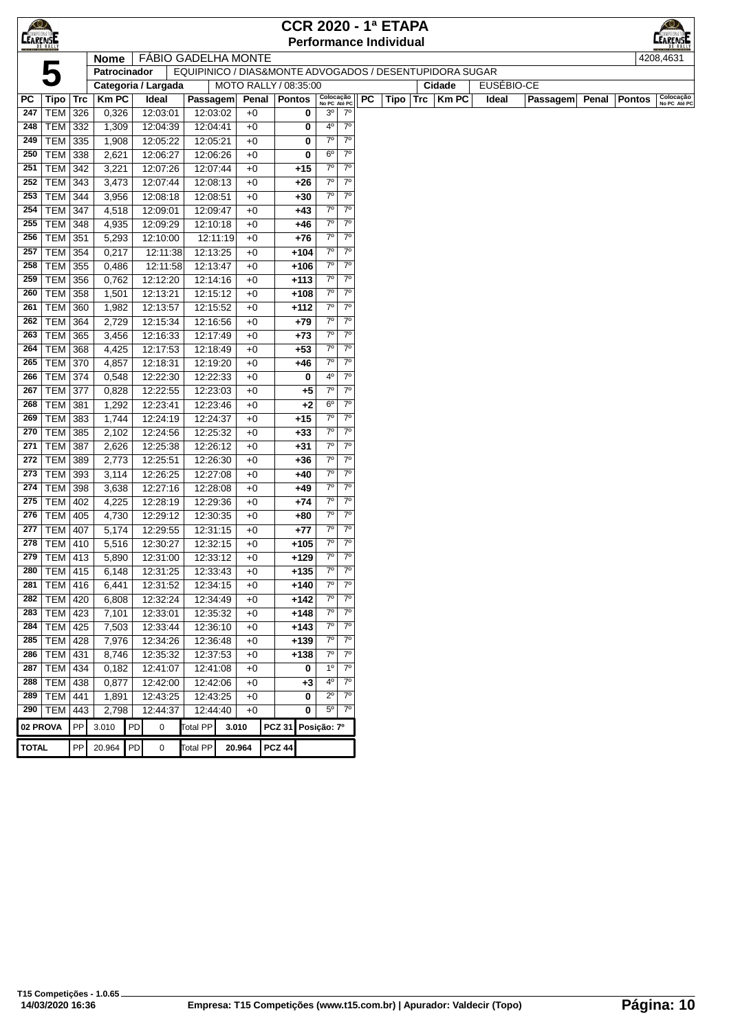| <b>CEARENSE</b> |                 |     |                   |    |                            |                 |       |                       |                |        |                           |                |           | <b>CCR 2020 - 1ª ETAPA</b>    |     |                                                         |            |                 |       |               | ⋌⊚∕                       |
|-----------------|-----------------|-----|-------------------|----|----------------------------|-----------------|-------|-----------------------|----------------|--------|---------------------------|----------------|-----------|-------------------------------|-----|---------------------------------------------------------|------------|-----------------|-------|---------------|---------------------------|
|                 |                 |     |                   |    |                            |                 |       |                       |                |        |                           |                |           | <b>Performance Individual</b> |     |                                                         |            |                 |       |               | <b>CAMPEONATO</b>         |
|                 |                 |     | <b>Nome</b>       |    | <b>FÁBIO GADELHA MONTE</b> |                 |       |                       |                |        |                           |                |           |                               |     |                                                         |            |                 |       |               | 4208,4631                 |
|                 |                 |     | Patrocinador      |    |                            |                 |       |                       |                |        |                           |                |           |                               |     | EQUIPINICO / DIAS&MONTE ADVOGADOS / DESENTUPIDORA SUGAR |            |                 |       |               |                           |
|                 |                 |     |                   |    | Categoria / Largada        |                 |       | MOTO RALLY / 08:35:00 |                |        |                           |                |           |                               |     | Cidade                                                  | EUSÉBIO-CE |                 |       |               |                           |
| РC              | Tipo            | Trc | <b>Km PC</b>      |    | Ideal                      | Passagem        |       |                       | Penal   Pontos |        | Colocação<br>No PC Até PC |                | <b>PC</b> | Tipo                          | Trc | <b>Km PC</b>                                            | Ideal      | <b>Passagem</b> | Penal | <b>Pontos</b> | Colocação<br>No PC Até PC |
| 247             | <b>TEM</b>      | 326 | 0,326             |    | 12:03:01                   | 12:03:02        |       | $+0$                  |                | 0      | 30                        | $7^\circ$      |           |                               |     |                                                         |            |                 |       |               |                           |
| 248             | TEM             | 332 | 1,309             |    | 12:04:39                   | 12:04:41        |       | $+0$                  |                | 0      | $4^{\circ}$               | $7^{\circ}$    |           |                               |     |                                                         |            |                 |       |               |                           |
| 249             | TEM             | 335 | 1,908             |    | 12:05:22                   | 12:05:21        |       | $+0$                  |                | 0      | $7^\circ$                 | $7^\circ$      |           |                               |     |                                                         |            |                 |       |               |                           |
| 250             | <b>TEM</b>      | 338 | 2,621             |    | 12:06:27                   | 12:06:26        |       | $+0$                  |                | 0      | $6^{\circ}$               | $7^\circ$      |           |                               |     |                                                         |            |                 |       |               |                           |
| 251             | <b>TEM</b>      | 342 | 3,221             |    | 12:07:26                   | 12:07:44        |       | $+0$                  |                | +15    | $7^\circ$                 | $7^\circ$      |           |                               |     |                                                         |            |                 |       |               |                           |
| 252             | TEM             | 343 | 3,473             |    | 12:07:44                   | 12:08:13        |       | $+0$                  |                | +26    | $7^\circ$                 | $7^\circ$      |           |                               |     |                                                         |            |                 |       |               |                           |
| 253             | <b>TEM 344</b>  |     | 3,956             |    | 12:08:18                   | 12:08:51        |       | $+0$                  |                | +30    | $7^\circ$                 | $7^\circ$      |           |                               |     |                                                         |            |                 |       |               |                           |
| 254             | <b>TEM 347</b>  |     | 4,518             |    | 12:09:01                   | 12:09:47        |       | $+0$                  |                | +43    | $7^\circ$                 | $7^\circ$      |           |                               |     |                                                         |            |                 |       |               |                           |
| 255             | TEM             | 348 | 4,935             |    | 12:09:29                   | 12:10:18        |       | $+0$                  |                | +46    | $7^\circ$                 | $7^\circ$      |           |                               |     |                                                         |            |                 |       |               |                           |
| 256             | <b>TEM</b>      | 351 | 5,293             |    | 12:10:00                   | 12:11:19        |       | $+0$                  |                | +76    | $7^\circ$                 | $7^\circ$      |           |                               |     |                                                         |            |                 |       |               |                           |
| 257             | <b>TEM</b>      | 354 | 0,217             |    | 12:11:38                   | 12:13:25        |       | $+0$                  |                | $+104$ | $7^\circ$                 | $7^\circ$      |           |                               |     |                                                         |            |                 |       |               |                           |
| 258             | TEM             | 355 | 0,486             |    | 12:11:58                   | 12:13:47        |       | $+0$                  |                | $+106$ | $7^\circ$                 | $7^\circ$      |           |                               |     |                                                         |            |                 |       |               |                           |
| 259             | <b>TEM</b>      | 356 | 0,762             |    | 12:12:20                   | 12:14:16        |       | $+0$                  |                | $+113$ | $7^\circ$                 | $7^\circ$      |           |                               |     |                                                         |            |                 |       |               |                           |
| 260             | <b>TEM</b>      | 358 | 1,501             |    | 12:13:21                   | 12:15:12        |       | $+0$                  |                | +108   | $7^\circ$                 | $7^\circ$      |           |                               |     |                                                         |            |                 |       |               |                           |
| 261             | <b>TEM</b>      | 360 | 1,982             |    | 12:13:57                   | 12:15:52        |       | $+0$                  |                | $+112$ | $7^{\circ}$               | $7^\circ$      |           |                               |     |                                                         |            |                 |       |               |                           |
| 262             | <b>TEM 364</b>  |     | 2,729             |    | 12:15:34                   | 12:16:56        |       | $+0$                  |                | $+79$  | $7^\circ$                 | $7^\circ$      |           |                               |     |                                                         |            |                 |       |               |                           |
| 263             | TEM 365         |     | 3,456             |    | 12:16:33                   | 12:17:49        |       | $+0$                  |                | +73    | $7^\circ$                 | $7^\circ$      |           |                               |     |                                                         |            |                 |       |               |                           |
| 264             | TEM             | 368 | 4,425             |    | 12:17:53                   | 12:18:49        |       | $+0$                  |                | $+53$  | $7^\circ$                 | $7^\circ$      |           |                               |     |                                                         |            |                 |       |               |                           |
| 265             | <b>TEM</b>      | 370 | 4,857             |    | 12:18:31                   | 12:19:20        |       | $+0$                  |                | +46    | $7^\circ$                 | $7^\circ$      |           |                               |     |                                                         |            |                 |       |               |                           |
| 266             | TEM             | 374 | 0,548             |    | 12:22:30                   | 12:22:33        |       | $+0$                  |                | 0      | 4°                        | $7^{\circ}$    |           |                               |     |                                                         |            |                 |       |               |                           |
| 267             | TEM             | 377 | 0,828             |    | 12:22:55                   | 12:23:03        |       | $+0$                  |                | +5     | $7^{\circ}$               | $7^\circ$      |           |                               |     |                                                         |            |                 |       |               |                           |
| 268             | <b>TEM</b>      | 381 | 1,292             |    | 12:23:41                   | 12:23:46        |       | $+0$                  |                | $+2$   | $6^{\circ}$               | $7^\circ$      |           |                               |     |                                                         |            |                 |       |               |                           |
| 269             | <b>TEM</b>      | 383 | 1,744             |    | 12:24:19                   | 12:24:37        |       | $+0$                  |                | +15    | $7^\circ$                 | $7^\circ$      |           |                               |     |                                                         |            |                 |       |               |                           |
| 270             | <b>TEM</b>      | 385 | 2,102             |    | 12:24:56                   | 12:25:32        |       | $+0$                  |                | $+33$  | $7^{\circ}$               | $7^\circ$      |           |                               |     |                                                         |            |                 |       |               |                           |
| 271             | <b>TEM 387</b>  |     | 2,626             |    | 12:25:38                   | 12:26:12        |       | $+0$                  |                | +31    | $7^\circ$                 | $7^\circ$      |           |                               |     |                                                         |            |                 |       |               |                           |
| 272             | TEM 389         |     | 2,773             |    | 12:25:51                   | 12:26:30        |       | $+0$                  |                | +36    | $7^\circ$                 | $7^\circ$      |           |                               |     |                                                         |            |                 |       |               |                           |
| 273             | <b>TEM</b>      | 393 | 3,114             |    | 12:26:25                   | 12:27:08        |       | $+0$                  |                | +40    | $7^\circ$                 | $7^\circ$      |           |                               |     |                                                         |            |                 |       |               |                           |
| 274             | TEM             | 398 | 3,638             |    | 12:27:16                   | 12:28:08        |       | $+0$                  |                | +49    | $7^\circ$                 | $7^\circ$      |           |                               |     |                                                         |            |                 |       |               |                           |
| 275             | <b>TEM</b>      | 402 | 4,225             |    | 12:28:19                   | 12:29:36        |       | $+0$                  |                | +74    | $7^\circ$                 | $7^{\circ}$    |           |                               |     |                                                         |            |                 |       |               |                           |
| 276             | TEM   405       |     | 4,730             |    | 12:29:12                   | 12:30:35        |       | $+0$                  |                | +80    | $7^\circ$                 | $7^\circ$      |           |                               |     |                                                         |            |                 |       |               |                           |
| 277             | TEM             | 407 | 5,174             |    | 12:29:55                   | 12:31:15        |       | $+0$                  |                | +77    | $7^\circ$                 | $7^\circ$      |           |                               |     |                                                         |            |                 |       |               |                           |
| 278             | TEM             | 410 | 5,516             |    | 12:30:27                   | 12:32:15        |       | $+0$                  |                | +105   | $7^\circ$                 | $7^\circ$      |           |                               |     |                                                         |            |                 |       |               |                           |
|                 | 279   TEM   413 |     | 5,890             |    | 12:31:00                   | 12:33:12        |       | $+0$                  |                | $+129$ | $7^\circ$                 | 7 <sup>0</sup> |           |                               |     |                                                         |            |                 |       |               |                           |
|                 |                 |     | 280 TEM 415 6,148 |    | 12:31:25                   | 12:33:43        |       | $+0$                  |                | $+135$ | $7^\circ$                 | $7^\circ$      |           |                               |     |                                                         |            |                 |       |               |                           |
| 281             | <b>TEM 416</b>  |     | 6,441             |    | 12:31:52                   | 12:34:15        |       | $+0$                  |                | $+140$ | $7^\circ$                 | $7^{\circ}$    |           |                               |     |                                                         |            |                 |       |               |                           |
| 282             | TEM             | 420 | 6,808             |    | 12:32:24                   | 12:34:49        |       | $+0$                  |                | $+142$ | $7^\circ$                 | $7^\circ$      |           |                               |     |                                                         |            |                 |       |               |                           |
| 283             | <b>TEM</b>      | 423 | 7,101             |    | 12:33:01                   | 12:35:32        |       | $+0$                  |                | $+148$ | $7^\circ$                 | $7^{\circ}$    |           |                               |     |                                                         |            |                 |       |               |                           |
| 284             | <b>TEM</b>      | 425 | 7,503             |    | 12:33:44                   | 12:36:10        |       | $+0$                  |                | $+143$ | $7^\circ$                 | $7^{\circ}$    |           |                               |     |                                                         |            |                 |       |               |                           |
| 285             | <b>TEM</b>      | 428 | 7,976             |    | 12:34:26                   | 12:36:48        |       | $+0$                  |                | $+139$ | $7^\circ$                 | $7^{\circ}$    |           |                               |     |                                                         |            |                 |       |               |                           |
| 286             | <b>TEM</b>      | 431 | 8,746             |    | 12:35:32                   | 12:37:53        |       | $+0$                  |                | $+138$ | $7^\circ$                 | $7^{\circ}$    |           |                               |     |                                                         |            |                 |       |               |                           |
| 287             | <b>TEM</b>      | 434 | 0,182             |    | 12:41:07                   | 12:41:08        |       | $+0$                  |                | 0      | $1^{\circ}$               | $7^{\circ}$    |           |                               |     |                                                         |            |                 |       |               |                           |
| 288             | <b>TEM</b>      | 438 | 0,877             |    | 12:42:00                   | 12:42:06        |       | $+0$                  |                | $+3$   | $4^{\rm o}$               | $7^{\circ}$    |           |                               |     |                                                         |            |                 |       |               |                           |
| 289             | <b>TEM</b>      | 441 | 1,891             |    | 12:43:25                   | 12:43:25        |       | $+0$                  |                | 0      | $2^{\circ}$               | $7^\circ$      |           |                               |     |                                                         |            |                 |       |               |                           |
|                 | $290$ TEM       | 443 | 2,798             |    | 12:44:37                   | 12:44:40        |       | $+0$                  |                | 0      | $5^{\circ}$               | 7 <sup>o</sup> |           |                               |     |                                                         |            |                 |       |               |                           |
|                 | 02 PROVA        | PP  | 3.010             | PD | 0                          | <b>Total PP</b> | 3.010 |                       | <b>PCZ 31</b>  |        | Posição: 7º               |                |           |                               |     |                                                         |            |                 |       |               |                           |
|                 |                 |     |                   |    |                            |                 |       |                       |                |        |                           |                |           |                               |     |                                                         |            |                 |       |               |                           |
| <b>TOTAL</b>    |                 | PP  | 20.964            | PD | 0                          | <b>Total PP</b> |       | 20.964                | <b>PCZ 44</b>  |        |                           |                |           |                               |     |                                                         |            |                 |       |               |                           |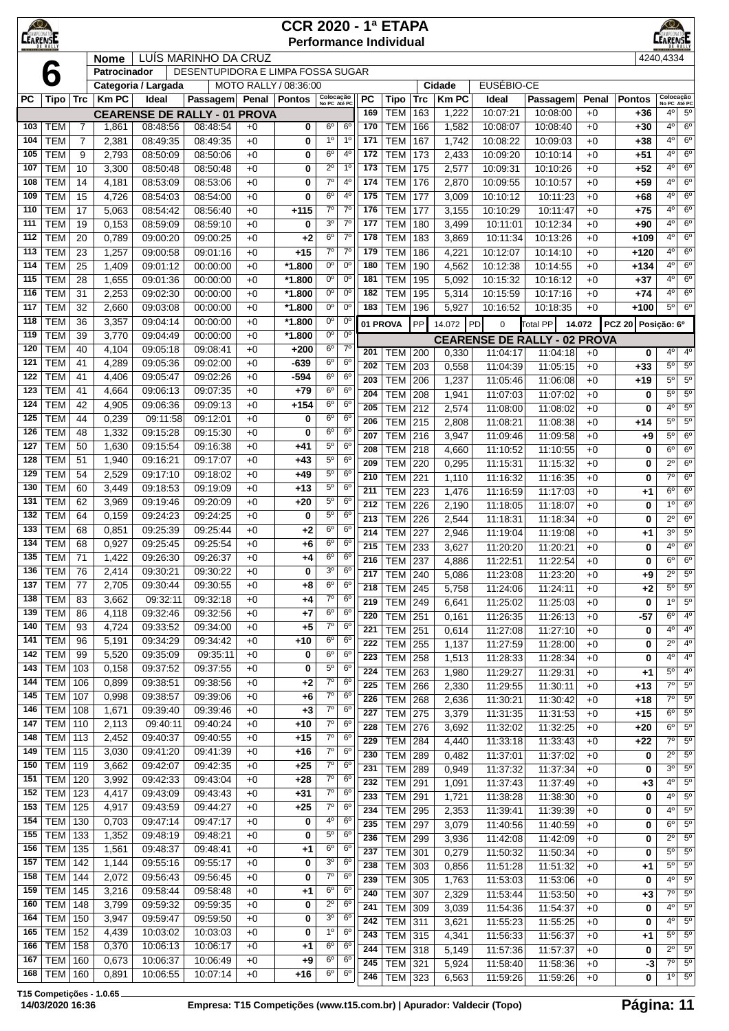| $\circledcirc$<br><b>LEARENSE</b> |                          |                |                |                      |                                                 |              | <b>CCR 2020 - 1ª ETAPA</b><br><b>Performance Individual</b> |                            |                                  |                  |                                  |            |                |                                     |                      |              |                    | <b>EARENSE</b>                           |                            |
|-----------------------------------|--------------------------|----------------|----------------|----------------------|-------------------------------------------------|--------------|-------------------------------------------------------------|----------------------------|----------------------------------|------------------|----------------------------------|------------|----------------|-------------------------------------|----------------------|--------------|--------------------|------------------------------------------|----------------------------|
|                                   |                          |                | <b>Nome</b>    |                      | LUÍS MARINHO DA CRUZ                            |              |                                                             |                            |                                  |                  |                                  |            |                |                                     |                      |              |                    | 4240,4334                                |                            |
|                                   | 6                        |                | Patrocinador   |                      | DESENTUPIDORA E LIMPA FOSSA SUGAR               |              |                                                             |                            |                                  |                  |                                  |            |                |                                     |                      |              |                    |                                          |                            |
|                                   |                          |                |                | Categoria / Largada  |                                                 |              | MOTO RALLY / 08:36:00                                       |                            |                                  |                  |                                  |            | <b>Cidade</b>  | EUSÉBIO-CE                          |                      |              |                    |                                          |                            |
| <b>PC</b>                         | Tipo   Trc               |                | <b>Km PC</b>   | Ideal                | Passagem                                        | Penal        | <b>Pontos</b>                                               | Colocação<br>No PC Até PC  |                                  | <b>PC</b><br>169 | Tipo<br><b>TEM</b>               | <b>Trc</b> | <b>Km PC</b>   | Ideal                               | Passagem             | Penal        | <b>Pontos</b>      | Colocação<br>No PC Até PC<br>$4^{\circ}$ | $5^{\circ}$                |
| 103                               | <b>TEM</b>               | 7              | 1,861          | 08:48:56             | <b>CEARENSE DE RALLY - 01 PROVA</b><br>08:48:54 | $+0$         | 0                                                           | $6^{\circ}$                | 6 <sup>o</sup>                   | 170              | <b>TEM</b>                       | 163<br>166 | 1,222<br>1,582 | 10:07:21<br>10:08:07                | 10:08:00<br>10:08:40 | $+0$<br>$+0$ | $+36$<br>+30       | $4^{\circ}$                              | $6^{\circ}$                |
| 104                               | <b>TEM</b>               | $\overline{7}$ | 2,381          | 08:49:35             | 08:49:35                                        | $+0$         | 0                                                           | 1 <sup>0</sup>             | 1 <sup>0</sup>                   | 171              | <b>TEM</b>                       | 167        | 1,742          | 10:08:22                            | 10:09:03             | $+0$         | $+38$              | $4^{\circ}$                              | $6^{\circ}$                |
| 105                               | <b>TEM</b>               | 9              | 2,793          | 08:50:09             | 08:50:06                                        | $+0$         | 0                                                           | $6^{\circ}$                | 4 <sup>0</sup>                   | 172              | <b>TEM</b>                       | 173        | 2,433          | 10:09:20                            | 10:10:14             | $+0$         | $+51$              | $4^{\circ}$                              | $6^{\circ}$                |
| 107                               | <b>TEM</b>               | 10             | 3,300          | 08:50:48             | 08:50:48                                        | $+0$         | 0                                                           | $2^{\circ}$                | $1^{\circ}$                      | 173              | <b>TEM</b>                       | 175        | 2,577          | 10:09:31                            | 10:10:26             | $+0$         | $+52$              | $4^{\circ}$                              | $6^{\circ}$                |
| 108                               | <b>TEM</b>               | 14             | 4,181          | 08:53:09             | 08:53:06                                        | $+0$         | 0                                                           | $7^\circ$                  | 4 <sup>0</sup>                   | 174              | <b>TEM</b>                       | 176        | 2,870          | 10:09:55                            | 10:10:57             | $+0$         | $+59$              | 4°                                       | $6^{\circ}$                |
| 109                               | <b>TEM</b>               | 15             | 4,726          | 08:54:03             | 08:54:00                                        | $+0$         | 0                                                           | $6^{\circ}$                | 4 <sup>0</sup>                   | 175              | <b>TEM</b>                       | 177        | 3,009          | 10:10:12                            | 10:11:23             | $+0$         | $+68$              | $4^{\circ}$                              | $6^{\circ}$                |
| 110                               | <b>TEM</b>               | 17             | 5,063          | 08:54:42             | 08:56:40                                        | $+0$         | $+115$                                                      | $7^\circ$                  | $7^\circ$                        | 176              | <b>TEM</b>                       | 177        | 3,155          | 10:10:29                            | 10:11:47             | $+0$         | $+75$              | 4 <sup>0</sup>                           | $6^{\circ}$                |
| 111                               | <b>TEM</b>               | 19             | 0,153          | 08:59:09             | 08:59:10                                        | $+0$         | 0                                                           | 3 <sup>o</sup>             | $7^\circ$                        | 177              | TEM                              | 180        | 3,499          | 10:11:01                            | 10:12:34             | $+0$         | $+90$              | $4^{\circ}$                              | $6^{\circ}$                |
| 112<br>113                        | <b>TEM</b><br><b>TEM</b> | 20<br>23       | 0,789          | 09:00:20             | 09:00:25                                        | $+0$<br>$+0$ | +2                                                          | $6^{\circ}$<br>$7^{\circ}$ | $7^\circ$<br>$7^{\circ}$         | 178<br>179       | <b>TEM</b><br><b>TEM</b>         | 183<br>186 | 3,869          | 10:11:34                            | 10:13:26             | $+0$<br>$+0$ | $+109$             | $4^{\circ}$<br>$4^{\circ}$               | $6^{\circ}$<br>$6^{\circ}$ |
| 114                               | <b>TEM</b>               | 25             | 1,257<br>1,409 | 09:00:58<br>09:01:12 | 09:01:16<br>00:00:00                            | $+0$         | +15<br>*1.800                                               | $0^{\circ}$                | $0^{\circ}$                      | 180              | <b>TEM</b>                       | 190        | 4,221<br>4,562 | 10:12:07<br>10:12:38                | 10:14:10<br>10:14:55 | $+0$         | $+120$<br>$+134$   | $4^{\circ}$                              | $6^{\circ}$                |
| 115                               | <b>TEM</b>               | 28             | 1,655          | 09:01:36             | 00:00:00                                        | $+0$         | *1.800                                                      | $0^{\circ}$                | $0^{\circ}$                      | 181              | <b>TEM</b>                       | 195        | 5,092          | 10:15:32                            | 10:16:12             | $+0$         | $+37$              | 4 <sup>0</sup>                           | $6^{\circ}$                |
| 116                               | <b>TEM</b>               | 31             | 2,253          | 09:02:30             | 00:00:00                                        | $+0$         | $*1.800$                                                    | 0°                         | $0^{\circ}$                      | 182              | <b>TEM</b>                       | 195        | 5,314          | 10:15:59                            | 10:17:16             | $+0$         | $+74$              | $4^{\circ}$                              | $6^{\circ}$                |
| 117                               | <b>TEM</b>               | 32             | 2,660          | 09:03:08             | 00:00:00                                        | $+0$         | *1.800                                                      | 0°                         | $0^{\circ}$                      | 183              | <b>TEM</b>                       | 196        | 5,927          | 10:16:52                            | 10:18:35             | $+0$         | $+100$             | $5^{\circ}$                              | $6^{\circ}$                |
| 118                               | <b>TEM</b>               | 36             | 3,357          | 09:04:14             | 00:00:00                                        | $+0$         | *1.800                                                      | 0 <sup>o</sup>             | $0^{\circ}$                      |                  | 01 PROVA                         | PP         | 14.072         | PD<br>$\mathbf 0$                   | Total PP             | 14.072       | PCZ 20 Posição: 6º |                                          |                            |
| 119                               | <b>TEM</b>               | 39             | 3,770          | 09:04:49             | 00:00:00                                        | $+0$         | *1.800                                                      | 0 <sup>o</sup>             | $0^{\circ}$                      |                  |                                  |            |                | <b>CEARENSE DE RALLY - 02 PROVA</b> |                      |              |                    |                                          |                            |
| 120                               | <b>TEM</b>               | 40             | 4,104          | 09:05:18             | 09:08:41                                        | $+0$         | $+200$                                                      | $6^{\circ}$                | $7^\circ$                        | 201              | <b>TEM</b>                       | 200        | 0,330          | 11:04:17                            | 11:04:18             | $+0$         | 0                  | $4^{\circ}$                              | $4^{\circ}$                |
| 121                               | <b>TEM</b>               | 41             | 4,289          | 09:05:36             | 09:02:00                                        | $+0$         | $-639$                                                      | $6^{\circ}$                | 6 <sup>o</sup>                   | 202              | <b>TEM</b>                       | 203        | 0,558          | 11:04:39                            | 11:05:15             | $+0$         | $+33$              | $5^{\circ}$                              | $5^{\circ}$                |
| 122<br>123                        | <b>TEM</b><br><b>TEM</b> | 41<br>41       | 4,406          | 09:05:47             | 09:02:26                                        | $+0$         | $-594$<br>$+79$                                             | $6^{\circ}$<br>$6^{\circ}$ | 6 <sup>o</sup><br>6 <sup>o</sup> | 203              | <b>TEM</b>                       | 206        | 1,237          | 11:05:46                            | 11:06:08             | $+0$         | +19                | $5^{\circ}$                              | $5^\circ$                  |
| 124                               | <b>TEM</b>               | 42             | 4,664<br>4,905 | 09:06:13<br>09:06:36 | 09:07:35<br>09:09:13                            | $+0$<br>$+0$ | $+154$                                                      | 6 <sup>o</sup>             | 6 <sup>o</sup>                   | 204              | <b>TEM</b>                       | 208        | 1,941          | 11:07:03                            | 11:07:02             | $+0$         | 0                  | $5^{\circ}$                              | $5^\circ$                  |
| 125                               | <b>TEM</b>               | 44             | 0,239          | 09:11:58             | 09:12:01                                        | $+0$         | 0                                                           | $6^{\circ}$                | 6 <sup>o</sup>                   | 205<br>206       | <b>TEM</b>                       | 212        | 2,574          | 11:08:00                            | 11:08:02             | $+0$         | 0                  | $4^{\circ}$<br>$5^{\circ}$               | $5^{\circ}$<br>$5^{\circ}$ |
| 126                               | <b>TEM</b>               | 48             | 1,332          | 09:15:28             | 09:15:30                                        | $+0$         | 0                                                           | $6^{\circ}$                | 6 <sup>o</sup>                   | 207              | <b>TEM</b><br><b>TEM</b>         | 215<br>216 | 2,808<br>3,947 | 11:08:21<br>11:09:46                | 11:08:38<br>11:09:58 | $+0$<br>$+0$ | +14                | $5^{\circ}$                              | $6^{\circ}$                |
| 127                               | <b>TEM</b>               | 50             | 1,630          | 09:15:54             | 09:16:38                                        | $+0$         | +41                                                         | $5^{\circ}$                | 6 <sup>o</sup>                   | 208              | <b>TEM</b>                       | 218        | 4,660          | 11:10:52                            | 11:10:55             | $+0$         | +9<br>0            | $6^{\circ}$                              | $6^{\circ}$                |
| 128                               | <b>TEM</b>               | 51             | 1,940          | 09:16:21             | 09:17:07                                        | $+0$         | $+43$                                                       | $5^{\circ}$                | $6^{\circ}$                      | 209              | <b>TEM</b>                       | 220        | 0,295          | 11:15:31                            | 11:15:32             | $+0$         | 0                  | $2^{\circ}$                              | $6^{\circ}$                |
| 129                               | <b>TEM</b>               | 54             | 2,529          | 09:17:10             | 09:18:02                                        | $+0$         | $+49$                                                       | $5^{\circ}$                | 6 <sup>o</sup>                   | 210              | <b>TEM</b>                       | 221        | 1,110          | 11:16:32                            | 11:16:35             | $+0$         | 0                  | $7^\circ$                                | $6^{\circ}$                |
| 130                               | <b>TEM</b>               | 60             | 3,449          | 09:18:53             | 09:19:09                                        | $+0$         | +13                                                         | $5^{\circ}$                | 6 <sup>o</sup>                   | 211              | <b>TEM</b>                       | 223        | 1,476          | 11:16:59                            | 11:17:03             | $+0$         | $+1$               | $6^{\circ}$                              | $6^{\circ}$                |
| 131                               | <b>TEM</b>               | 62             | 3,969          | 09:19:46             | 09:20:09                                        | $+0$         | $+20$                                                       | $5^{\circ}$                | 6 <sup>o</sup>                   | 212              | <b>TEM</b>                       | 226        | 2,190          | 11:18:05                            | 11:18:07             | $+0$         | 0                  | $1^{\circ}$                              | $6^{\circ}$                |
| 132                               | <b>TEM</b>               | 64             | 0,159          | 09:24:23             | 09:24:25                                        | $+0$         | 0                                                           | $5^{\circ}$                | 6 <sup>o</sup>                   | 213              | <b>TEM</b>                       | 226        | 2,544          | 11:18:31                            | 11:18:34             | $+0$         | 0                  | $2^{\circ}$                              | $6^{\circ}$                |
| 133<br>134                        | <b>TEM</b>               | 68             | 0,851          | 09:25:39             | 09:25:44                                        | $+0$         | +2                                                          | $6^{\circ}$<br>$6^{\circ}$ | 6 <sup>o</sup>                   | 214              | <b>TEM</b>                       | 227        | 2,946          | 11:19:04                            | 11:19:08             | $+0$         | $+1$               | $3^{\circ}$                              | $5^{\circ}$                |
| 135                               | <b>TEM</b><br><b>TEM</b> | 68<br>71       | 0,927<br>1,422 | 09:25:45<br>09:26:30 | 09:25:54<br>09:26:37                            | $+0$<br>$+0$ | $+6$<br>+4                                                  | $6^{\circ}$                | 6 <sup>o</sup><br>6 <sup>o</sup> | 215              | <b>TEM</b>                       | 233        | 3,627          | 11:20:20                            | 11:20:21             | $+0$         | 0                  | $4^{\circ}$                              | $6^{\circ}$                |
| 136                               | <b>TEM</b>               | 76             | 2,414          | 09:30:21             | 09:30:22                                        | +0           | 0                                                           | 3 <sup>o</sup>             | 6 <sup>o</sup>                   | 216              | TEM                              | 237        | 4,886          | 11:22:51                            | 11:22:54             | $+0$         | 0                  | $6^{\circ}$                              | $6^{\circ}$                |
| 137                               | <b>TEM</b>               | 77             | 2,705          | 09:30:44             | 09:30:55                                        | $+0$         | $+8$                                                        | $6^{\rm o}$                | 6 <sup>o</sup>                   | 217<br>218       | <b>TEM 240</b><br><b>TEM 245</b> |            | 5,086<br>5,758 | 11:23:08<br>11:24:06                | 11:23:20<br>11:24:11 | $+0$<br>$+0$ | +9<br>+2           | $2^{\circ}$<br>$5^{\circ}$               | $5^{\circ}$<br>$5^{\circ}$ |
| 138                               | <b>TEM</b>               | 83             | 3,662          | 09:32:11             | 09:32:18                                        | $+0$         | $+4$                                                        | 7 <sup>o</sup>             | 6 <sup>o</sup>                   | 219              | <b>TEM 249</b>                   |            | 6,641          | 11:25:02                            | 11:25:03             | $+0$         | 0                  | 1 <sup>0</sup>                           | $5^{\circ}$                |
| 139                               | <b>TEM</b>               | 86             | 4,118          | 09:32:46             | 09:32:56                                        | $+0$         | $+7$                                                        | $6^{\circ}$                | 6 <sup>o</sup>                   | 220              | TEM                              | 251        | 0,161          | 11:26:35                            | 11:26:13             | $+0$         | -57                | $6^{\circ}$                              | $4^{\circ}$                |
| 140                               | <b>TEM</b>               | 93             | 4,724          | 09:33:52             | 09:34:00                                        | $+0$         | $+5$                                                        | $7^\circ$                  | 6 <sup>o</sup>                   | 221              | TEM                              | 251        | 0,614          | 11:27:08                            | 11:27:10             | $+0$         | 0                  | $4^{\circ}$                              | $4^{\circ}$                |
| 141                               | <b>TEM</b>               | 96             | 5,191          | 09:34:29             | 09:34:42                                        | $+0$         | $+10$                                                       | 6 <sup>o</sup>             | 6 <sup>o</sup>                   | 222              | <b>TEM</b>                       | 255        | 1,137          | 11:27:59                            | 11:28:00             | $+0$         | 0                  | $2^{\circ}$                              | $4^{\circ}$                |
| 142                               | <b>TEM</b>               | 99             | 5,520          | 09:35:09             | 09:35:11                                        | $+0$         | 0                                                           | 6 <sup>o</sup>             | 6 <sup>o</sup>                   | 223              | TEM                              | 258        | 1,513          | 11:28:33                            | 11:28:34             | $+0$         | 0                  | $4^{\circ}$                              | $4^{\circ}$                |
| 143                               | TEM                      | 103            | 0,158          | 09:37:52             | 09:37:55<br>09:38:56                            | $+0$         | 0                                                           | $5^{\rm o}$<br>$7^\circ$   | 6 <sup>o</sup>                   | 224              | TEM                              | 263        | 1,980          | 11:29:27                            | 11:29:31             | $+0$         | $+1$               | $5^{\circ}$                              | $4^{\circ}$                |
| 144<br>145                        | TEM<br>TEM               | 106            | 0,899          | 09:38:51<br>09:38:57 | 09:39:06                                        | $+0$         | $+2$                                                        | $7^\circ$                  | $6^{\circ}$<br>6 <sup>o</sup>    | 225              | <b>TEM</b>                       | 266        | 2,330          | 11:29:55                            | 11:30:11             | $+0$         | $+13$              | $7^\circ$                                | $5^{\circ}$                |
| 146                               | TEM                      | 107<br>108     | 0,998<br>1,671 | 09:39:40             | 09:39:46                                        | $+0$<br>$+0$ | +6<br>$+3$                                                  | 7 <sup>o</sup>             | 6 <sup>o</sup>                   | 226<br>227       | TEM                              | 268        | 2,636          | 11:30:21                            | 11:30:42             | $+0$         | +18                | $7^\circ$<br>$6^{\circ}$                 | $5^{\circ}$<br>$5^{\circ}$ |
| 147                               | <b>TEM 110</b>           |                | 2,113          | 09:40:11             | 09:40:24                                        | $+0$         | $+10$                                                       | 7 <sup>o</sup>             | $6^{\circ}$                      | 228              | TEM<br>TEM                       | 275<br>276 | 3,379<br>3,692 | 11:31:35<br>11:32:02                | 11:31:53<br>11:32:25 | $+0$<br>$+0$ | $+15$<br>$+20$     | $6^{\circ}$                              | $5^\circ$                  |
| 148                               | <b>TEM 113</b>           |                | 2,452          | 09:40:37             | 09:40:55                                        | $+0$         | $+15$                                                       | $7^{\circ}$                | 6 <sup>o</sup>                   | 229              | TEM                              | 284        | 4,440          | 11:33:18                            | 11:33:43             | $+0$         | $+22$              | $7^\circ$                                | $5^{\circ}$                |
| 149                               | TEM                      | 115            | 3,030          | 09:41:20             | 09:41:39                                        | $+0$         | $+16$                                                       | $7^\circ$                  | 6 <sup>o</sup>                   | 230              | TEM                              | 289        | 0,482          | 11:37:01                            | 11:37:02             | $+0$         | 0                  | $2^{\circ}$                              | $5^{\circ}$                |
| 150                               | <b>TEM 119</b>           |                | 3,662          | 09:42:07             | 09:42:35                                        | $+0$         | $+25$                                                       | 7 <sup>o</sup>             | 6 <sup>o</sup>                   | 231              | TEM                              | 289        | 0,949          | 11:37:32                            | 11:37:34             | $+0$         | 0                  | $3^{\circ}$                              | $5^{\circ}$                |
| 151                               | <b>TEM 120</b>           |                | 3,992          | 09:42:33             | 09:43:04                                        | $+0$         | $+28$                                                       | 7 <sup>o</sup>             | 6 <sup>o</sup>                   | 232              | TEM                              | 291        | 1,091          | 11:37:43                            | 11:37:49             | $+0$         | $+3$               | $4^{\circ}$                              | $5^\circ$                  |
| 152                               | $TEM$ 123                |                | 4,417          | 09:43:09             | 09:43:43                                        | $+0$         | $+31$                                                       | 7 <sup>o</sup>             | 6 <sup>o</sup>                   | 233              | TEM                              | 291        | 1,721          | 11:38:28                            | 11:38:30             | $+0$         | 0                  | $4^{\circ}$                              | $5^{\circ}$                |
| 153                               | <b>TEM</b> 125           |                | 4,917          | 09:43:59             | 09:44:27                                        | $+0$         | $+25$                                                       | $7^\circ$                  | 6 <sup>o</sup>                   | 234              | TEM                              | 295        | 2,353          | 11:39:41                            | 11:39:39             | $+0$         | 0                  | $4^{\circ}$                              | $5^{\circ}$                |
| 154                               | TEM   130                |                | 0,703          | 09:47:14             | 09:47:17                                        | $+0$         | 0                                                           | 4°<br>$5^{\circ}$          | 6 <sup>o</sup><br>6 <sup>o</sup> | 235              | <b>TEM</b>                       | 297        | 3,079          | 11:40:56                            | 11:40:59             | $+0$         | 0                  | $6^{\circ}$                              | $5^{\circ}$                |
| 155<br>156                        | <b>TEM 133</b><br>TEM    | 135            | 1,352<br>1,561 | 09:48:19<br>09:48:37 | 09:48:21<br>09:48:41                            | $+0$<br>$+0$ | 0<br>$+1$                                                   | 6 <sup>o</sup>             | $6^{\circ}$                      | 236              | <b>TEM</b> 299                   |            | 3,936          | 11:42:08                            | 11:42:09             | $+0$         | 0                  | $2^{\circ}$                              | $5^\circ$                  |
| 157                               | TEM                      | 142            | 1,144          | 09:55:16             | 09:55:17                                        | $+0$         | 0                                                           | 3 <sup>o</sup>             | 6 <sup>o</sup>                   | 237              | TEM                              | 301        | 0,279          | 11:50:32                            | 11:50:34             | $+0$         | 0                  | $5^{\circ}$<br>$5^\circ$                 | $5^{\circ}$<br>$5^{\circ}$ |
| 158                               | <b>TEM</b>               | 144            | 2,072          | 09:56:43             | 09:56:45                                        | $+0$         | 0                                                           | $7^\circ$                  | $6^{\circ}$                      | 238<br>239       | TEM 303<br>TEM                   | 305        | 0,856<br>1,763 | 11:51:28<br>11:53:03                | 11:51:32<br>11:53:06 | $+0$<br>$+0$ | $+1$<br>0          | $4^{\circ}$                              | $5^{\circ}$                |
| 159                               | TEM                      | 145            | 3,216          | 09:58:44             | 09:58:48                                        | $+0$         | +1                                                          | $6^{\rm o}$                | 6 <sup>o</sup>                   | 240              | TEM                              | 307        | 2,329          | 11:53:44                            | 11:53:50             | $+0$         | $+3$               | $7^\circ$                                | $5^{\circ}$                |
| 160                               | TEM                      | 148            | 3,799          | 09:59:32             | 09:59:35                                        | $+0$         | 0                                                           | $2^{\circ}$                | 6 <sup>o</sup>                   | 241              | TEM                              | 309        | 3,039          | 11:54:36                            | 11:54:37             | $+0$         | 0                  | $4^{\circ}$                              | $5^{\circ}$                |
| 164                               | TEM                      | 150            | 3,947          | 09:59:47             | 09:59:50                                        | $+0$         | 0                                                           | 3 <sup>o</sup>             | 6 <sup>o</sup>                   | 242              | <b>TEM 311</b>                   |            | 3,621          | 11:55:23                            | 11:55:25             | $+0$         | 0                  | $4^{\circ}$                              | $5^{\circ}$                |
| 165                               | TEM                      | 152            | 4,439          | 10:03:02             | 10:03:03                                        | $+0$         | 0                                                           | 1 <sup>0</sup>             | 6 <sup>o</sup>                   | 243              | <b>TEM 315</b>                   |            | 4,341          | 11:56:33                            | 11:56:37             | $+0$         | +1                 | $5^{\circ}$                              | $5^{\circ}$                |
| 166                               | TEM                      | 158            | 0,370          | 10:06:13             | 10:06:17                                        | $+0$         | +1                                                          | $6^{\circ}$                | $6^{\circ}$                      | 244              | <b>TEM</b>                       | 318        | 5,149          | 11:57:36                            | 11:57:37             | $+0$         | 0                  | $2^{\circ}$                              | $5^\circ$                  |
| 167                               | <b>TEM</b>               | 160            | 0,673          | 10:06:37             | 10:06:49                                        | $+0$         | +9                                                          | $6^{\circ}$                | $6^{\circ}$                      | 245              | <b>TEM 321</b>                   |            | 5,924          | 11:58:40                            | 11:58:36             | $+0$         | $-3$               | $7^\circ$                                | $5^{\circ}$                |
| 168                               | <b>TEM 160</b>           |                | 0,891          | 10:06:55             | 10:07:14                                        | $+0$         | $+16$                                                       | 6 <sup>o</sup>             | 6 <sup>o</sup>                   | 246              | <b>TEM 323</b>                   |            | 6,563          | 11:59:26                            | 11:59:26             | $+0$         | 0                  | $1^\circ$                                | $5^{\circ}$                |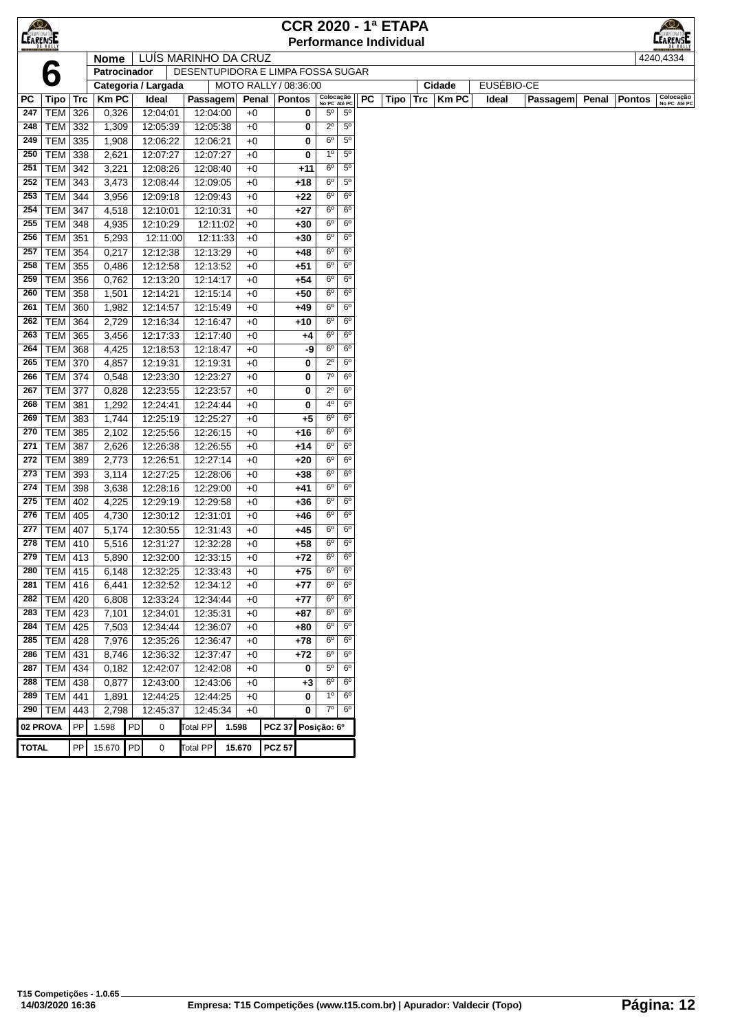| <b>CEARENSE</b> |                |            |              |    |                      |                                   |       |                       |                | <b>CCR 2020 - 1ª ETAPA</b>    |                           |                |           |      |     |           |            |                 |       |               | $\bigotimes$              |
|-----------------|----------------|------------|--------------|----|----------------------|-----------------------------------|-------|-----------------------|----------------|-------------------------------|---------------------------|----------------|-----------|------|-----|-----------|------------|-----------------|-------|---------------|---------------------------|
|                 |                |            |              |    |                      |                                   |       |                       |                | <b>Performance Individual</b> |                           |                |           |      |     |           |            |                 |       |               | <b>EARENSE</b>            |
|                 |                |            | <b>Nome</b>  |    | LUIS MARINHO DA CRUZ |                                   |       |                       |                |                               |                           |                |           |      |     |           |            |                 |       |               | 4240.4334                 |
|                 | 6              |            | Patrocinador |    |                      | DESENTUPIDORA E LIMPA FOSSA SUGAR |       |                       |                |                               |                           |                |           |      |     |           |            |                 |       |               |                           |
|                 |                |            |              |    | Categoria / Largada  |                                   |       | MOTO RALLY / 08:36:00 |                |                               |                           |                |           |      |     | Cidade    | EUSÉBIO-CE |                 |       |               |                           |
| PC              | Tipo           | Trc        | <b>KmPC</b>  |    | Ideal                | Passagem                          |       |                       | Penal   Pontos |                               | Colocação<br>No PC Até PC |                | <b>PC</b> | Tipo | Trc | $ $ Km PC | Ideal      | <b>Passagem</b> | Penal | <b>Pontos</b> | Colocação<br>No PC Até PC |
| 247             | <b>TEM</b>     | 326        | 0,326        |    | 12:04:01             | 12:04:00                          |       | $+0$                  |                | 0                             | $5^{\circ}$               | $5^{\circ}$    |           |      |     |           |            |                 |       |               |                           |
| 248             | TEM 332        |            | 1,309        |    | 12:05:39             | 12:05:38                          |       | $+0$                  |                | 0                             | $2^{\circ}$               | $5^{\circ}$    |           |      |     |           |            |                 |       |               |                           |
| 249             | <b>TEM</b>     | 335        | 1,908        |    | 12:06:22             | 12:06:21                          |       | $+0$                  |                | 0                             | $6^{\circ}$               | $5^{\circ}$    |           |      |     |           |            |                 |       |               |                           |
| 250             | <b>TEM</b>     | 338        | 2,621        |    | 12:07:27             | 12:07:27                          |       | $+0$                  |                | 0                             | $1^{\circ}$               | $5^{\circ}$    |           |      |     |           |            |                 |       |               |                           |
| 251             | <b>TEM</b>     | 342        | 3,221        |    | 12:08:26             | 12:08:40                          |       | $+0$                  |                | +11                           | $6^{\circ}$               | $5^{\circ}$    |           |      |     |           |            |                 |       |               |                           |
| 252             | <b>TEM 343</b> |            | 3,473        |    | 12:08:44             | 12:09:05                          |       | $+0$                  |                | +18                           | 6 <sup>o</sup>            | $5^{\circ}$    |           |      |     |           |            |                 |       |               |                           |
| 253             | <b>TEM 344</b> |            | 3,956        |    | 12:09:18             | 12:09:43                          |       | $+0$                  |                | $+22$                         | $6^{\circ}$               | $6^{\circ}$    |           |      |     |           |            |                 |       |               |                           |
| 254             | <b>TEM 347</b> |            | 4,518        |    | 12:10:01             | 12:10:31                          |       | $+0$                  |                | $+27$                         | $6^{\circ}$               | 6 <sup>o</sup> |           |      |     |           |            |                 |       |               |                           |
| 255             | TEM   348      |            | 4,935        |    | 12:10:29             | 12:11:02                          |       | $+0$                  |                | +30                           | $6^{\circ}$               | $6^{\circ}$    |           |      |     |           |            |                 |       |               |                           |
| 256             | <b>TEM</b>     | 351        | 5,293        |    | 12:11:00             | 12:11:33                          |       | $+0$                  |                | +30                           | $6^{\circ}$               | $6^{\circ}$    |           |      |     |           |            |                 |       |               |                           |
| 257             | <b>TEM</b>     | 354        | 0,217        |    | 12:12:38             | 12:13:29                          |       | $+0$                  |                | $+48$                         | $6^{\circ}$               | $6^{\circ}$    |           |      |     |           |            |                 |       |               |                           |
| 258             | TEM            | 355        | 0,486        |    | 12:12:58             | 12:13:52                          |       | $+0$                  |                | $+51$                         | $6^{\circ}$               | $6^{\circ}$    |           |      |     |           |            |                 |       |               |                           |
| 259             | <b>TEM</b>     | 356        | 0,762        |    | 12:13:20             | 12:14:17                          |       | $+0$                  |                | $+54$                         | $6^{\circ}$               | $6^{\circ}$    |           |      |     |           |            |                 |       |               |                           |
| 260             | <b>TEM</b>     | 358        | 1,501        |    | 12:14:21             | 12:15:14                          |       | $+0$                  |                | +50                           | $6^{\circ}$               | $6^{\circ}$    |           |      |     |           |            |                 |       |               |                           |
| 261             | <b>TEM</b>     | 360        | 1,982        |    | 12:14:57             | 12:15:49                          |       | $+0$                  |                | +49                           | $6^{\circ}$               | $6^{\circ}$    |           |      |     |           |            |                 |       |               |                           |
| 262             | <b>TEM 364</b> |            | 2,729        |    | 12:16:34             | 12:16:47                          |       | $+0$                  |                | $+10$                         | $6^{\circ}$               | $6^{\circ}$    |           |      |     |           |            |                 |       |               |                           |
| 263             | <b>TEM 365</b> |            | 3,456        |    | 12:17:33             | 12:17:40                          |       | $+0$                  |                | +4                            | $6^{\circ}$               | $6^{\circ}$    |           |      |     |           |            |                 |       |               |                           |
| 264             | TEM            | 368        | 4,425        |    | 12:18:53             | 12:18:47                          |       | $+0$                  |                | -9                            | $6^{\circ}$               | $6^{\circ}$    |           |      |     |           |            |                 |       |               |                           |
| 265             | <b>TEM</b>     | 370        | 4,857        |    | 12:19:31             | 12:19:31                          |       | $+0$                  |                | 0                             | $2^{\circ}$               | $6^{\circ}$    |           |      |     |           |            |                 |       |               |                           |
| 266             | <b>TEM 374</b> |            | 0,548        |    | 12:23:30             | 12:23:27                          |       | $+0$                  |                | 0                             | $7^{\circ}$               | $6^{\circ}$    |           |      |     |           |            |                 |       |               |                           |
| 267             | <b>TEM 377</b> |            | 0,828        |    | 12:23:55             | 12:23:57                          |       | $+0$                  |                | 0                             | $2^{\circ}$               | 6 <sup>o</sup> |           |      |     |           |            |                 |       |               |                           |
| 268             | <b>TEM</b>     | 381        | 1,292        |    | 12:24:41             | 12:24:44                          |       | $+0$                  |                | 0                             | $4^{\circ}$               | 6 <sup>o</sup> |           |      |     |           |            |                 |       |               |                           |
| 269             | TEM            | 383        | 1,744        |    | 12:25:19             | 12:25:27                          |       | $+0$                  |                | +5                            | $6^{\circ}$               | 6 <sup>o</sup> |           |      |     |           |            |                 |       |               |                           |
| 270             | <b>TEM</b>     | 385        | 2,102        |    | 12:25:56             | 12:26:15                          |       | $+0$                  |                | $+16$                         | $6^{\circ}$               | 6 <sup>o</sup> |           |      |     |           |            |                 |       |               |                           |
| 271             | <b>TEM 387</b> |            | 2,626        |    | 12:26:38             | 12:26:55                          |       | $+0$                  |                | $+14$                         | $6^{\circ}$               | $6^{\circ}$    |           |      |     |           |            |                 |       |               |                           |
| 272             | TEM 389        |            | 2,773        |    | 12:26:51             | 12:27:14                          |       | $+0$                  |                | $+20$                         | $6^{\circ}$               | $6^{\circ}$    |           |      |     |           |            |                 |       |               |                           |
| 273             | <b>TEM</b>     | 393        | 3,114        |    | 12:27:25             | 12:28:06                          |       | $+0$                  |                | +38                           | $6^{\circ}$               | $6^{\circ}$    |           |      |     |           |            |                 |       |               |                           |
| 274             | TEM            | 398        | 3,638        |    | 12:28:16             | 12:29:00                          |       | $+0$                  |                | +41                           | $6^{\circ}$               | $6^{\circ}$    |           |      |     |           |            |                 |       |               |                           |
| 275             | TEM            | 402        | 4,225        |    | 12:29:19             | 12:29:58                          |       | $+0$                  |                | $+36$                         | $6^{\circ}$               | 6 <sup>o</sup> |           |      |     |           |            |                 |       |               |                           |
| 276             | <b>TEM</b>     | 405        | 4,730        |    | 12:30:12             | 12:31:01                          |       | $+0$                  |                | +46                           | $6^{\circ}$               | $6^{\circ}$    |           |      |     |           |            |                 |       |               |                           |
| 277             | <b>TEM 407</b> |            | 5,174        |    | 12:30:55             | 12:31:43                          |       | $+0$                  |                | $+45$                         | $6^{\circ}$               | $6^{\circ}$    |           |      |     |           |            |                 |       |               |                           |
| 278             | TEM            | 410        | 5,516        |    | 12:31:27             | 12:32:28                          |       | $+0$                  |                | +58                           | $6^{\circ}$               | $6^{\circ}$    |           |      |     |           |            |                 |       |               |                           |
| 279             | TEM 413        |            | 5,890        |    | 12:32:00             | 12:33:15                          |       | $+0$                  |                | $+72$                         | $6^{\circ}$               | 6 <sup>o</sup> |           |      |     |           |            |                 |       |               |                           |
|                 | 280 TEM 415    |            | 6,148        |    | 12:32:25             | 12:33:43                          |       | $+0$                  |                | $+75$                         | 6 <sup>o</sup>            | 6 <sup>o</sup> |           |      |     |           |            |                 |       |               |                           |
| 281             | TEM 416        |            | 6,441        |    | 12:32:52             | 12:34:12                          |       | $+0$                  |                | $+77$                         | $6^{\circ}$               | $6^{\circ}$    |           |      |     |           |            |                 |       |               |                           |
| 282             | TEM 420        |            | 6,808        |    | 12:33:24             | 12:34:44                          |       | $+0$                  |                | $+77$                         | $6^{\circ}$               | $6^{\circ}$    |           |      |     |           |            |                 |       |               |                           |
| 283             | $TEM$ 423      |            | 7,101        |    | 12:34:01             | 12:35:31                          |       | +0                    |                | +87                           | $6^{\circ}$               | $6^{\circ}$    |           |      |     |           |            |                 |       |               |                           |
| 284             | <b>TEM 425</b> |            | 7,503        |    | 12:34:44             | 12:36:07                          |       | $+0$                  |                | +80                           | $6^{\rm o}$               | 6 <sup>o</sup> |           |      |     |           |            |                 |       |               |                           |
| 285             | <b>TEM 428</b> |            | 7,976        |    | 12:35:26             | 12:36:47                          |       | $+0$                  |                | +78                           | $6^{\circ}$               | $6^{\circ}$    |           |      |     |           |            |                 |       |               |                           |
| 286             | TEM   431      |            | 8,746        |    | 12:36:32             | 12:37:47                          |       | $+0$                  |                | +72                           | $6^{\circ}$               | $6^{\circ}$    |           |      |     |           |            |                 |       |               |                           |
| 287             | <b>TEM</b>     | 434        | 0,182        |    | 12:42:07             | 12:42:08                          |       | +0                    |                | 0                             | $5^{\circ}$               | $6^{\circ}$    |           |      |     |           |            |                 |       |               |                           |
| 288             | <b>TEM</b>     | 438        | 0,877        |    | 12:43:00             | 12:43:06                          |       | $+0$                  |                | +3                            | $6^{\rm o}$               | $6^{\circ}$    |           |      |     |           |            |                 |       |               |                           |
| 289             | <b>TEM</b>     | 441        | 1,891        |    | 12:44:25             | 12:44:25                          |       | $+0$                  |                | 0                             | 1 <sup>o</sup>            | $6^{\circ}$    |           |      |     |           |            |                 |       |               |                           |
|                 | 290   TEM      | 443        | 2,798        |    | 12:45:37             | 12:45:34                          |       | $+0$                  |                | 0                             | $7^\circ$                 | $6^{\circ}$    |           |      |     |           |            |                 |       |               |                           |
| 02 PROVA        |                | ${\sf PP}$ | 1.598        | PD | 0                    | <b>Total PP</b>                   | 1.598 |                       | <b>PCZ 37</b>  |                               | Posição: 6º               |                |           |      |     |           |            |                 |       |               |                           |
|                 |                |            |              |    |                      |                                   |       |                       |                |                               |                           |                |           |      |     |           |            |                 |       |               |                           |
| <b>TOTAL</b>    |                | PP         | 15.670       | PD | 0                    | <b>Total PP</b>                   |       | 15.670                | <b>PCZ 57</b>  |                               |                           |                |           |      |     |           |            |                 |       |               |                           |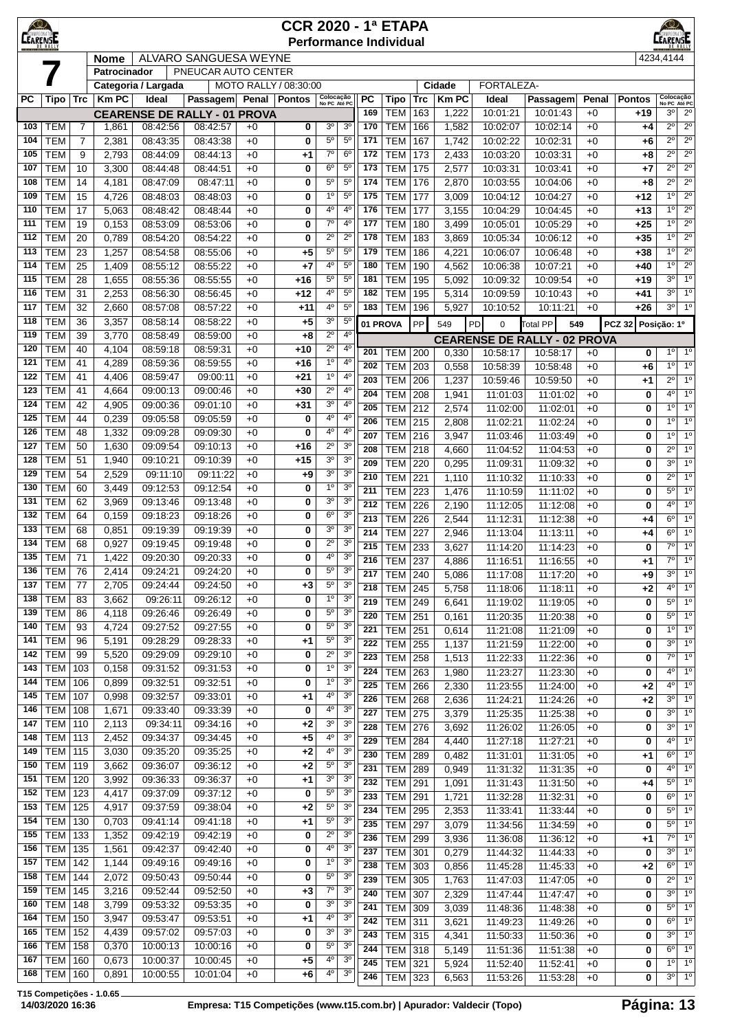| <b>LEARENSI</b> |                          |                | <b>CCR 2020 - 1ª ETAPA</b><br><b>Performance Individual</b> |                              |                                     |              |                       |                               |                                  |                  |                          |            |                        |                      |                                                 |              |               |                               |                                  |  |
|-----------------|--------------------------|----------------|-------------------------------------------------------------|------------------------------|-------------------------------------|--------------|-----------------------|-------------------------------|----------------------------------|------------------|--------------------------|------------|------------------------|----------------------|-------------------------------------------------|--------------|---------------|-------------------------------|----------------------------------|--|
|                 |                          |                | ALVARO SANGUESA WEYNE<br><b>Nome</b>                        |                              |                                     |              |                       |                               |                                  |                  |                          |            |                        |                      |                                                 |              | 4234,4144     |                               |                                  |  |
|                 |                          |                | Patrocinador                                                |                              | PNEUCAR AUTO CENTER                 |              |                       |                               |                                  |                  |                          |            |                        |                      |                                                 |              |               |                               |                                  |  |
| РC              | Tipo                     | Trc            | Km PC                                                       | Categoria / Largada<br>Ideal | Passagem Penal Pontos               |              | MOTO RALLY / 08:30:00 | Colocação<br>No PC Até PC     |                                  | <b>PC</b>        | Tipo                     | Trc        | Cidade<br><b>Km PC</b> | FORTALEZA-<br>Ideal  | Passagem                                        | Penal        | <b>Pontos</b> | Colocação<br>No PC Até PC     |                                  |  |
|                 |                          |                |                                                             |                              | <b>CEARENSE DE RALLY - 01 PROVA</b> |              |                       |                               |                                  | 169              | <b>TEM</b>               | 163        | 1,222                  | 10:01:21             | 10:01:43                                        | $+0$         | +19           | 3 <sup>0</sup>                | $2^{\circ}$                      |  |
| 103             | <b>TEM</b>               | $\overline{7}$ | 1,861                                                       | 08:42:56                     | 08:42:57                            | $+0$         | 0                     | 3 <sup>o</sup>                | 3 <sup>o</sup>                   | 170              | <b>TEM</b>               | 166        | 1,582                  | 10:02:07             | 10:02:14                                        | $+0$         | $+4$          | $2^{\circ}$                   | $2^{\circ}$                      |  |
| 104             | <b>TEM</b>               | $\overline{7}$ | 2,381                                                       | 08:43:35                     | 08:43:38                            | $+0$         | 0                     | $5^{\circ}$                   | $5^{\circ}$                      | 171              | <b>TEM</b>               | 167        | 1,742                  | 10:02:22             | 10:02:31                                        | $+0$         | +6            | $2^{\circ}$                   | $2^{\circ}$                      |  |
| 105             | <b>TEM</b>               | 9              | 2,793                                                       | 08:44:09                     | 08:44:13                            | $+0$         | $+1$                  | $7^{\circ}$                   | 6 <sup>o</sup>                   | 172              | <b>TEM</b>               | 173        | 2,433                  | 10:03:20             | 10:03:31                                        | $+0$         | +8            | $2^{\circ}$                   | $2^{\circ}$                      |  |
| 107             | <b>TEM</b>               | 10             | 3,300                                                       | 08:44:48                     | 08:44:51                            | $+0$         | 0                     | $6^{\circ}$                   | $5^{\circ}$                      | 173              | <b>TEM</b>               | 175        | 2,577                  | 10:03:31             | 10:03:41                                        | $+0$         | +7            | $2^{\circ}$                   | $2^{\circ}$                      |  |
| 108             | <b>TEM</b>               | 14             | 4,181                                                       | 08:47:09                     | 08:47:11                            | $+0$         | 0                     | $5^{\circ}$                   | $5^{\circ}$                      | 174              | <b>TEM</b>               | 176        | 2,870                  | 10:03:55             | 10:04:06                                        | $+0$         | +8            | $2^{\circ}$                   | $2^{\circ}$                      |  |
| 109<br>110      | <b>TEM</b><br><b>TEM</b> | 15<br>17       | 4,726                                                       | 08:48:03                     | 08:48:03                            | $+0$<br>$+0$ | 0<br>0                | 1 <sup>0</sup><br>$4^{\circ}$ | 5 <sup>0</sup><br>4 <sup>0</sup> | 175<br>176       | <b>TEM</b><br><b>TEM</b> | 177<br>177 | 3,009                  | 10:04:12             | 10:04:27                                        | $+0$<br>$+0$ | +12           | $1^{\circ}$<br>10             | $2^{\circ}$<br>$2^{\circ}$       |  |
| 111             | <b>TEM</b>               | 19             | 5,063<br>0,153                                              | 08:48:42<br>08:53:09         | 08:48:44<br>08:53:06                | $+0$         | 0                     | $7^\circ$                     | 4 <sup>0</sup>                   | 177              | <b>TEM</b>               | 180        | 3,155<br>3,499         | 10:04:29<br>10:05:01 | 10:04:45<br>10:05:29                            | $+0$         | +13<br>$+25$  | 1 <sup>0</sup>                | $2^{\circ}$                      |  |
| 112             | <b>TEM</b>               | 20             | 0,789                                                       | 08:54:20                     | 08:54:22                            | $+0$         | 0                     | 2º                            | $2^{\circ}$                      | 178              | <b>TEM</b>               | 183        | 3,869                  | 10:05:34             | 10:06:12                                        | $+0$         | $+35$         | 1 <sup>0</sup>                | $2^{\circ}$                      |  |
| 113             | <b>TEM</b>               | 23             | 1,257                                                       | 08:54:58                     | 08:55:06                            | $+0$         | $+5$                  | $5^{\circ}$                   | $5^{\circ}$                      | 179              | <b>TEM</b>               | 186        | 4,221                  | 10:06:07             | 10:06:48                                        | $+0$         | $+38$         | $1^{\circ}$                   | $2^{\circ}$                      |  |
| 114             | <b>TEM</b>               | 25             | 1,409                                                       | 08:55:12                     | 08:55:22                            | $+0$         | $+7$                  | 4°                            | $5^{\circ}$                      | 180              | <b>TEM</b>               | 190        | 4,562                  | 10:06:38             | 10:07:21                                        | $+0$         | $+40$         | $1^{\circ}$                   | $2^{\circ}$                      |  |
| 115             | <b>TEM</b>               | 28             | 1,655                                                       | 08:55:36                     | 08:55:55                            | $+0$         | $+16$                 | $5^{\circ}$                   | $5^{\circ}$                      | 181              | <b>TEM</b>               | 195        | 5,092                  | 10:09:32             | 10:09:54                                        | $+0$         | +19           | 3 <sup>o</sup>                | 1 <sup>°</sup>                   |  |
| 116             | <b>TEM</b>               | 31             | 2,253                                                       | 08:56:30                     | 08:56:45                            | $+0$         | $+12$                 | 4°                            | $5^{\circ}$                      | 182              | <b>TEM</b>               | 195        | 5,314                  | 10:09:59             | 10:10:43                                        | $+0$         | +41           | $3^{\circ}$                   | 1 <sup>0</sup>                   |  |
| 117<br>118      | <b>TEM</b><br><b>TEM</b> | 32             | 2,660                                                       | 08:57:08                     | 08:57:22                            | $+0$         | $+11$                 | 4°<br>3 <sup>o</sup>          | 5 <sup>0</sup><br>$5^{\circ}$    | 183              | <b>TEM</b>               | 196        | 5,927                  | 10:10:52             | 10:11:21                                        | $+0$         | +26           | $3^{\circ}$                   | $1^{\circ}$                      |  |
| 119             | <b>TEM</b>               | 36<br>39       | 3,357<br>3,770                                              | 08:58:14<br>08:58:49         | 08:58:22<br>08:59:00                | +0<br>$+0$   | $+5$<br>$+8$          | $2^{\circ}$                   | 4 <sup>0</sup>                   |                  | 01 PROVA                 | PP         | 549                    | PD<br>0              | <b>Total PP</b><br>549                          |              | <b>PCZ 32</b> | Posição: 1º                   |                                  |  |
| 120             | <b>TEM</b>               | 40             | 4,104                                                       | 08:59:18                     | 08:59:31                            | $+0$         | $+10$                 | $2^{\circ}$                   | $4^{\circ}$                      | 201              | <b>TEM</b>               |            |                        |                      | <b>CEARENSE DE RALLY - 02 PROVA</b><br>10:58:17 |              | 0             | $1^{\circ}$                   | 1 <sup>°</sup>                   |  |
| 121             | <b>TEM</b>               | 41             | 4,289                                                       | 08:59:36                     | 08:59:55                            | $+0$         | $+16$                 | $1^{\circ}$                   | $4^{\circ}$                      | 202              | <b>TEM</b>               | 200<br>203 | 0,330<br>0,558         | 10:58:17<br>10:58:39 | 10:58:48                                        | $+0$<br>$+0$ | +6            | $1^{\circ}$                   | $1^{\circ}$                      |  |
| 122             | <b>TEM</b>               | 41             | 4,406                                                       | 08:59:47                     | 09:00:11                            | $+0$         | $+21$                 | 1 <sup>0</sup>                | 4 <sup>0</sup>                   | 203              | <b>TEM</b>               | 206        | 1,237                  | 10:59:46             | 10:59:50                                        | $+0$         | +1            | $2^{\circ}$                   | $1^{\circ}$                      |  |
| 123             | <b>TEM</b>               | 41             | 4,664                                                       | 09:00:13                     | 09:00:46                            | $+0$         | $+30$                 | $2^{\circ}$                   | 4 <sup>0</sup>                   | 204              | <b>TEM</b>               | 208        | 1,941                  | 11:01:03             | 11:01:02                                        | $+0$         | 0             | $4^{\circ}$                   | 1 <sup>°</sup>                   |  |
| 124             | <b>TEM</b>               | 42             | 4,905                                                       | 09:00:36                     | 09:01:10                            | $+0$         | $+31$                 | 3 <sup>o</sup>                | 4 <sup>0</sup>                   | 205              | <b>TEM</b>               | 212        | 2,574                  | 11:02:00             | 11:02:01                                        | $+0$         | 0             | $1^{\circ}$                   | $1^{\circ}$                      |  |
| 125             | <b>TEM</b>               | 44             | 0,239                                                       | 09:05:58                     | 09:05:59                            | $+0$         | 0                     | 4°                            | 4 <sup>0</sup>                   | 206              | <b>TEM</b>               | 215        | 2,808                  | 11:02:21             | 11:02:24                                        | $+0$         | 0             | 1 <sup>0</sup>                | $1^{\circ}$                      |  |
| 126<br>127      | <b>TEM</b><br><b>TEM</b> | 48<br>50       | 1,332<br>1,630                                              | 09:09:28<br>09:09:54         | 09:09:30<br>09:10:13                | $+0$<br>+0   | 0<br>$+16$            | 40<br>$2^{\circ}$             | 4 <sup>0</sup><br>3 <sup>o</sup> | 207              | <b>TEM</b>               | 216        | 3,947                  | 11:03:46             | 11:03:49                                        | $+0$         | 0             | 1°                            | 1 <sup>°</sup>                   |  |
| 128             | <b>TEM</b>               | 51             | 1,940                                                       | 09:10:21                     | 09:10:39                            | $+0$         | $+15$                 | 3 <sup>o</sup>                | 3 <sup>o</sup>                   | 208              | <b>TEM</b>               | 218        | 4,660                  | 11:04:52             | 11:04:53                                        | $+0$         | 0             | $2^{\circ}$                   | $1^{\circ}$                      |  |
| 129             | <b>TEM</b>               | 54             | 2,529                                                       | 09:11:10                     | 09:11:22                            | $+0$         | $+9$                  | 3 <sup>o</sup>                | 3 <sup>o</sup>                   | 209<br>210       | <b>TEM</b><br><b>TEM</b> | 220<br>221 | 0,295<br>1,110         | 11:09:31<br>11:10:32 | 11:09:32<br>11:10:33                            | $+0$<br>$+0$ | 0<br>0        | 3 <sup>o</sup><br>$2^{\circ}$ | 1 <sup>°</sup><br>1 <sup>0</sup> |  |
| 130             | <b>TEM</b>               | 60             | 3,449                                                       | 09:12:53                     | 09:12:54                            | $+0$         | 0                     | 1 <sup>0</sup>                | 3 <sup>o</sup>                   | 211              | <b>TEM</b>               | 223        | 1,476                  | 11:10:59             | 11:11:02                                        | $+0$         | 0             | $5^{\circ}$                   | 1 <sup>°</sup>                   |  |
| 131             | <b>TEM</b>               | 62             | 3,969                                                       | 09:13:46                     | 09:13:48                            | $+0$         | 0                     | 30                            | 3 <sup>o</sup>                   | 212              | <b>TEM</b>               | 226        | 2,190                  | 11:12:05             | 11:12:08                                        | $+0$         | 0             | $4^{\circ}$                   | $1^{\circ}$                      |  |
| 132             | <b>TEM</b>               | 64             | 0,159                                                       | 09:18:23                     | 09:18:26                            | $+0$         | 0                     | $6^{\circ}$                   | 3 <sup>o</sup>                   | 213              | <b>TEM</b>               | 226        | 2,544                  | 11:12:31             | 11:12:38                                        | $+0$         | +4            | $6^{\circ}$                   | $1^{\circ}$                      |  |
| 133             | <b>TEM</b>               | 68             | 0,851                                                       | 09:19:39                     | 09:19:39                            | $+0$         | 0                     | 3 <sup>o</sup>                | 3 <sup>o</sup>                   | 214              | <b>TEM</b>               | 227        | 2,946                  | 11:13:04             | 11:13:11                                        | $+0$         | +4            | 6 <sup>°</sup>                | $1^{\circ}$                      |  |
| 134             | <b>TEM</b>               | 68             | 0,927                                                       | 09:19:45                     | 09:19:48                            | $+0$         | 0                     | $2^{\circ}$                   | 3 <sup>o</sup>                   | 215              | <b>TEM</b>               | 233        | 3,627                  | 11:14:20             | 11:14:23                                        | $+0$         | 0             | 7° l                          | $1^{\circ}$                      |  |
| 135<br>136      | <b>TEM</b>               | 71             | 1,422                                                       | 09:20:30<br>09:24:21         | 09:20:33                            | $+0$<br>+0   | 0<br>0                | 4º<br>$5^{\circ}$             | 3 <sup>o</sup><br>3 <sup>6</sup> | $\overline{216}$ | <b>TEM</b>               | 237        | 4,886                  | 11:16:51             | 11:16:55                                        | $+0$         | +1            | $7^\circ$                     | 1 <sup>°</sup>                   |  |
| 137             | TEM<br><b>TEM</b>        | 76<br>77       | 2,414<br>2,705                                              | 09:24:44                     | 09:24:20<br>09:24:50                | +0           | $+3$                  | $5^{\rm o}$                   | 3 <sup>o</sup>                   | 217              | <b>TEM 240</b>           |            | 5,086                  | 11:17:08             | 11:17:20                                        | $+0$         | +9            | $3^{\circ}$<br>$4^{\circ}$    | $1^{\circ}$<br>$1^{\circ}$       |  |
| 138             | <b>TEM</b>               | 83             | 3,662                                                       | 09:26:11                     | 09:26:12                            | $+0$         | 0                     | $1^{\circ}$                   | 3 <sup>o</sup>                   | 218<br>219       | <b>TEM</b><br><b>TEM</b> | 245<br>249 | 5,758<br>6,641         | 11:18:06<br>11:19:02 | 11:18:11<br>11:19:05                            | $+0$<br>$+0$ | $+2$<br>0     | $5^{\circ}$                   | $1^{\circ}$                      |  |
| 139             | <b>TEM</b>               | 86             | 4,118                                                       | 09:26:46                     | 09:26:49                            | $+0$         | 0                     | $5^{\circ}$                   | 3 <sup>o</sup>                   | 220              | <b>TEM</b>               | 251        | 0,161                  | 11:20:35             | 11:20:38                                        | $+0$         | 0             | $5^{\circ}$                   | $1^{\circ}$                      |  |
| 140             | <b>TEM</b>               | 93             | 4,724                                                       | 09:27:52                     | 09:27:55                            | $+0$         | 0                     | $5^{\circ}$                   | 3 <sup>o</sup>                   | 221              | <b>TEM</b>               | 251        | 0,614                  | 11:21:08             | 11:21:09                                        | $+0$         | 0             | $1^{\circ}$                   | $1^{\circ}$                      |  |
| 141             | <b>TEM</b>               | 96             | 5,191                                                       | 09:28:29                     | 09:28:33                            | $+0$         | $+1$                  | $5^{\circ}$                   | 3 <sup>o</sup>                   | 222              | <b>TEM</b>               | 255        | 1,137                  | 11:21:59             | 11:22:00                                        | $+0$         | 0             | $3^{\circ}$                   | $1^{\circ}$                      |  |
| 142             | <b>TEM</b>               | 99             | 5,520                                                       | 09:29:09                     | 09:29:10                            | $+0$         | 0                     | $2^{\circ}$                   | 3 <sup>o</sup>                   | $\overline{223}$ | <b>TEM</b>               | 258        | 1,513                  | 11:22:33             | 11:22:36                                        | $+0$         | 0             | $7^\circ$                     | $1^{\circ}$                      |  |
| 143<br>144      | <b>TEM</b><br><b>TEM</b> | 103<br>106     | 0,158<br>0,899                                              | 09:31:52<br>09:32:51         | 09:31:53<br>09:32:51                | $+0$<br>$+0$ | 0<br>0                | 1 <sup>o</sup><br>$1^{\circ}$ | 3 <sup>0</sup><br>3 <sup>o</sup> | 224              | <b>TEM</b>               | 263        | 1,980                  | 11:23:27             | 11:23:30                                        | $+0$         | 0             | $4^{\circ}$                   | $1^{\circ}$                      |  |
| 145             | <b>TEM</b>               | 107            | 0,998                                                       | 09:32:57                     | 09:33:01                            | +0           | $+1$                  | 4 <sup>0</sup>                | 3 <sup>o</sup>                   | 225<br>226       | <b>TEM</b><br><b>TEM</b> | 266<br>268 | 2,330                  | 11:23:55             | 11:24:00<br>11:24:26                            | $+0$         | $+2$<br>$+2$  | $4^{\circ}$<br>$3^{\circ}$    | $1^{\circ}$<br>$1^{\circ}$       |  |
| 146             | <b>TEM</b>               | 108            | 1,671                                                       | 09:33:40                     | 09:33:39                            | $+0$         | 0                     | $4^{\rm o}$                   | 3 <sup>o</sup>                   | $\overline{227}$ | <b>TEM</b>               | 275        | 2,636<br>3,379         | 11:24:21<br>11:25:35 | 11:25:38                                        | $+0$<br>$+0$ | 0             | $3^{\circ}$                   | $1^{\circ}$                      |  |
| 147             | <b>TEM</b>               | 110            | 2,113                                                       | 09:34:11                     | 09:34:16                            | $+0$         | $+2$                  | $3^{\rm o}$                   | 3 <sup>0</sup>                   | 228              | <b>TEM</b>               | 276        | 3,692                  | 11:26:02             | 11:26:05                                        | $+0$         | 0             | $3^{\circ}$                   | 1 <sup>°</sup>                   |  |
| 148             | <b>TEM</b>               | 113            | 2,452                                                       | 09:34:37                     | 09:34:45                            | $+0$         | $+5$                  | 4°                            | 3 <sup>o</sup>                   | 229              | <b>TEM</b>               | 284        | 4,440                  | 11:27:18             | 11:27:21                                        | $+0$         | 0             | $4^{\circ}$                   | $1^{\circ}$                      |  |
| 149             | <b>TEM</b>               | 115            | 3,030                                                       | 09:35:20                     | 09:35:25                            | $+0$         | $+2$                  | 4º                            | 3 <sup>o</sup>                   | 230              | <b>TEM</b>               | 289        | 0,482                  | 11:31:01             | 11:31:05                                        | $+0$         | +1            | $6^{\circ}$                   | $1^{\circ}$                      |  |
| 150             | <b>TEM</b>               | 119            | 3,662                                                       | 09:36:07                     | 09:36:12                            | $+0$         | $+2$                  | $5^{\circ}$                   | 3 <sup>o</sup>                   | 231              | <b>TEM</b>               | 289        | 0,949                  | 11:31:32             | 11:31:35                                        | $+0$         | 0             | $4^{\circ}$                   | $1^{\circ}$                      |  |
| 151<br>152      | <b>TEM</b><br><b>TEM</b> | 120<br>123     | 3,992<br>4,417                                              | 09:36:33<br>09:37:09         | 09:36:37<br>09:37:12                | $+0$<br>$+0$ | $+1$<br>0             | 3 <sup>o</sup><br>$5^{\circ}$ | 3 <sup>o</sup><br>3 <sup>o</sup> | 232              | <b>TEM</b>               | 291        | 1,091                  | 11:31:43             | 11:31:50                                        | $+0$         | +4            | $5^{\circ}$                   | 1 <sup>°</sup>                   |  |
| 153             | <b>TEM</b>               | 125            | 4,917                                                       | 09:37:59                     | 09:38:04                            | $+0$         | $+2$                  | $5^{\circ}$                   | 3 <sup>o</sup>                   | 233              | <b>TEM</b>               | 291        | 1,721                  | 11:32:28             | 11:32:31                                        | $+0$         | 0             | $6^{\circ}$<br>$5^{\circ}$    | 1 <sup>0</sup>                   |  |
| 154             | <b>TEM</b>               | 130            | 0,703                                                       | 09:41:14                     | 09:41:18                            | $+0$         | $+1$                  | $5^{\circ}$                   | 3 <sup>o</sup>                   | 234<br>235       | TEM<br><b>TEM</b>        | 295        | 2,353                  | 11:33:41             | 11:33:44                                        | $+0$         | 0             | $5^{\circ}$                   | $1^{\circ}$<br>1 <sup>°</sup>    |  |
| 155             | <b>TEM</b>               | 133            | 1,352                                                       | 09:42:19                     | 09:42:19                            | +0           | 0                     | $2^{\circ}$                   | 3 <sup>o</sup>                   | 236              | <b>TEM</b>               | 297<br>299 | 3,079<br>3,936         | 11:34:56<br>11:36:08 | 11:34:59<br>11:36:12                            | $+0$<br>$+0$ | 0<br>$+1$     | $7^\circ$                     | 1 <sup>°</sup>                   |  |
| 156             | <b>TEM</b>               | 135            | 1,561                                                       | 09:42:37                     | 09:42:40                            | $+0$         | 0                     | 4 <sup>0</sup>                | 3 <sup>0</sup>                   | 237              | <b>TEM</b>               | 301        | 0,279                  | 11:44:32             | 11:44:33                                        | $+0$         | 0             | $3^{\circ}$                   | $1^{\circ}$                      |  |
| 157             | <b>TEM</b>               | 142            | 1,144                                                       | 09:49:16                     | 09:49:16                            | $+0$         | 0                     | 1 <sup>0</sup>                | 3 <sup>o</sup>                   | 238              | <b>TEM</b>               | 303        | 0,856                  | 11:45:28             | 11:45:33                                        | $+0$         | $+2$          | $6^{\circ}$                   | $1^{\circ}$                      |  |
| 158             | <b>TEM</b>               | 144            | 2,072                                                       | 09:50:43                     | 09:50:44                            | $+0$         | 0                     | $5^{\circ}$                   | 3 <sup>o</sup>                   | 239              | <b>TEM</b>               | 305        | 1,763                  | 11:47:03             | 11:47:05                                        | $+0$         | 0             | $2^{\circ}$                   | $1^{\circ}$                      |  |
| 159             | <b>TEM</b>               | 145            | 3,216                                                       | 09:52:44                     | 09:52:50                            | $+0$         | $+3$                  | $7^{\circ}$<br>$3o$           | 3 <sup>o</sup><br>3 <sup>o</sup> | 240              | <b>TEM</b>               | 307        | 2,329                  | 11:47:44             | 11:47:47                                        | $+0$         | 0             | $3^{\circ}$                   | $1^{\circ}$                      |  |
| 160<br>164      | <b>TEM</b><br><b>TEM</b> | 148<br>150     | 3,799<br>3,947                                              | 09:53:32<br>09:53:47         | 09:53:35<br>09:53:51                | $+0$<br>$+0$ | 0<br>$+1$             | $4^{\circ}$                   | 3 <sup>o</sup>                   | 241              | <b>TEM</b>               | 309        | 3,039                  | 11:48:36             | 11:48:38                                        | $+0$         | 0             | $5^{\circ}$                   | $1^{\circ}$                      |  |
| 165             | <b>TEM</b>               | 152            | 4,439                                                       | 09:57:02                     | 09:57:03                            | $+0$         | 0                     | $3^{\rm o}$                   | 3 <sup>o</sup>                   | 242<br>243       | <b>TEM</b><br>TEM        | 311<br>315 | 3,621<br>4,341         | 11:49:23<br>11:50:33 | 11:49:26<br>11:50:36                            | $+0$<br>$+0$ | 0             | $6^{\circ}$<br>$3^{\circ}$    | $1^{\circ}$<br>$1^{\circ}$       |  |
| 166             | <b>TEM</b>               | 158            | 0,370                                                       | 10:00:13                     | 10:00:16                            | +0           | 0                     | $5^{\circ}$                   | 3 <sup>o</sup>                   | 244              | <b>TEM</b>               | 318        | 5,149                  | 11:51:36             | 11:51:38                                        | $+0$         | 0<br>0        | $6^{\circ}$                   | $1^{\circ}$                      |  |
| 167             | <b>TEM</b>               | 160            | 0,673                                                       | 10:00:37                     | 10:00:45                            | +0           | $+5$                  | 4º                            | 3 <sup>o</sup>                   | 245              | <b>TEM</b>               | 321        | 5,924                  | 11:52:40             | 11:52:41                                        | $+0$         | 0             | $1^{\circ}$                   | $1^{\circ}$                      |  |
| 168             | <b>TEM</b>               | 160            | 0,891                                                       | 10:00:55                     | 10:01:04                            | +0           | $+6$                  | 4º                            | 3 <sup>o</sup>                   | 246              | TEM 323                  |            | 6,563                  | 11:53:26             | 11:53:28                                        | $+0$         | 0             | $3^{\circ}$                   | $1^\circ$                        |  |